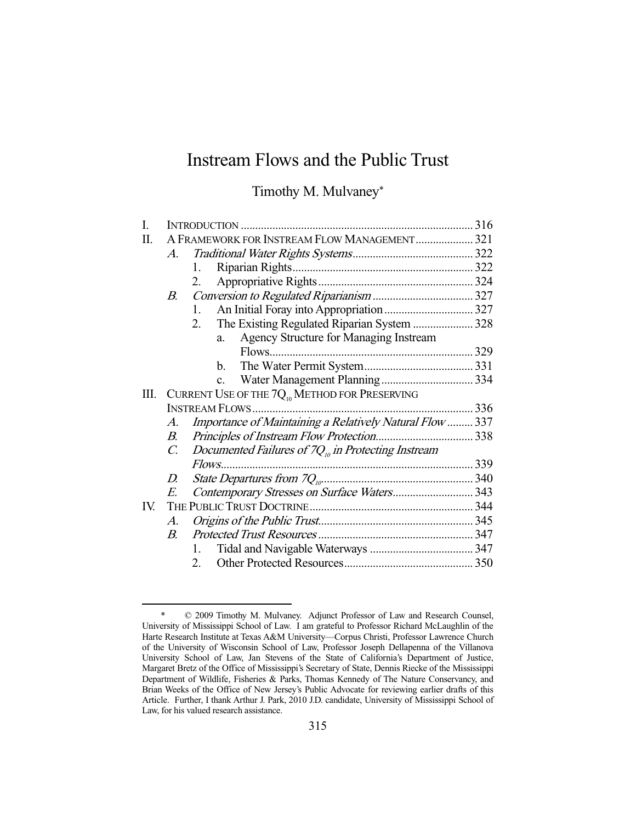# Instream Flows and the Public Trust

Timothy M. Mulvaney\*

| I.  |                                                                        |  |
|-----|------------------------------------------------------------------------|--|
| Π.  | A FRAMEWORK FOR INSTREAM FLOW MANAGEMENT 321                           |  |
|     | $A_{\cdot}$                                                            |  |
|     | 1.                                                                     |  |
|     | 2.                                                                     |  |
|     | $B_{\cdot}$                                                            |  |
|     | 1.                                                                     |  |
|     | The Existing Regulated Riparian System  328<br>2.                      |  |
|     | Agency Structure for Managing Instream<br>a.                           |  |
|     |                                                                        |  |
|     | b.                                                                     |  |
|     | $\mathbf{c}$ .                                                         |  |
| Ш.  | CURRENT USE OF THE $7Q_{10}$ METHOD FOR PRESERVING                     |  |
|     |                                                                        |  |
|     | Importance of Maintaining a Relatively Natural Flow  337<br>A.         |  |
|     | $B_{\cdot}$                                                            |  |
|     | Documented Failures of $7Qn$ in Protecting Instream<br>$\mathcal{C}$ . |  |
|     |                                                                        |  |
|     | D.                                                                     |  |
|     | Contemporary Stresses on Surface Waters 343<br>$\overline{E}$          |  |
| IV. |                                                                        |  |
|     | $A_{\cdot}$                                                            |  |
|     | $B_{\cdot}$                                                            |  |
|     | 1.                                                                     |  |
|     | 2.                                                                     |  |

 <sup>\* © 2009</sup> Timothy M. Mulvaney. Adjunct Professor of Law and Research Counsel, University of Mississippi School of Law. I am grateful to Professor Richard McLaughlin of the Harte Research Institute at Texas A&M University—Corpus Christi, Professor Lawrence Church of the University of Wisconsin School of Law, Professor Joseph Dellapenna of the Villanova University School of Law, Jan Stevens of the State of California's Department of Justice, Margaret Bretz of the Office of Mississippi's Secretary of State, Dennis Riecke of the Mississippi Department of Wildlife, Fisheries & Parks, Thomas Kennedy of The Nature Conservancy, and Brian Weeks of the Office of New Jersey's Public Advocate for reviewing earlier drafts of this Article. Further, I thank Arthur J. Park, 2010 J.D. candidate, University of Mississippi School of Law, for his valued research assistance.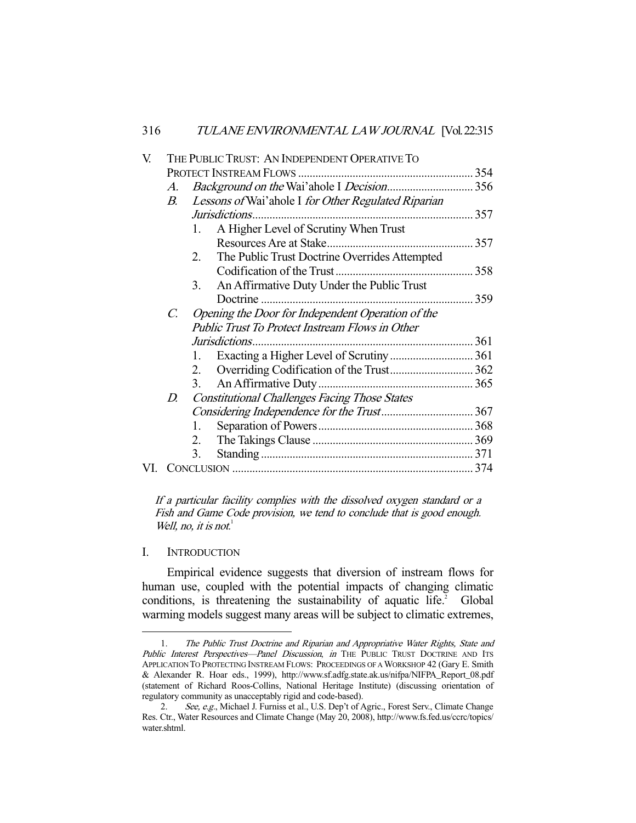| V. |             | THE PUBLIC TRUST: AN INDEPENDENT OPERATIVE TO          |  |
|----|-------------|--------------------------------------------------------|--|
|    |             |                                                        |  |
|    | $A_{\cdot}$ |                                                        |  |
|    | В.          | Lessons of Wai'ahole I for Other Regulated Riparian    |  |
|    |             |                                                        |  |
|    |             | A Higher Level of Scrutiny When Trust<br>1.            |  |
|    |             |                                                        |  |
|    |             | The Public Trust Doctrine Overrides Attempted<br>2.    |  |
|    |             |                                                        |  |
|    |             | An Affirmative Duty Under the Public Trust<br>3.       |  |
|    |             |                                                        |  |
|    | C.          | Opening the Door for Independent Operation of the      |  |
|    |             | <b>Public Trust To Protect Instream Flows in Other</b> |  |
|    |             |                                                        |  |
|    |             | 1.                                                     |  |
|    |             | 2.                                                     |  |
|    |             | 3.                                                     |  |
|    | D.          | <b>Constitutional Challenges Facing Those States</b>   |  |
|    |             |                                                        |  |
|    |             | 1.                                                     |  |
|    |             | 2.                                                     |  |
|    |             | 3.                                                     |  |
|    |             |                                                        |  |

If a particular facility complies with the dissolved oxygen standard or a Fish and Game Code provision, we tend to conclude that is good enough. Well, no, it is not. $<sup>1</sup>$ </sup>

I. INTRODUCTION

-

 Empirical evidence suggests that diversion of instream flows for human use, coupled with the potential impacts of changing climatic conditions, is threatening the sustainability of aquatic life.<sup>2</sup> Global warming models suggest many areas will be subject to climatic extremes,

 <sup>1.</sup> The Public Trust Doctrine and Riparian and Appropriative Water Rights, State and Public Interest Perspectives-Panel Discussion, in THE PUBLIC TRUST DOCTRINE AND ITS APPLICATION TO PROTECTING INSTREAM FLOWS: PROCEEDINGS OF A WORKSHOP 42 (Gary E. Smith & Alexander R. Hoar eds., 1999), http://www.sf.adfg.state.ak.us/nifpa/NIFPA\_Report\_08.pdf (statement of Richard Roos-Collins, National Heritage Institute) (discussing orientation of regulatory community as unacceptably rigid and code-based).

<sup>2.</sup> See, e.g., Michael J. Furniss et al., U.S. Dep't of Agric., Forest Serv., Climate Change Res. Ctr., Water Resources and Climate Change (May 20, 2008), http://www.fs.fed.us/ccrc/topics/ water.shtml.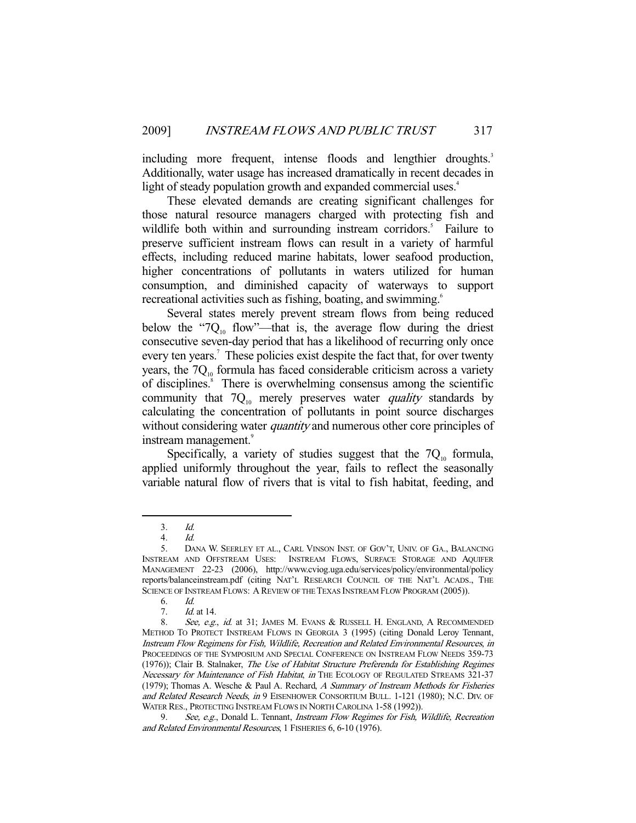including more frequent, intense floods and lengthier droughts.<sup>3</sup> Additionally, water usage has increased dramatically in recent decades in light of steady population growth and expanded commercial uses.<sup>4</sup>

 These elevated demands are creating significant challenges for those natural resource managers charged with protecting fish and wildlife both within and surrounding instream corridors.<sup>5</sup> Failure to preserve sufficient instream flows can result in a variety of harmful effects, including reduced marine habitats, lower seafood production, higher concentrations of pollutants in waters utilized for human consumption, and diminished capacity of waterways to support recreational activities such as fishing, boating, and swimming.<sup>6</sup>

 Several states merely prevent stream flows from being reduced below the "7 $Q_{10}$  flow"—that is, the average flow during the driest consecutive seven-day period that has a likelihood of recurring only once every ten years.<sup>7</sup> These policies exist despite the fact that, for over twenty years, the  $7Q_{10}$  formula has faced considerable criticism across a variety of disciplines.<sup>8</sup> There is overwhelming consensus among the scientific community that  $7Q_{10}$  merely preserves water *quality* standards by calculating the concentration of pollutants in point source discharges without considering water *quantity* and numerous other core principles of instream management.<sup>9</sup>

Specifically, a variety of studies suggest that the  $7Q_{10}$  formula, applied uniformly throughout the year, fails to reflect the seasonally variable natural flow of rivers that is vital to fish habitat, feeding, and

 <sup>3.</sup> Id.

 <sup>4.</sup> Id.

 <sup>5.</sup> DANA W. SEERLEY ET AL., CARL VINSON INST. OF GOV'T, UNIV. OF GA., BALANCING INSTREAM AND OFFSTREAM USES: INSTREAM FLOWS, SURFACE STORAGE AND AQUIFER MANAGEMENT 22-23 (2006), http://www.cviog.uga.edu/services/policy/environmental/policy reports/balanceinstream.pdf (citing NAT'L RESEARCH COUNCIL OF THE NAT'L ACADS., THE SCIENCE OF INSTREAM FLOWS: A REVIEW OF THE TEXAS INSTREAM FLOW PROGRAM (2005)).

 <sup>6.</sup> Id.

Id. at 14.

<sup>8.</sup> See, e.g., id. at 31; JAMES M. EVANS & RUSSELL H. ENGLAND, A RECOMMENDED METHOD TO PROTECT INSTREAM FLOWS IN GEORGIA 3 (1995) (citing Donald Leroy Tennant, Instream Flow Regimens for Fish, Wildlife, Recreation and Related Environmental Resources, in PROCEEDINGS OF THE SYMPOSIUM AND SPECIAL CONFERENCE ON INSTREAM FLOW NEEDS 359-73 (1976)); Clair B. Stalnaker, The Use of Habitat Structure Preferenda for Establishing Regimes Necessary for Maintenance of Fish Habitat, in THE ECOLOGY OF REGULATED STREAMS 321-37 (1979); Thomas A. Wesche & Paul A. Rechard, A Summary of Instream Methods for Fisheries and Related Research Needs, in 9 EISENHOWER CONSORTIUM BULL. 1-121 (1980); N.C. DIV. OF WATER RES., PROTECTING INSTREAM FLOWS IN NORTH CAROLINA 1-58 (1992)).

<sup>9.</sup> See, e.g., Donald L. Tennant, *Instream Flow Regimes for Fish, Wildlife, Recreation* and Related Environmental Resources, 1 FISHERIES 6, 6-10 (1976).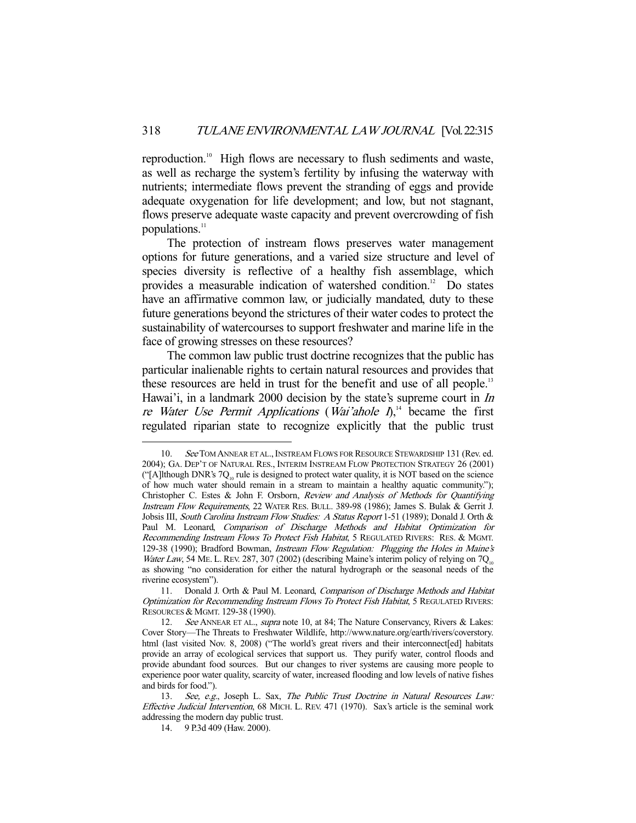reproduction.<sup>10</sup> High flows are necessary to flush sediments and waste, as well as recharge the system's fertility by infusing the waterway with nutrients; intermediate flows prevent the stranding of eggs and provide adequate oxygenation for life development; and low, but not stagnant, flows preserve adequate waste capacity and prevent overcrowding of fish populations.<sup>11</sup>

 The protection of instream flows preserves water management options for future generations, and a varied size structure and level of species diversity is reflective of a healthy fish assemblage, which provides a measurable indication of watershed condition.<sup>12</sup> Do states have an affirmative common law, or judicially mandated, duty to these future generations beyond the strictures of their water codes to protect the sustainability of watercourses to support freshwater and marine life in the face of growing stresses on these resources?

 The common law public trust doctrine recognizes that the public has particular inalienable rights to certain natural resources and provides that these resources are held in trust for the benefit and use of all people.<sup>13</sup> Hawai'i, in a landmark 2000 decision by the state's supreme court in *In* re Water Use Permit Applications (Wai'ahole  $I_{n}^{14}$  became the first regulated riparian state to recognize explicitly that the public trust

<sup>10.</sup> See TOM ANNEAR ET AL., INSTREAM FLOWS FOR RESOURCE STEWARDSHIP 131 (Rev. ed. 2004); GA. DEP'T OF NATURAL RES., INTERIM INSTREAM FLOW PROTECTION STRATEGY 26 (2001) ("[A]lthough DNR's  $7Q<sub>10</sub>$  rule is designed to protect water quality, it is NOT based on the science of how much water should remain in a stream to maintain a healthy aquatic community."); Christopher C. Estes & John F. Orsborn, Review and Analysis of Methods for Quantifying Instream Flow Requirements, 22 WATER RES. BULL. 389-98 (1986); James S. Bulak & Gerrit J. Jobsis III, South Carolina Instream Flow Studies: A Status Report 1-51 (1989); Donald J. Orth & Paul M. Leonard, Comparison of Discharge Methods and Habitat Optimization for Recommending Instream Flows To Protect Fish Habitat, 5 REGULATED RIVERS: RES. & MGMT. 129-38 (1990); Bradford Bowman, *Instream Flow Regulation: Plugging the Holes in Maine's* Water Law, 54 ME. L. REV. 287, 307 (2002) (describing Maine's interim policy of relying on  $7Q<sub>10</sub>$ as showing "no consideration for either the natural hydrograph or the seasonal needs of the riverine ecosystem").

<sup>11.</sup> Donald J. Orth & Paul M. Leonard, Comparison of Discharge Methods and Habitat Optimization for Recommending Instream Flows To Protect Fish Habitat, 5 REGULATED RIVERS: RESOURCES & MGMT. 129-38 (1990).<br>12. See ANNEAR ET AL.. supra

See ANNEAR ET AL., supra note 10, at 84; The Nature Conservancy, Rivers & Lakes: Cover Story—The Threats to Freshwater Wildlife, http://www.nature.org/earth/rivers/coverstory. html (last visited Nov. 8, 2008) ("The world's great rivers and their interconnect [ed] habitats provide an array of ecological services that support us. They purify water, control floods and provide abundant food sources. But our changes to river systems are causing more people to experience poor water quality, scarcity of water, increased flooding and low levels of native fishes and birds for food.").

<sup>13.</sup> See, e.g., Joseph L. Sax, The Public Trust Doctrine in Natural Resources Law: Effective Judicial Intervention, 68 MICH. L. REV. 471 (1970). Sax's article is the seminal work addressing the modern day public trust.

 <sup>14. 9</sup> P.3d 409 (Haw. 2000).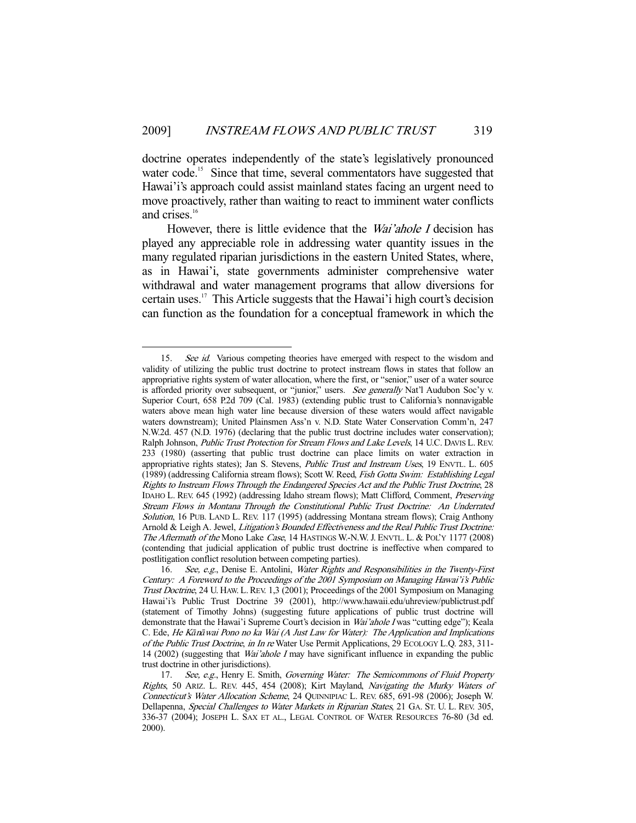doctrine operates independently of the state's legislatively pronounced water code.<sup>15</sup> Since that time, several commentators have suggested that Hawai'i's approach could assist mainland states facing an urgent need to move proactively, rather than waiting to react to imminent water conflicts and crises.<sup>16</sup>

However, there is little evidence that the *Wai'ahole I* decision has played any appreciable role in addressing water quantity issues in the many regulated riparian jurisdictions in the eastern United States, where, as in Hawai'i, state governments administer comprehensive water withdrawal and water management programs that allow diversions for certain uses.17 This Article suggests that the Hawai'i high court's decision can function as the foundation for a conceptual framework in which the

<sup>15.</sup> See id. Various competing theories have emerged with respect to the wisdom and validity of utilizing the public trust doctrine to protect instream flows in states that follow an appropriative rights system of water allocation, where the first, or "senior," user of a water source is afforded priority over subsequent, or "junior," users. See generally Nat'l Audubon Soc'y v. Superior Court, 658 P.2d 709 (Cal. 1983) (extending public trust to California's nonnavigable waters above mean high water line because diversion of these waters would affect navigable waters downstream); United Plainsmen Ass'n v. N.D. State Water Conservation Comm'n, 247 N.W.2d. 457 (N.D. 1976) (declaring that the public trust doctrine includes water conservation); Ralph Johnson, Public Trust Protection for Stream Flows and Lake Levels, 14 U.C. DAVIS L. REV. 233 (1980) (asserting that public trust doctrine can place limits on water extraction in appropriative rights states); Jan S. Stevens, Public Trust and Instream Uses, 19 ENVTL. L. 605 (1989) (addressing California stream flows); Scott W. Reed, Fish Gotta Swim: Establishing Legal Rights to Instream Flows Through the Endangered Species Act and the Public Trust Doctrine, 28 IDAHO L. REV. 645 (1992) (addressing Idaho stream flows); Matt Clifford, Comment, Preserving Stream Flows in Montana Through the Constitutional Public Trust Doctrine: An Underrated Solution, 16 PUB. LAND L. REV. 117 (1995) (addressing Montana stream flows); Craig Anthony Arnold & Leigh A. Jewel, Litigation's Bounded Effectiveness and the Real Public Trust Doctrine: The Aftermath of the Mono Lake Case, 14 HASTINGS W.-N.W. J. ENVTL. L. & POL'Y 1177 (2008) (contending that judicial application of public trust doctrine is ineffective when compared to postlitigation conflict resolution between competing parties).

<sup>16.</sup> See, e.g., Denise E. Antolini, Water Rights and Responsibilities in the Twenty-First Century: A Foreword to the Proceedings of the 2001 Symposium on Managing Hawai'i's Public Trust Doctrine, 24 U. HAW. L.REV. 1,3 (2001); Proceedings of the 2001 Symposium on Managing Hawai'i's Public Trust Doctrine 39 (2001), http://www.hawaii.edu/uhreview/publictrust.pdf (statement of Timothy Johns) (suggesting future applications of public trust doctrine will demonstrate that the Hawai'i Supreme Court's decision in *Wai'ahole I* was "cutting edge"); Keala C. Ede, He K*ā*n*ā*wai Pono no ka Wai (A Just Law for Water): The Application and Implications of the Public Trust Doctrine, in In re Water Use Permit Applications, 29 ECOLOGY L.Q. 283, 311- 14 (2002) (suggesting that Wai'ahole I may have significant influence in expanding the public trust doctrine in other jurisdictions).

<sup>17.</sup> See, e.g., Henry E. Smith, Governing Water: The Semicommons of Fluid Property Rights, 50 ARIZ. L. REV. 445, 454 (2008); Kirt Mayland, Navigating the Murky Waters of Connecticut's Water Allocation Scheme, 24 QUINNIPIAC L. REV. 685, 691-98 (2006); Joseph W. Dellapenna, Special Challenges to Water Markets in Riparian States, 21 GA. St. U. L. REV. 305, 336-37 (2004); JOSEPH L. SAX ET AL., LEGAL CONTROL OF WATER RESOURCES 76-80 (3d ed. 2000).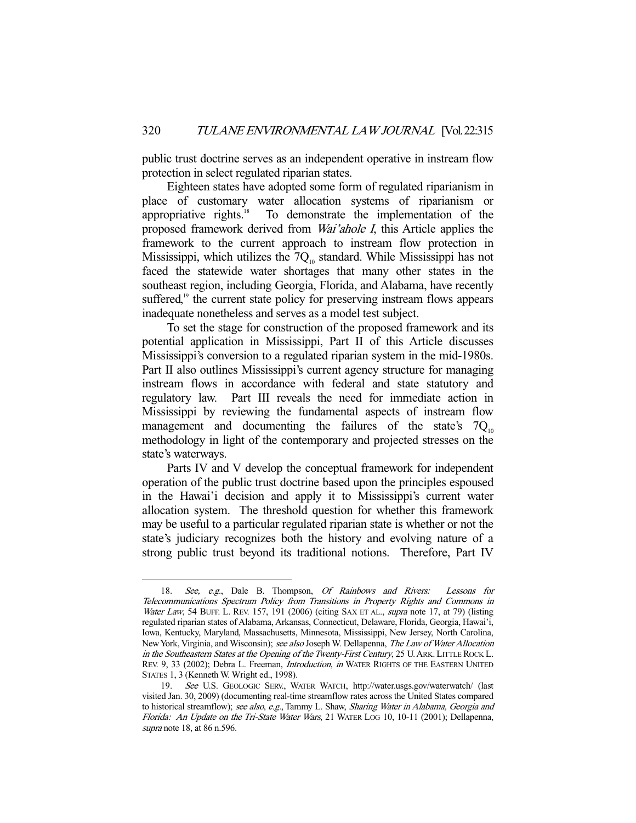public trust doctrine serves as an independent operative in instream flow protection in select regulated riparian states.

 Eighteen states have adopted some form of regulated riparianism in place of customary water allocation systems of riparianism or appropriative rights. $18$  To demonstrate the implementation of the proposed framework derived from Wai'ahole I, this Article applies the framework to the current approach to instream flow protection in Mississippi, which utilizes the  $7Q<sub>10</sub>$  standard. While Mississippi has not faced the statewide water shortages that many other states in the southeast region, including Georgia, Florida, and Alabama, have recently suffered,<sup>19</sup> the current state policy for preserving instream flows appears inadequate nonetheless and serves as a model test subject.

 To set the stage for construction of the proposed framework and its potential application in Mississippi, Part II of this Article discusses Mississippi's conversion to a regulated riparian system in the mid-1980s. Part II also outlines Mississippi's current agency structure for managing instream flows in accordance with federal and state statutory and regulatory law. Part III reveals the need for immediate action in Mississippi by reviewing the fundamental aspects of instream flow management and documenting the failures of the state's  $7Q_{10}$ methodology in light of the contemporary and projected stresses on the state's waterways.

 Parts IV and V develop the conceptual framework for independent operation of the public trust doctrine based upon the principles espoused in the Hawai'i decision and apply it to Mississippi's current water allocation system. The threshold question for whether this framework may be useful to a particular regulated riparian state is whether or not the state's judiciary recognizes both the history and evolving nature of a strong public trust beyond its traditional notions. Therefore, Part IV

<sup>18.</sup> See, e.g., Dale B. Thompson, Of Rainbows and Rivers: Lessons for Telecommunications Spectrum Policy from Transitions in Property Rights and Commons in Water Law, 54 BUFF. L. REV. 157, 191 (2006) (citing SAX ET AL., *supra* note 17, at 79) (listing regulated riparian states of Alabama, Arkansas, Connecticut, Delaware, Florida, Georgia, Hawai'i, Iowa, Kentucky, Maryland, Massachusetts, Minnesota, Mississippi, New Jersey, North Carolina, New York, Virginia, and Wisconsin); see also Joseph W. Dellapenna, The Law of Water Allocation in the Southeastern States at the Opening of the Twenty-First Century, 25 U.ARK. LITTLE ROCK L. REV. 9, 33 (2002); Debra L. Freeman, *Introduction*, in WATER RIGHTS OF THE EASTERN UNITED STATES 1, 3 (Kenneth W. Wright ed., 1998).

 <sup>19.</sup> See U.S. GEOLOGIC SERV., WATER WATCH, http://water.usgs.gov/waterwatch/ (last visited Jan. 30, 2009) (documenting real-time streamflow rates across the United States compared to historical streamflow); see also, e.g., Tammy L. Shaw, Sharing Water in Alabama, Georgia and Florida: An Update on the Tri-State Water Wars, 21 WATER LOG 10, 10-11 (2001); Dellapenna, supra note 18, at 86 n.596.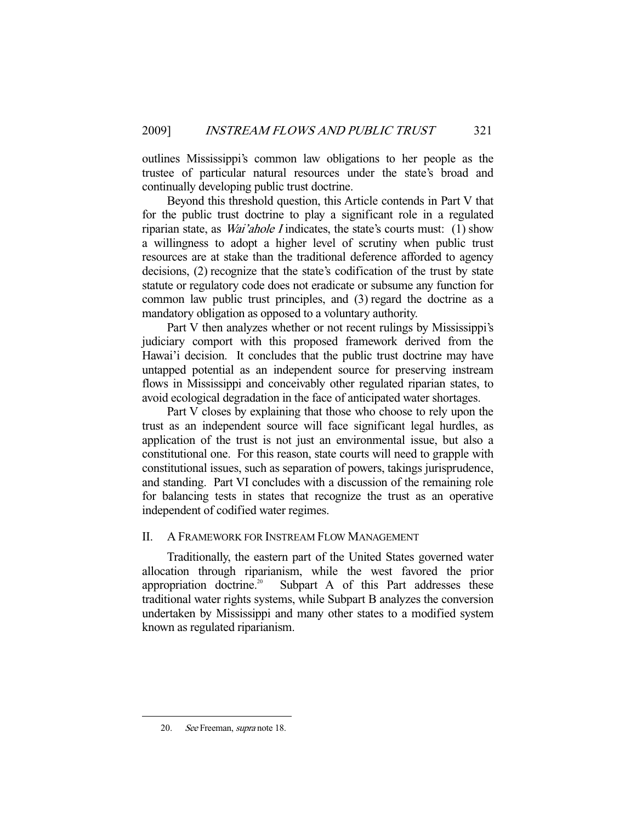outlines Mississippi's common law obligations to her people as the trustee of particular natural resources under the state's broad and continually developing public trust doctrine.

 Beyond this threshold question, this Article contends in Part V that for the public trust doctrine to play a significant role in a regulated riparian state, as *Wai'ahole I* indicates, the state's courts must: (1) show a willingness to adopt a higher level of scrutiny when public trust resources are at stake than the traditional deference afforded to agency decisions, (2) recognize that the state's codification of the trust by state statute or regulatory code does not eradicate or subsume any function for common law public trust principles, and (3) regard the doctrine as a mandatory obligation as opposed to a voluntary authority.

 Part V then analyzes whether or not recent rulings by Mississippi's judiciary comport with this proposed framework derived from the Hawai'i decision. It concludes that the public trust doctrine may have untapped potential as an independent source for preserving instream flows in Mississippi and conceivably other regulated riparian states, to avoid ecological degradation in the face of anticipated water shortages.

 Part V closes by explaining that those who choose to rely upon the trust as an independent source will face significant legal hurdles, as application of the trust is not just an environmental issue, but also a constitutional one. For this reason, state courts will need to grapple with constitutional issues, such as separation of powers, takings jurisprudence, and standing. Part VI concludes with a discussion of the remaining role for balancing tests in states that recognize the trust as an operative independent of codified water regimes.

# II. A FRAMEWORK FOR INSTREAM FLOW MANAGEMENT

 Traditionally, the eastern part of the United States governed water allocation through riparianism, while the west favored the prior appropriation doctrine.<sup>20</sup> Subpart A of this Part addresses these traditional water rights systems, while Subpart B analyzes the conversion undertaken by Mississippi and many other states to a modified system known as regulated riparianism.

<sup>20.</sup> See Freeman, *supra* note 18.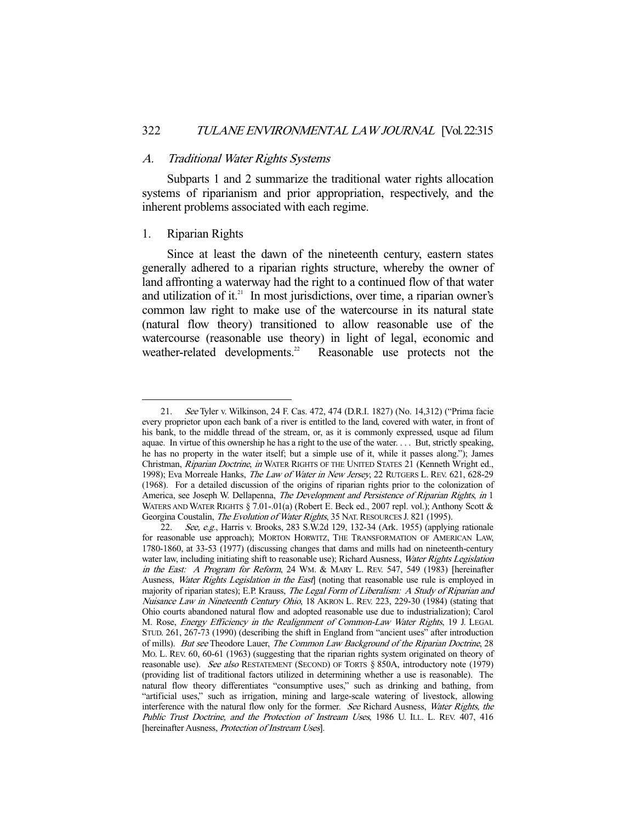## A. Traditional Water Rights Systems

 Subparts 1 and 2 summarize the traditional water rights allocation systems of riparianism and prior appropriation, respectively, and the inherent problems associated with each regime.

# 1. Riparian Rights

-

 Since at least the dawn of the nineteenth century, eastern states generally adhered to a riparian rights structure, whereby the owner of land affronting a waterway had the right to a continued flow of that water and utilization of it. $21$  In most jurisdictions, over time, a riparian owner's common law right to make use of the watercourse in its natural state (natural flow theory) transitioned to allow reasonable use of the watercourse (reasonable use theory) in light of legal, economic and weather-related developments.<sup>22</sup> Reasonable use protects not the

 <sup>21.</sup> See Tyler v. Wilkinson, 24 F. Cas. 472, 474 (D.R.I. 1827) (No. 14,312) ("Prima facie every proprietor upon each bank of a river is entitled to the land, covered with water, in front of his bank, to the middle thread of the stream, or, as it is commonly expressed, usque ad filum aquae. In virtue of this ownership he has a right to the use of the water. . . . But, strictly speaking, he has no property in the water itself; but a simple use of it, while it passes along."); James Christman, Riparian Doctrine, in WATER RIGHTS OF THE UNITED STATES 21 (Kenneth Wright ed., 1998); Eva Morreale Hanks, The Law of Water in New Jersey, 22 RUTGERS L. REV. 621, 628-29 (1968). For a detailed discussion of the origins of riparian rights prior to the colonization of America, see Joseph W. Dellapenna, The Development and Persistence of Riparian Rights, in 1 WATERS AND WATER RIGHTS § 7.01-.01(a) (Robert E. Beck ed., 2007 repl. vol.); Anthony Scott & Georgina Coustalin, The Evolution of Water Rights, 35 NAT. RESOURCES J. 821 (1995).

 <sup>22.</sup> See, e.g., Harris v. Brooks, 283 S.W.2d 129, 132-34 (Ark. 1955) (applying rationale for reasonable use approach); MORTON HORWITZ, THE TRANSFORMATION OF AMERICAN LAW, 1780-1860, at 33-53 (1977) (discussing changes that dams and mills had on nineteenth-century water law, including initiating shift to reasonable use); Richard Ausness, Water Rights Legislation in the East: A Program for Reform, 24 WM. & MARY L. REV. 547, 549 (1983) [hereinafter Ausness, Water Rights Legislation in the East] (noting that reasonable use rule is employed in majority of riparian states); E.P. Krauss, *The Legal Form of Liberalism: A Study of Riparian and* Nuisance Law in Nineteenth Century Ohio, 18 AKRON L. REV. 223, 229-30 (1984) (stating that Ohio courts abandoned natural flow and adopted reasonable use due to industrialization); Carol M. Rose, Energy Efficiency in the Realignment of Common-Law Water Rights, 19 J. LEGAL STUD. 261, 267-73 (1990) (describing the shift in England from "ancient uses" after introduction of mills). But see Theodore Lauer, The Common Law Background of the Riparian Doctrine, 28 MO. L. REV. 60, 60-61 (1963) (suggesting that the riparian rights system originated on theory of reasonable use). See also RESTATEMENT (SECOND) OF TORTS § 850A, introductory note (1979) (providing list of traditional factors utilized in determining whether a use is reasonable). The natural flow theory differentiates "consumptive uses," such as drinking and bathing, from "artificial uses," such as irrigation, mining and large-scale watering of livestock, allowing interference with the natural flow only for the former. See Richard Ausness, Water Rights, the Public Trust Doctrine, and the Protection of Instream Uses, 1986 U. ILL. L. REV. 407, 416 [hereinafter Ausness, *Protection of Instream Uses*].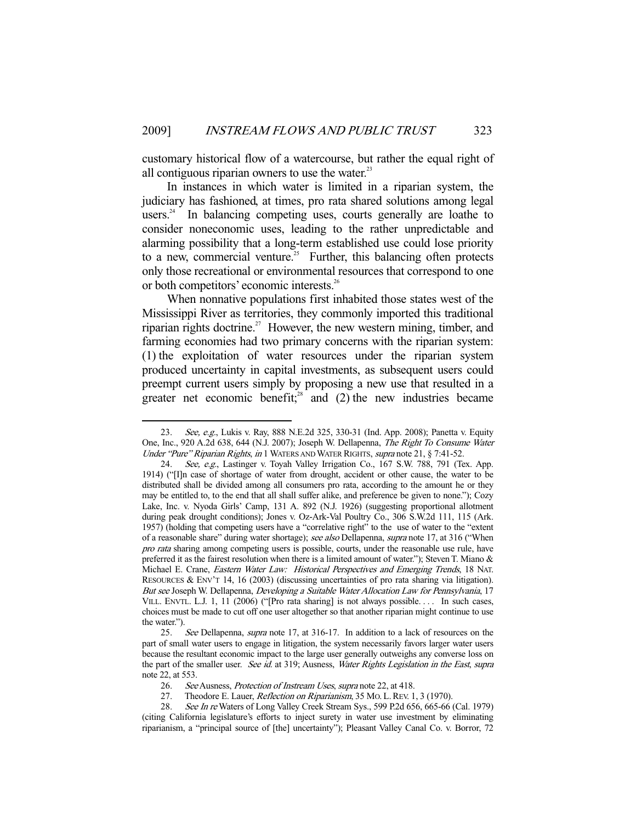customary historical flow of a watercourse, but rather the equal right of all contiguous riparian owners to use the water.<sup>23</sup>

 In instances in which water is limited in a riparian system, the judiciary has fashioned, at times, pro rata shared solutions among legal users.<sup>24</sup> In balancing competing uses, courts generally are loathe to consider noneconomic uses, leading to the rather unpredictable and alarming possibility that a long-term established use could lose priority to a new, commercial venture.<sup>25</sup> Further, this balancing often protects only those recreational or environmental resources that correspond to one or both competitors' economic interests.<sup>26</sup>

 When nonnative populations first inhabited those states west of the Mississippi River as territories, they commonly imported this traditional riparian rights doctrine.<sup>27</sup> However, the new western mining, timber, and farming economies had two primary concerns with the riparian system: (1) the exploitation of water resources under the riparian system produced uncertainty in capital investments, as subsequent users could preempt current users simply by proposing a new use that resulted in a greater net economic benefit;<sup>28</sup> and (2) the new industries became

<sup>23.</sup> See, e.g., Lukis v. Ray, 888 N.E.2d 325, 330-31 (Ind. App. 2008); Panetta v. Equity One, Inc., 920 A.2d 638, 644 (N.J. 2007); Joseph W. Dellapenna, The Right To Consume Water Under "Pure" Riparian Rights, in 1 WATERS AND WATER RIGHTS, supra note 21, § 7:41-52.

<sup>24.</sup> See, e.g., Lastinger v. Toyah Valley Irrigation Co., 167 S.W. 788, 791 (Tex. App. 1914) ("[I]n case of shortage of water from drought, accident or other cause, the water to be distributed shall be divided among all consumers pro rata, according to the amount he or they may be entitled to, to the end that all shall suffer alike, and preference be given to none."); Cozy Lake, Inc. v. Nyoda Girls' Camp, 131 A. 892 (N.J. 1926) (suggesting proportional allotment during peak drought conditions); Jones v. Oz-Ark-Val Poultry Co., 306 S.W.2d 111, 115 (Ark. 1957) (holding that competing users have a "correlative right" to the use of water to the "extent of a reasonable share" during water shortage); see also Dellapenna, supra note 17, at 316 ("When pro rata sharing among competing users is possible, courts, under the reasonable use rule, have preferred it as the fairest resolution when there is a limited amount of water."); Steven T. Miano & Michael E. Crane, Eastern Water Law: Historical Perspectives and Emerging Trends, 18 NAT. RESOURCES & ENV'T 14, 16 (2003) (discussing uncertainties of pro rata sharing via litigation). But see Joseph W. Dellapenna, *Developing a Suitable Water Allocation Law for Pennsylvania*, 17 VILL. ENVTL. L.J. 1, 11 (2006) ("[Pro rata sharing] is not always possible.... In such cases, choices must be made to cut off one user altogether so that another riparian might continue to use the water.").

<sup>25.</sup> See Dellapenna, supra note 17, at 316-17. In addition to a lack of resources on the part of small water users to engage in litigation, the system necessarily favors larger water users because the resultant economic impact to the large user generally outweighs any converse loss on the part of the smaller user. See id. at 319; Ausness, Water Rights Legislation in the East, supra note 22, at 553.

<sup>26.</sup> See Ausness, *Protection of Instream Uses, supra* note 22, at 418.<br>27. Theodore E. Lauer, *Reflection on Riparianism*, 35 Mo. L. REV. 1

Theodore E. Lauer, Reflection on Riparianism, 35 Mo. L. REV. 1, 3 (1970).

See In re Waters of Long Valley Creek Stream Sys., 599 P.2d 656, 665-66 (Cal. 1979) (citing California legislature's efforts to inject surety in water use investment by eliminating riparianism, a "principal source of [the] uncertainty"); Pleasant Valley Canal Co. v. Borror, 72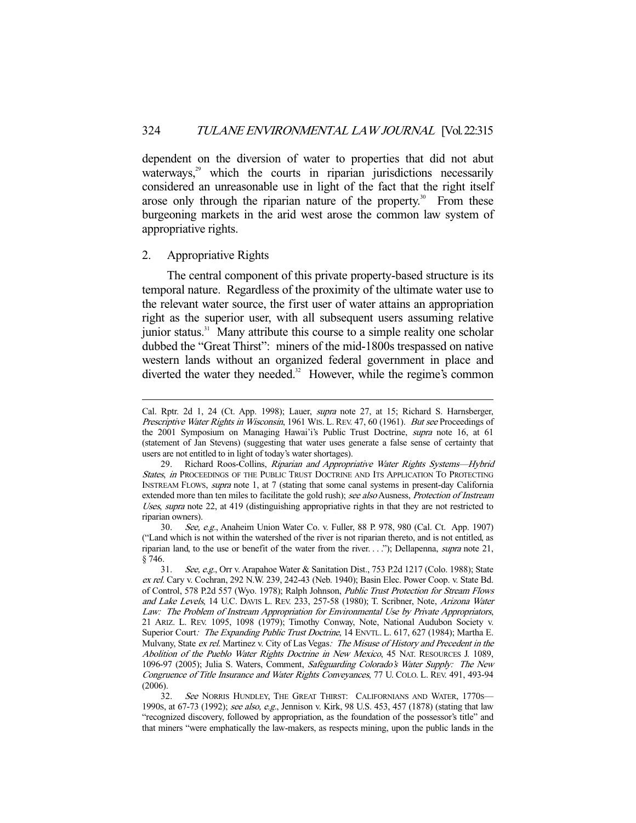dependent on the diversion of water to properties that did not abut waterways,<sup>29</sup> which the courts in riparian jurisdictions necessarily considered an unreasonable use in light of the fact that the right itself arose only through the riparian nature of the property.<sup>30</sup> From these burgeoning markets in the arid west arose the common law system of appropriative rights.

## 2. Appropriative Rights

-

 The central component of this private property-based structure is its temporal nature. Regardless of the proximity of the ultimate water use to the relevant water source, the first user of water attains an appropriation right as the superior user, with all subsequent users assuming relative junior status. $31$  Many attribute this course to a simple reality one scholar dubbed the "Great Thirst": miners of the mid-1800s trespassed on native western lands without an organized federal government in place and diverted the water they needed.<sup>32</sup> However, while the regime's common

Cal. Rptr. 2d 1, 24 (Ct. App. 1998); Lauer, supra note 27, at 15; Richard S. Harnsberger, Prescriptive Water Rights in Wisconsin, 1961 WIS. L. REV. 47, 60 (1961). But see Proceedings of the 2001 Symposium on Managing Hawai'i's Public Trust Doctrine, supra note 16, at 61 (statement of Jan Stevens) (suggesting that water uses generate a false sense of certainty that users are not entitled to in light of today's water shortages).

<sup>29.</sup> Richard Roos-Collins, Riparian and Appropriative Water Rights Systems-Hybrid States, in PROCEEDINGS OF THE PUBLIC TRUST DOCTRINE AND ITS APPLICATION TO PROTECTING INSTREAM FLOWS, supra note 1, at 7 (stating that some canal systems in present-day California extended more than ten miles to facilitate the gold rush); see also Ausness, Protection of Instream Uses, supra note 22, at 419 (distinguishing appropriative rights in that they are not restricted to riparian owners).

 <sup>30.</sup> See, e.g., Anaheim Union Water Co. v. Fuller, 88 P. 978, 980 (Cal. Ct. App. 1907) ("Land which is not within the watershed of the river is not riparian thereto, and is not entitled, as riparian land, to the use or benefit of the water from the river.  $\ldots$ "); Dellapenna, *supra* note 21, § 746.

 <sup>31.</sup> See, e.g., Orr v. Arapahoe Water & Sanitation Dist., 753 P.2d 1217 (Colo. 1988); State ex rel. Cary v. Cochran, 292 N.W. 239, 242-43 (Neb. 1940); Basin Elec. Power Coop. v. State Bd. of Control, 578 P.2d 557 (Wyo. 1978); Ralph Johnson, Public Trust Protection for Stream Flows and Lake Levels, 14 U.C. DAVIS L. REV. 233, 257-58 (1980); T. Scribner, Note, Arizona Water Law: The Problem of Instream Appropriation for Environmental Use by Private Appropriators, 21 ARIZ. L. REV. 1095, 1098 (1979); Timothy Conway, Note, National Audubon Society v. Superior Court: The Expanding Public Trust Doctrine, 14 ENVTL. L. 617, 627 (1984); Martha E. Mulvany, State ex rel. Martinez v. City of Las Vegas: The Misuse of History and Precedent in the Abolition of the Pueblo Water Rights Doctrine in New Mexico, 45 NAT. RESOURCES J. 1089, 1096-97 (2005); Julia S. Waters, Comment, Safeguarding Colorado's Water Supply: The New Congruence of Title Insurance and Water Rights Conveyances, 77 U. COLO. L. REV. 491, 493-94 (2006).

<sup>32.</sup> See NORRIS HUNDLEY, THE GREAT THIRST: CALIFORNIANS AND WATER, 1770S-1990S, at 67-73 (1992); see also, e.g., Jennison v. Kirk, 98 U.S. 453, 457 (1878) (stating that law "recognized discovery, followed by appropriation, as the foundation of the possessor's title" and that miners "were emphatically the law-makers, as respects mining, upon the public lands in the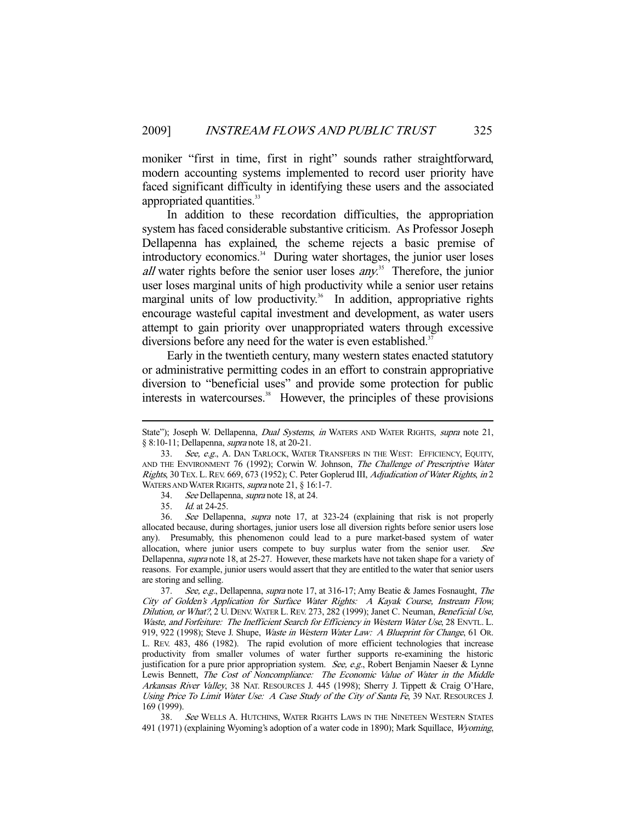moniker "first in time, first in right" sounds rather straightforward, modern accounting systems implemented to record user priority have faced significant difficulty in identifying these users and the associated appropriated quantities.<sup>33</sup>

 In addition to these recordation difficulties, the appropriation system has faced considerable substantive criticism. As Professor Joseph Dellapenna has explained, the scheme rejects a basic premise of introductory economics.<sup>34</sup> During water shortages, the junior user loses all water rights before the senior user loses  $any$ <sup>35</sup>. Therefore, the junior user loses marginal units of high productivity while a senior user retains marginal units of low productivity.<sup>36</sup> In addition, appropriative rights encourage wasteful capital investment and development, as water users attempt to gain priority over unappropriated waters through excessive diversions before any need for the water is even established.<sup>37</sup>

 Early in the twentieth century, many western states enacted statutory or administrative permitting codes in an effort to constrain appropriative diversion to "beneficial uses" and provide some protection for public interests in watercourses.<sup>38</sup> However, the principles of these provisions

-

37. See, e.g., Dellapenna, supra note 17, at 316-17; Amy Beatie & James Fosnaught, The City of Golden's Application for Surface Water Rights: A Kayak Course, Instream Flow, Dilution, or What?, 2 U. DENV. WATER L. REV. 273, 282 (1999); Janet C. Neuman, Beneficial Use, Waste, and Forfeiture: The Inefficient Search for Efficiency in Western Water Use, 28 ENVTL. L. 919, 922 (1998); Steve J. Shupe, Waste in Western Water Law: A Blueprint for Change, 61 Or. L. REV. 483, 486 (1982). The rapid evolution of more efficient technologies that increase productivity from smaller volumes of water further supports re-examining the historic justification for a pure prior appropriation system. See, e.g., Robert Benjamin Naeser & Lynne Lewis Bennett, The Cost of Noncompliance: The Economic Value of Water in the Middle Arkansas River Valley, 38 NAT. RESOURCES J. 445 (1998); Sherry J. Tippett & Craig O'Hare, Using Price To Limit Water Use: A Case Study of the City of Santa Fe, 39 NAT. RESOURCES J. 169 (1999).

38. See WELLS A. HUTCHINS, WATER RIGHTS LAWS IN THE NINETEEN WESTERN STATES 491 (1971) (explaining Wyoming's adoption of a water code in 1890); Mark Squillace, Wyoming,

State"); Joseph W. Dellapenna, *Dual Systems, in* WATERS AND WATER RIGHTS, *supra* note 21, § 8:10-11; Dellapenna, supra note 18, at 20-21.

<sup>33.</sup> See, e.g., A. DAN TARLOCK, WATER TRANSFERS IN THE WEST: EFFICIENCY, EQUITY, AND THE ENVIRONMENT 76 (1992); Corwin W. Johnson, The Challenge of Prescriptive Water Rights, 30 TEX. L.REV. 669, 673 (1952); C. Peter Goplerud III, Adjudication of Water Rights, in 2 WATERS AND WATER RIGHTS, supra note 21, § 16:1-7.

 <sup>34.</sup> See Dellapenna, supra note 18, at 24.

 <sup>35.</sup> Id. at 24-25.

 <sup>36.</sup> See Dellapenna, supra note 17, at 323-24 (explaining that risk is not properly allocated because, during shortages, junior users lose all diversion rights before senior users lose any). Presumably, this phenomenon could lead to a pure market-based system of water allocation, where junior users compete to buy surplus water from the senior user. See Dellapenna, supra note 18, at 25-27. However, these markets have not taken shape for a variety of reasons. For example, junior users would assert that they are entitled to the water that senior users are storing and selling.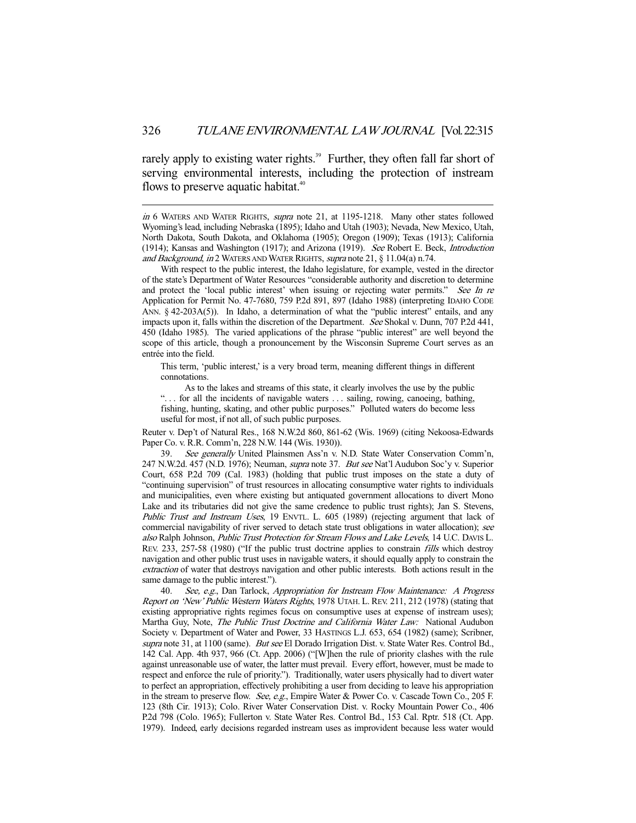rarely apply to existing water rights.<sup>39</sup> Further, they often fall far short of serving environmental interests, including the protection of instream flows to preserve aquatic habitat. $40$ 

-

in 6 WATERS AND WATER RIGHTS, supra note 21, at 1195-1218. Many other states followed Wyoming's lead, including Nebraska (1895); Idaho and Utah (1903); Nevada, New Mexico, Utah, North Dakota, South Dakota, and Oklahoma (1905); Oregon (1909); Texas (1913); California (1914); Kansas and Washington (1917); and Arizona (1919). See Robert E. Beck, Introduction and Background, in 2 WATERS AND WATER RIGHTS, supra note 21, § 11.04(a) n.74.

 With respect to the public interest, the Idaho legislature, for example, vested in the director of the state's Department of Water Resources "considerable authority and discretion to determine and protect the 'local public interest' when issuing or rejecting water permits." See In re Application for Permit No. 47-7680, 759 P.2d 891, 897 (Idaho 1988) (interpreting IDAHO CODE ANN. § 42-203A(5)). In Idaho, a determination of what the "public interest" entails, and any impacts upon it, falls within the discretion of the Department. See Shokal v. Dunn, 707 P.2d 441, 450 (Idaho 1985). The varied applications of the phrase "public interest" are well beyond the scope of this article, though a pronouncement by the Wisconsin Supreme Court serves as an entrée into the field.

This term, 'public interest,' is a very broad term, meaning different things in different connotations.

 As to the lakes and streams of this state, it clearly involves the use by the public "... for all the incidents of navigable waters ... sailing, rowing, canoeing, bathing, fishing, hunting, skating, and other public purposes." Polluted waters do become less useful for most, if not all, of such public purposes.

Reuter v. Dep't of Natural Res., 168 N.W.2d 860, 861-62 (Wis. 1969) (citing Nekoosa-Edwards Paper Co. v. R.R. Comm'n, 228 N.W. 144 (Wis. 1930)).

39. See generally United Plainsmen Ass'n v. N.D. State Water Conservation Comm'n, 247 N.W.2d. 457 (N.D. 1976); Neuman, *supra* note 37. But see Nat'l Audubon Soc'y v. Superior Court, 658 P.2d 709 (Cal. 1983) (holding that public trust imposes on the state a duty of "continuing supervision" of trust resources in allocating consumptive water rights to individuals and municipalities, even where existing but antiquated government allocations to divert Mono Lake and its tributaries did not give the same credence to public trust rights); Jan S. Stevens, Public Trust and Instream Uses, 19 ENVTL. L. 605 (1989) (rejecting argument that lack of commercial navigability of river served to detach state trust obligations in water allocation); see also Ralph Johnson, Public Trust Protection for Stream Flows and Lake Levels, 14 U.C. DAVIS L. REV. 233, 257-58 (1980) ("If the public trust doctrine applies to constrain fills which destroy navigation and other public trust uses in navigable waters, it should equally apply to constrain the extraction of water that destroys navigation and other public interests. Both actions result in the same damage to the public interest.").

40. See, e.g., Dan Tarlock, Appropriation for Instream Flow Maintenance: A Progress Report on 'New' Public Western Waters Rights, 1978 UTAH. L. REV. 211, 212 (1978) (stating that existing appropriative rights regimes focus on consumptive uses at expense of instream uses); Martha Guy, Note, The Public Trust Doctrine and California Water Law: National Audubon Society v. Department of Water and Power, 33 HASTINGS L.J. 653, 654 (1982) (same); Scribner, supra note 31, at 1100 (same). But see El Dorado Irrigation Dist. v. State Water Res. Control Bd., 142 Cal. App. 4th 937, 966 (Ct. App. 2006) ("[W]hen the rule of priority clashes with the rule against unreasonable use of water, the latter must prevail. Every effort, however, must be made to respect and enforce the rule of priority."). Traditionally, water users physically had to divert water to perfect an appropriation, effectively prohibiting a user from deciding to leave his appropriation in the stream to preserve flow. See, e.g., Empire Water & Power Co. v. Cascade Town Co., 205 F. 123 (8th Cir. 1913); Colo. River Water Conservation Dist. v. Rocky Mountain Power Co., 406 P.2d 798 (Colo. 1965); Fullerton v. State Water Res. Control Bd., 153 Cal. Rptr. 518 (Ct. App. 1979). Indeed, early decisions regarded instream uses as improvident because less water would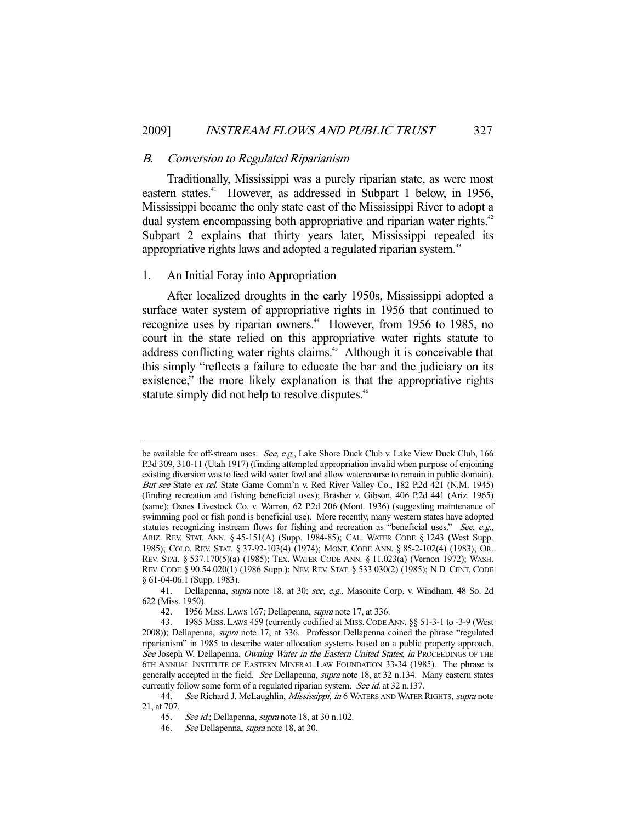## B. Conversion to Regulated Riparianism

 Traditionally, Mississippi was a purely riparian state, as were most eastern states.<sup>41</sup> However, as addressed in Subpart 1 below, in 1956, Mississippi became the only state east of the Mississippi River to adopt a dual system encompassing both appropriative and riparian water rights.<sup>42</sup> Subpart 2 explains that thirty years later, Mississippi repealed its appropriative rights laws and adopted a regulated riparian system.<sup>43</sup>

## 1. An Initial Foray into Appropriation

-

 After localized droughts in the early 1950s, Mississippi adopted a surface water system of appropriative rights in 1956 that continued to recognize uses by riparian owners.<sup>44</sup> However, from 1956 to 1985, no court in the state relied on this appropriative water rights statute to address conflicting water rights claims.<sup>45</sup> Although it is conceivable that this simply "reflects a failure to educate the bar and the judiciary on its existence," the more likely explanation is that the appropriative rights statute simply did not help to resolve disputes.<sup>46</sup>

be available for off-stream uses. See, e.g., Lake Shore Duck Club v. Lake View Duck Club, 166 P.3d 309, 310-11 (Utah 1917) (finding attempted appropriation invalid when purpose of enjoining existing diversion was to feed wild water fowl and allow watercourse to remain in public domain). But see State ex rel. State Game Comm'n v. Red River Valley Co., 182 P.2d 421 (N.M. 1945) (finding recreation and fishing beneficial uses); Brasher v. Gibson, 406 P.2d 441 (Ariz. 1965) (same); Osnes Livestock Co. v. Warren, 62 P.2d 206 (Mont. 1936) (suggesting maintenance of swimming pool or fish pond is beneficial use). More recently, many western states have adopted statutes recognizing instream flows for fishing and recreation as "beneficial uses." See, e.g., ARIZ. REV. STAT. ANN. § 45-151(A) (Supp. 1984-85); CAL. WATER CODE § 1243 (West Supp. 1985); COLO. REV. STAT. § 37-92-103(4) (1974); MONT. CODE ANN. § 85-2-102(4) (1983); OR. REV. STAT. § 537.170(5)(a) (1985); TEX. WATER CODE ANN. § 11.023(a) (Vernon 1972); WASH. REV. CODE § 90.54.020(1) (1986 Supp.); NEV. REV. STAT. § 533.030(2) (1985); N.D. CENT. CODE § 61-04-06.1 (Supp. 1983).

<sup>41.</sup> Dellapenna, *supra* note 18, at 30; see, e.g., Masonite Corp. v. Windham, 48 So. 2d 622 (Miss. 1950).

 <sup>42. 1956</sup> MISS. LAWS 167; Dellapenna, supra note 17, at 336.

 <sup>43. 1985</sup> MISS. LAWS 459 (currently codified at MISS.CODE ANN. §§ 51-3-1 to -3-9 (West 2008)); Dellapenna, supra note 17, at 336. Professor Dellapenna coined the phrase "regulated riparianism" in 1985 to describe water allocation systems based on a public property approach. See Joseph W. Dellapenna, Owning Water in the Eastern United States, in PROCEEDINGS OF THE 6TH ANNUAL INSTITUTE OF EASTERN MINERAL LAW FOUNDATION 33-34 (1985). The phrase is generally accepted in the field. See Dellapenna, supra note 18, at 32 n.134. Many eastern states currently follow some form of a regulated riparian system. See id. at 32 n.137.

<sup>44.</sup> See Richard J. McLaughlin, Mississippi, in 6 WATERS AND WATER RIGHTS, supra note 21, at 707.

<sup>45.</sup> See id.; Dellapenna, *supra* note 18, at 30 n.102.<br>46. See Dellapenna, *supra* note 18, at 30.

See Dellapenna, *supra* note 18, at 30.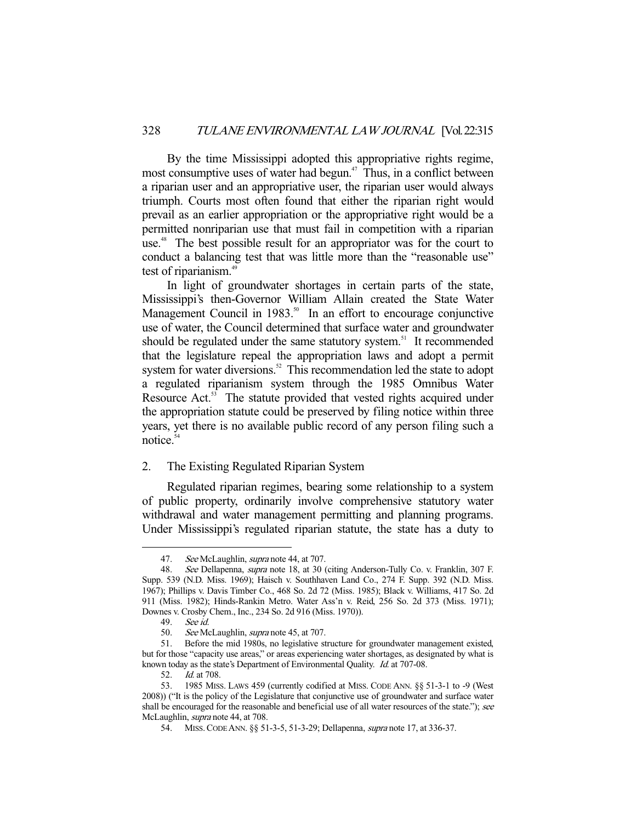By the time Mississippi adopted this appropriative rights regime, most consumptive uses of water had begun.<sup>47</sup> Thus, in a conflict between a riparian user and an appropriative user, the riparian user would always triumph. Courts most often found that either the riparian right would prevail as an earlier appropriation or the appropriative right would be a permitted nonriparian use that must fail in competition with a riparian use.<sup>48</sup> The best possible result for an appropriator was for the court to conduct a balancing test that was little more than the "reasonable use" test of riparianism.<sup>49</sup>

 In light of groundwater shortages in certain parts of the state, Mississippi's then-Governor William Allain created the State Water Management Council in  $1983$ <sup>50</sup> In an effort to encourage conjunctive use of water, the Council determined that surface water and groundwater should be regulated under the same statutory system.<sup>51</sup> It recommended that the legislature repeal the appropriation laws and adopt a permit system for water diversions.<sup>52</sup> This recommendation led the state to adopt a regulated riparianism system through the 1985 Omnibus Water Resource Act.<sup>53</sup> The statute provided that vested rights acquired under the appropriation statute could be preserved by filing notice within three years, yet there is no available public record of any person filing such a notice.<sup>54</sup>

## 2. The Existing Regulated Riparian System

 Regulated riparian regimes, bearing some relationship to a system of public property, ordinarily involve comprehensive statutory water withdrawal and water management permitting and planning programs. Under Mississippi's regulated riparian statute, the state has a duty to

<sup>47.</sup> See McLaughlin, supra note 44, at 707.

 <sup>48.</sup> See Dellapenna, supra note 18, at 30 (citing Anderson-Tully Co. v. Franklin, 307 F. Supp. 539 (N.D. Miss. 1969); Haisch v. Southhaven Land Co., 274 F. Supp. 392 (N.D. Miss. 1967); Phillips v. Davis Timber Co., 468 So. 2d 72 (Miss. 1985); Black v. Williams, 417 So. 2d 911 (Miss. 1982); Hinds-Rankin Metro. Water Ass'n v. Reid, 256 So. 2d 373 (Miss. 1971); Downes v. Crosby Chem., Inc., 234 So. 2d 916 (Miss. 1970)).

 <sup>49.</sup> See id.

<sup>50.</sup> See McLaughlin, *supra* note 45, at 707.

 <sup>51.</sup> Before the mid 1980s, no legislative structure for groundwater management existed, but for those "capacity use areas," or areas experiencing water shortages, as designated by what is known today as the state's Department of Environmental Quality. Id. at 707-08.

 <sup>52.</sup> Id. at 708.

 <sup>53. 1985</sup> MISS. LAWS 459 (currently codified at MISS. CODE ANN. §§ 51-3-1 to -9 (West 2008)) ("It is the policy of the Legislature that conjunctive use of groundwater and surface water shall be encouraged for the reasonable and beneficial use of all water resources of the state."); see McLaughlin, *supra* note 44, at 708.

 <sup>54.</sup> MISS.CODE ANN. §§ 51-3-5, 51-3-29; Dellapenna, supra note 17, at 336-37.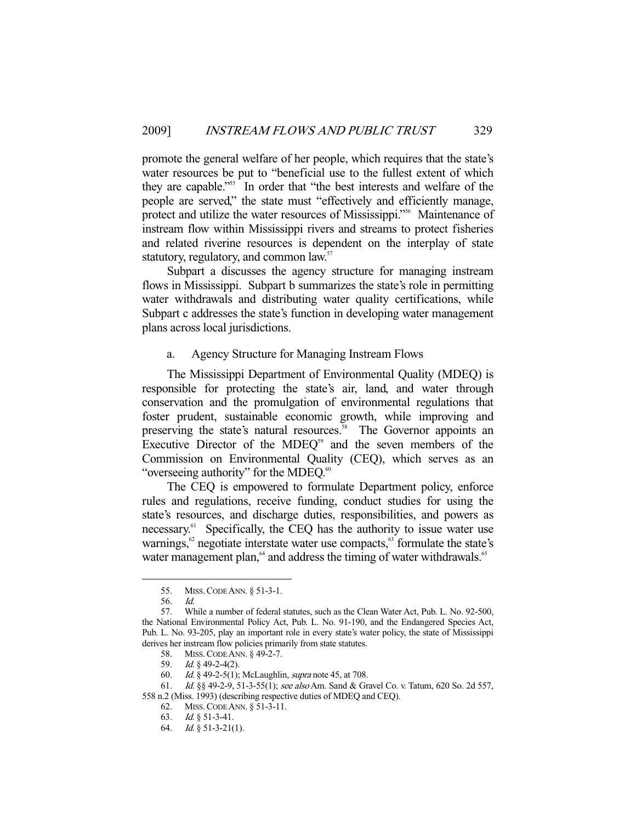promote the general welfare of her people, which requires that the state's water resources be put to "beneficial use to the fullest extent of which they are capable."<sup>55</sup> In order that "the best interests and welfare of the people are served," the state must "effectively and efficiently manage, protect and utilize the water resources of Mississippi."<sup>56</sup> Maintenance of instream flow within Mississippi rivers and streams to protect fisheries and related riverine resources is dependent on the interplay of state statutory, regulatory, and common law.<sup>57</sup>

 Subpart a discusses the agency structure for managing instream flows in Mississippi. Subpart b summarizes the state's role in permitting water withdrawals and distributing water quality certifications, while Subpart c addresses the state's function in developing water management plans across local jurisdictions.

## a. Agency Structure for Managing Instream Flows

 The Mississippi Department of Environmental Quality (MDEQ) is responsible for protecting the state's air, land, and water through conservation and the promulgation of environmental regulations that foster prudent, sustainable economic growth, while improving and preserving the state's natural resources.<sup>58</sup> The Governor appoints an Executive Director of the MDE $Q^{59}$  and the seven members of the Commission on Environmental Quality (CEQ), which serves as an "overseeing authority" for the MDEQ.<sup>60</sup>

 The CEQ is empowered to formulate Department policy, enforce rules and regulations, receive funding, conduct studies for using the state's resources, and discharge duties, responsibilities, and powers as necessary.<sup>61</sup> Specifically, the CEQ has the authority to issue water use warnings, $62$  negotiate interstate water use compacts, $63$  formulate the state's water management plan,<sup>64</sup> and address the timing of water withdrawals.<sup>65</sup>

 <sup>55.</sup> MISS.CODE ANN. § 51-3-1.

 <sup>56.</sup> Id.

 <sup>57.</sup> While a number of federal statutes, such as the Clean Water Act, Pub. L. No. 92-500, the National Environmental Policy Act, Pub. L. No. 91-190, and the Endangered Species Act, Pub. L. No. 93-205, play an important role in every state's water policy, the state of Mississippi derives her instream flow policies primarily from state statutes.

 <sup>58.</sup> MISS.CODE ANN. § 49-2-7.

<sup>59.</sup> Id.  $\oint$  49-2-4(2).

<sup>60.</sup> *Id.* § 49-2-5(1); McLaughlin, *supra* note 45, at 708.

<sup>61.</sup> *Id.* §§ 49-2-9, 51-3-55(1); see also Am. Sand & Gravel Co. v. Tatum, 620 So. 2d 557, 558 n.2 (Miss. 1993) (describing respective duties of MDEQ and CEQ).

 <sup>62.</sup> MISS.CODE ANN. § 51-3-11.

 <sup>63.</sup> Id. § 51-3-41.

 <sup>64.</sup> Id. § 51-3-21(1).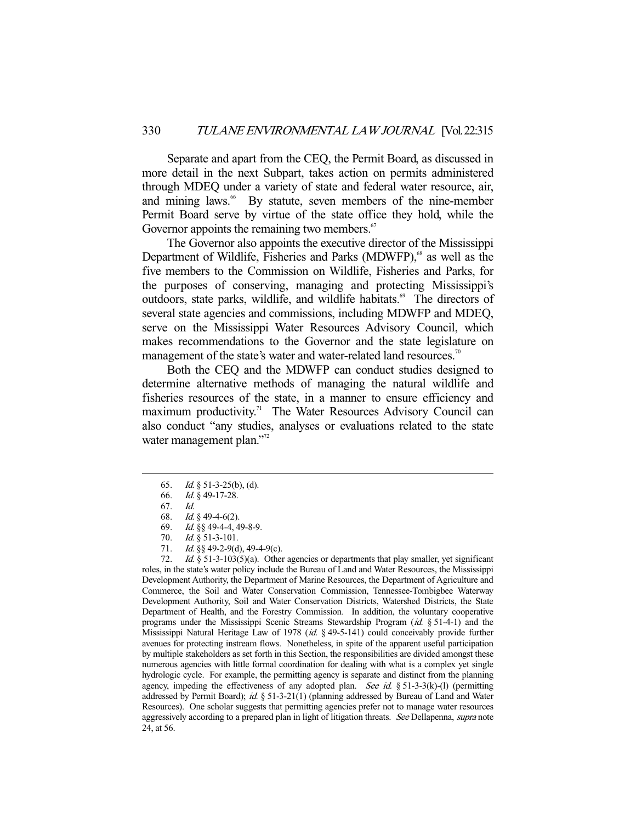Separate and apart from the CEQ, the Permit Board, as discussed in more detail in the next Subpart, takes action on permits administered through MDEQ under a variety of state and federal water resource, air, and mining laws.<sup>66</sup> By statute, seven members of the nine-member Permit Board serve by virtue of the state office they hold, while the Governor appoints the remaining two members. $67$ 

 The Governor also appoints the executive director of the Mississippi Department of Wildlife, Fisheries and Parks (MDWFP),<sup>68</sup> as well as the five members to the Commission on Wildlife, Fisheries and Parks, for the purposes of conserving, managing and protecting Mississippi's outdoors, state parks, wildlife, and wildlife habitats.<sup>69</sup> The directors of several state agencies and commissions, including MDWFP and MDEQ, serve on the Mississippi Water Resources Advisory Council, which makes recommendations to the Governor and the state legislature on management of the state's water and water-related land resources.<sup>70</sup>

 Both the CEQ and the MDWFP can conduct studies designed to determine alternative methods of managing the natural wildlife and fisheries resources of the state, in a manner to ensure efficiency and maximum productivity.<sup>71</sup> The Water Resources Advisory Council can also conduct "any studies, analyses or evaluations related to the state water management plan."<sup>72</sup>

-

72. Id.  $§$  51-3-103(5)(a). Other agencies or departments that play smaller, yet significant roles, in the state's water policy include the Bureau of Land and Water Resources, the Mississippi Development Authority, the Department of Marine Resources, the Department of Agriculture and Commerce, the Soil and Water Conservation Commission, Tennessee-Tombigbee Waterway Development Authority, Soil and Water Conservation Districts, Watershed Districts, the State Department of Health, and the Forestry Commission. In addition, the voluntary cooperative programs under the Mississippi Scenic Streams Stewardship Program  $(id, \S 51-4-1)$  and the Mississippi Natural Heritage Law of 1978 (id. § 49-5-141) could conceivably provide further avenues for protecting instream flows. Nonetheless, in spite of the apparent useful participation by multiple stakeholders as set forth in this Section, the responsibilities are divided amongst these numerous agencies with little formal coordination for dealing with what is a complex yet single hydrologic cycle. For example, the permitting agency is separate and distinct from the planning agency, impeding the effectiveness of any adopted plan. See id. § 51-3-3(k)-(l) (permitting addressed by Permit Board); id. § 51-3-21(1) (planning addressed by Bureau of Land and Water Resources). One scholar suggests that permitting agencies prefer not to manage water resources aggressively according to a prepared plan in light of litigation threats. See Dellapenna, supra note 24, at 56.

 <sup>65.</sup> Id. § 51-3-25(b), (d).

 <sup>66.</sup> Id. § 49-17-28.

 <sup>67.</sup> Id.

 <sup>68.</sup> Id. § 49-4-6(2).

 <sup>69.</sup> Id. §§ 49-4-4, 49-8-9.

<sup>70.</sup> *Id.* § 51-3-101.

<sup>71.</sup> *Id.* §§ 49-2-9(d), 49-4-9(c).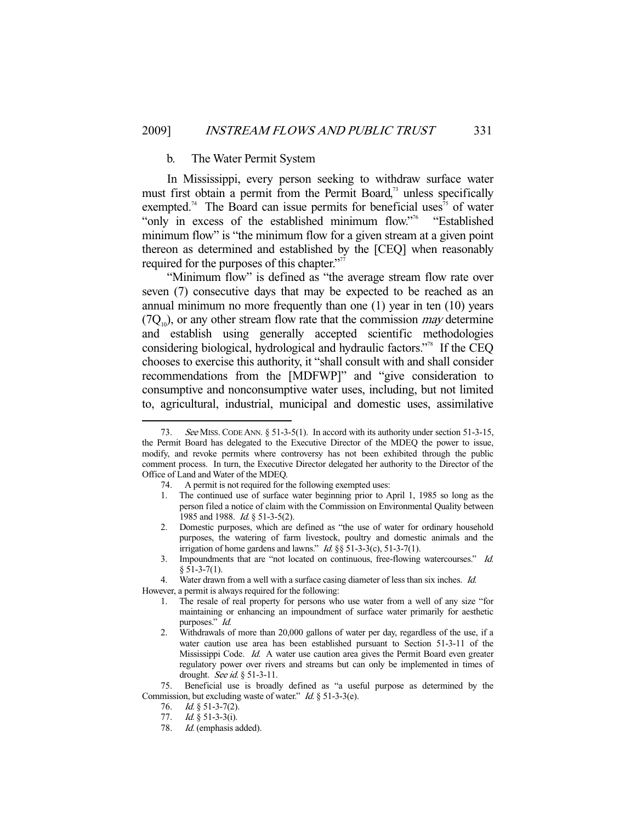## b. The Water Permit System

 In Mississippi, every person seeking to withdraw surface water must first obtain a permit from the Permit Board,<sup>73</sup> unless specifically exempted.<sup>74</sup> The Board can issue permits for beneficial uses<sup>75</sup> of water "only in excess of the established minimum flow."<sup>76</sup> "Established" minimum flow" is "the minimum flow for a given stream at a given point thereon as determined and established by the [CEQ] when reasonably required for the purposes of this chapter."<sup>77</sup>

 "Minimum flow" is defined as "the average stream flow rate over seven (7) consecutive days that may be expected to be reached as an annual minimum no more frequently than one (1) year in ten (10) years  $(7Q<sub>10</sub>)$ , or any other stream flow rate that the commission *may* determine and establish using generally accepted scientific methodologies considering biological, hydrological and hydraulic factors."78 If the CEQ chooses to exercise this authority, it "shall consult with and shall consider recommendations from the [MDFWP]" and "give consideration to consumptive and nonconsumptive water uses, including, but not limited to, agricultural, industrial, municipal and domestic uses, assimilative

- 1. The continued use of surface water beginning prior to April 1, 1985 so long as the person filed a notice of claim with the Commission on Environmental Quality between 1985 and 1988. *Id.* § 51-3-5(2).
- 2. Domestic purposes, which are defined as "the use of water for ordinary household purposes, the watering of farm livestock, poultry and domestic animals and the irrigation of home gardens and lawns."  $Id. \S \S 51-3-3(c)$ , 51-3-7(1).
- 3. Impoundments that are "not located on continuous, free-flowing watercourses." Id.  $§ 51-3-7(1).$

However, a permit is always required for the following:

<sup>73.</sup> See MISS. CODE ANN. § 51-3-5(1). In accord with its authority under section 51-3-15, the Permit Board has delegated to the Executive Director of the MDEQ the power to issue, modify, and revoke permits where controversy has not been exhibited through the public comment process. In turn, the Executive Director delegated her authority to the Director of the Office of Land and Water of the MDEQ.

 <sup>74.</sup> A permit is not required for the following exempted uses:

<sup>4.</sup> Water drawn from a well with a surface casing diameter of less than six inches. *Id.* 

<sup>1.</sup> The resale of real property for persons who use water from a well of any size "for maintaining or enhancing an impoundment of surface water primarily for aesthetic purposes." Id.

<sup>2.</sup> Withdrawals of more than 20,000 gallons of water per day, regardless of the use, if a water caution use area has been established pursuant to Section 51-3-11 of the Mississippi Code. Id. A water use caution area gives the Permit Board even greater regulatory power over rivers and streams but can only be implemented in times of drought. See id. § 51-3-11.

 <sup>75.</sup> Beneficial use is broadly defined as "a useful purpose as determined by the Commission, but excluding waste of water." *Id.* § 51-3-3(e).

<sup>76.</sup> *Id.* § 51-3-7(2).

<sup>77.</sup> *Id.*  $\frac{8}{9}$  51-3-3(i).

 <sup>78.</sup> Id. (emphasis added).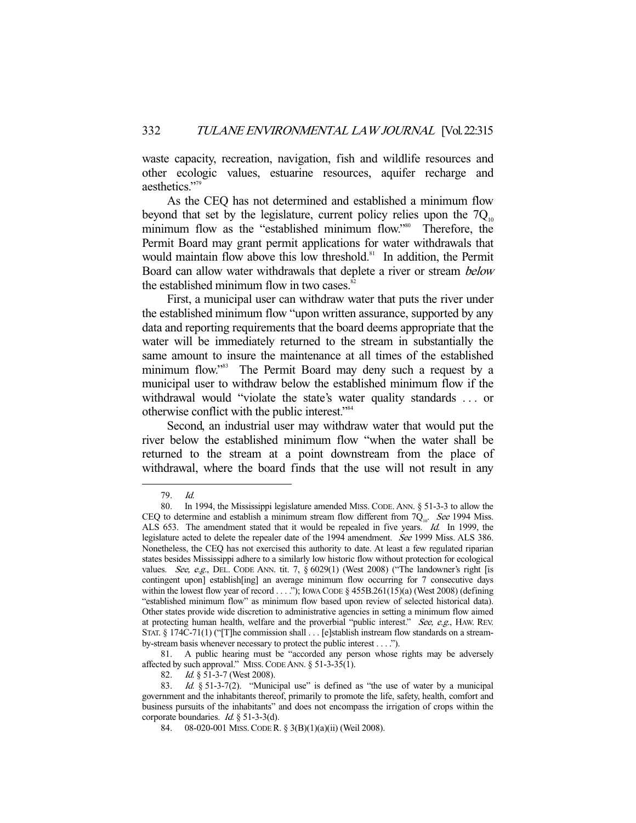waste capacity, recreation, navigation, fish and wildlife resources and other ecologic values, estuarine resources, aquifer recharge and aesthetics."<sup>79</sup>

 As the CEQ has not determined and established a minimum flow beyond that set by the legislature, current policy relies upon the  $7Q<sub>10</sub>$ minimum flow as the "established minimum flow."<sup>80</sup> Therefore, the Permit Board may grant permit applications for water withdrawals that would maintain flow above this low threshold.<sup>81</sup> In addition, the Permit Board can allow water withdrawals that deplete a river or stream below the established minimum flow in two cases.<sup>82</sup>

 First, a municipal user can withdraw water that puts the river under the established minimum flow "upon written assurance, supported by any data and reporting requirements that the board deems appropriate that the water will be immediately returned to the stream in substantially the same amount to insure the maintenance at all times of the established minimum flow."<sup>83</sup> The Permit Board may deny such a request by a municipal user to withdraw below the established minimum flow if the withdrawal would "violate the state's water quality standards . . . or otherwise conflict with the public interest."84

 Second, an industrial user may withdraw water that would put the river below the established minimum flow "when the water shall be returned to the stream at a point downstream from the place of withdrawal, where the board finds that the use will not result in any

-

 81. A public hearing must be "accorded any person whose rights may be adversely affected by such approval." MISS.CODE ANN. § 51-3-35(1).

82. *Id.* § 51-3-7 (West 2008).

 <sup>79.</sup> Id.

 <sup>80.</sup> In 1994, the Mississippi legislature amended MISS. CODE. ANN. § 51-3-3 to allow the CEQ to determine and establish a minimum stream flow different from  $7Q_{10}$ . See 1994 Miss. ALS 653. The amendment stated that it would be repealed in five years. Id. In 1999, the legislature acted to delete the repealer date of the 1994 amendment. See 1999 Miss. ALS 386. Nonetheless, the CEQ has not exercised this authority to date. At least a few regulated riparian states besides Mississippi adhere to a similarly low historic flow without protection for ecological values. See, e.g., DEL. CODE ANN. tit. 7,  $\S 6029(1)$  (West 2008) ("The landowner's right [is contingent upon] establish[ing] an average minimum flow occurring for 7 consecutive days within the lowest flow year of record . . . ."); IOWA CODE  $\S$  455B.261(15)(a) (West 2008) (defining "established minimum flow" as minimum flow based upon review of selected historical data). Other states provide wide discretion to administrative agencies in setting a minimum flow aimed at protecting human health, welfare and the proverbial "public interest." See, e.g., HAW. REV. STAT. § 174C-71(1) ("[T]he commission shall . . . [e]stablish instream flow standards on a streamby-stream basis whenever necessary to protect the public interest . . . .").

<sup>83.</sup> Id. § 51-3-7(2). "Municipal use" is defined as "the use of water by a municipal government and the inhabitants thereof, primarily to promote the life, safety, health, comfort and business pursuits of the inhabitants" and does not encompass the irrigation of crops within the corporate boundaries. Id. § 51-3-3(d).

 <sup>84. 08-020-001</sup> MISS.CODE R. § 3(B)(1)(a)(ii) (Weil 2008).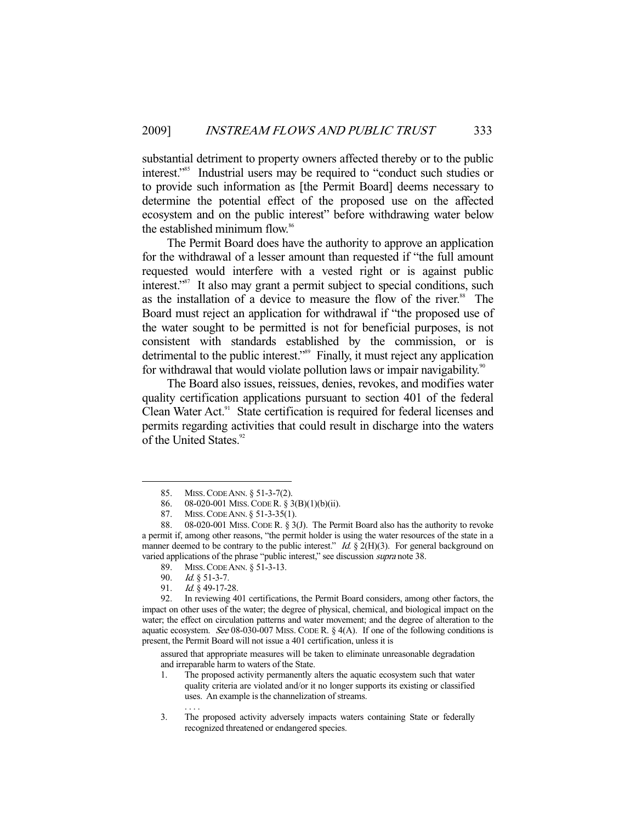substantial detriment to property owners affected thereby or to the public interest."85 Industrial users may be required to "conduct such studies or to provide such information as [the Permit Board] deems necessary to determine the potential effect of the proposed use on the affected ecosystem and on the public interest" before withdrawing water below the established minimum flow.<sup>86</sup>

 The Permit Board does have the authority to approve an application for the withdrawal of a lesser amount than requested if "the full amount requested would interfere with a vested right or is against public interest."<sup>87</sup> It also may grant a permit subject to special conditions, such as the installation of a device to measure the flow of the river.<sup>88</sup> The Board must reject an application for withdrawal if "the proposed use of the water sought to be permitted is not for beneficial purposes, is not consistent with standards established by the commission, or is detrimental to the public interest."89 Finally, it must reject any application for withdrawal that would violate pollution laws or impair navigability.<sup>90</sup>

 The Board also issues, reissues, denies, revokes, and modifies water quality certification applications pursuant to section 401 of the federal Clean Water Act.<sup>91</sup> State certification is required for federal licenses and permits regarding activities that could result in discharge into the waters of the United States.<sup>92</sup>

-

assured that appropriate measures will be taken to eliminate unreasonable degradation and irreparable harm to waters of the State.

 <sup>85.</sup> MISS.CODE ANN. § 51-3-7(2).

 <sup>86. 08-020-001</sup> MISS.CODE R. § 3(B)(1)(b)(ii).

<sup>87.</sup> MISS. CODE ANN. § 51-3-35(1).<br>88. 08-020-001 MISS. CODE R. § 30.

<sup>08-020-001</sup> MISS. CODE R. § 3(J). The Permit Board also has the authority to revoke a permit if, among other reasons, "the permit holder is using the water resources of the state in a manner deemed to be contrary to the public interest." Id.  $\S 2(H)(3)$ . For general background on varied applications of the phrase "public interest," see discussion supra note 38.

 <sup>89.</sup> MISS.CODE ANN. § 51-3-13.

 <sup>90.</sup> Id. § 51-3-7.

<sup>91.</sup> *Id.* § 49-17-28.<br>92. In reviewing 4

In reviewing 401 certifications, the Permit Board considers, among other factors, the impact on other uses of the water; the degree of physical, chemical, and biological impact on the water; the effect on circulation patterns and water movement; and the degree of alteration to the aquatic ecosystem. See 08-030-007 MISS. CODE R.  $\S$  4(A). If one of the following conditions is present, the Permit Board will not issue a 401 certification, unless it is

<sup>1.</sup> The proposed activity permanently alters the aquatic ecosystem such that water quality criteria are violated and/or it no longer supports its existing or classified uses. An example is the channelization of streams. . . . .

<sup>3.</sup> The proposed activity adversely impacts waters containing State or federally recognized threatened or endangered species.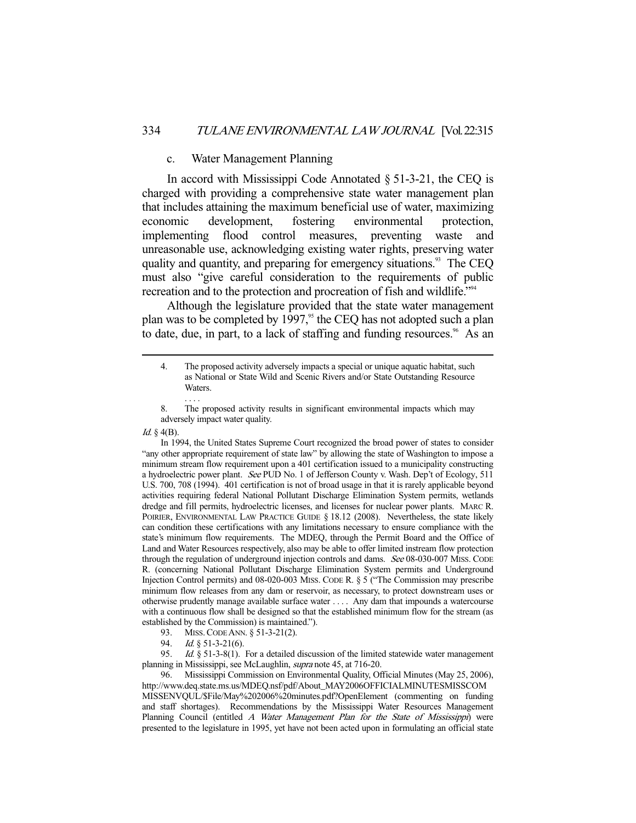## c. Water Management Planning

 In accord with Mississippi Code Annotated § 51-3-21, the CEQ is charged with providing a comprehensive state water management plan that includes attaining the maximum beneficial use of water, maximizing economic development, fostering environmental protection, implementing flood control measures, preventing waste and unreasonable use, acknowledging existing water rights, preserving water quality and quantity, and preparing for emergency situations.<sup>93</sup> The CEQ must also "give careful consideration to the requirements of public recreation and to the protection and procreation of fish and wildlife."94

 Although the legislature provided that the state water management plan was to be completed by 1997,<sup>95</sup> the CEQ has not adopted such a plan to date, due, in part, to a lack of staffing and funding resources.<sup>96</sup> As an

Id.  $\S$  4(B).

 In 1994, the United States Supreme Court recognized the broad power of states to consider "any other appropriate requirement of state law" by allowing the state of Washington to impose a minimum stream flow requirement upon a 401 certification issued to a municipality constructing a hydroelectric power plant. See PUD No. 1 of Jefferson County v. Wash. Dep't of Ecology, 511 U.S. 700, 708 (1994). 401 certification is not of broad usage in that it is rarely applicable beyond activities requiring federal National Pollutant Discharge Elimination System permits, wetlands dredge and fill permits, hydroelectric licenses, and licenses for nuclear power plants. MARC R. POIRIER, ENVIRONMENTAL LAW PRACTICE GUIDE § 18.12 (2008). Nevertheless, the state likely can condition these certifications with any limitations necessary to ensure compliance with the state's minimum flow requirements. The MDEQ, through the Permit Board and the Office of Land and Water Resources respectively, also may be able to offer limited instream flow protection through the regulation of underground injection controls and dams. See 08-030-007 MISS. CODE R. (concerning National Pollutant Discharge Elimination System permits and Underground Injection Control permits) and 08-020-003 MISS. CODE R. § 5 ("The Commission may prescribe minimum flow releases from any dam or reservoir, as necessary, to protect downstream uses or otherwise prudently manage available surface water . . . . Any dam that impounds a watercourse with a continuous flow shall be designed so that the established minimum flow for the stream (as established by the Commission) is maintained.").

- 93. MISS. CODE ANN. § 51-3-21(2).<br>94 *Id* 8 51-3-21(6)
- 94. *Id.* § 51-3-21(6).<br>95. *Id.* § 51-3-8(1).

*Id.*  $§$  51-3-8(1). For a detailed discussion of the limited statewide water management planning in Mississippi, see McLaughlin, supra note 45, at 716-20.

 96. Mississippi Commission on Environmental Quality, Official Minutes (May 25, 2006), http://www.deq.state.ms.us/MDEQ.nsf/pdf/About\_MAY2006OFFICIALMINUTESMISSCOM MISSENVQUL/\$File/May%202006%20minutes.pdf?OpenElement (commenting on funding and staff shortages). Recommendations by the Mississippi Water Resources Management Planning Council (entitled A Water Management Plan for the State of Mississippi) were presented to the legislature in 1995, yet have not been acted upon in formulating an official state

 <sup>4.</sup> The proposed activity adversely impacts a special or unique aquatic habitat, such as National or State Wild and Scenic Rivers and/or State Outstanding Resource Waters.

<sup>8.</sup> The proposed activity results in significant environmental impacts which may adversely impact water quality.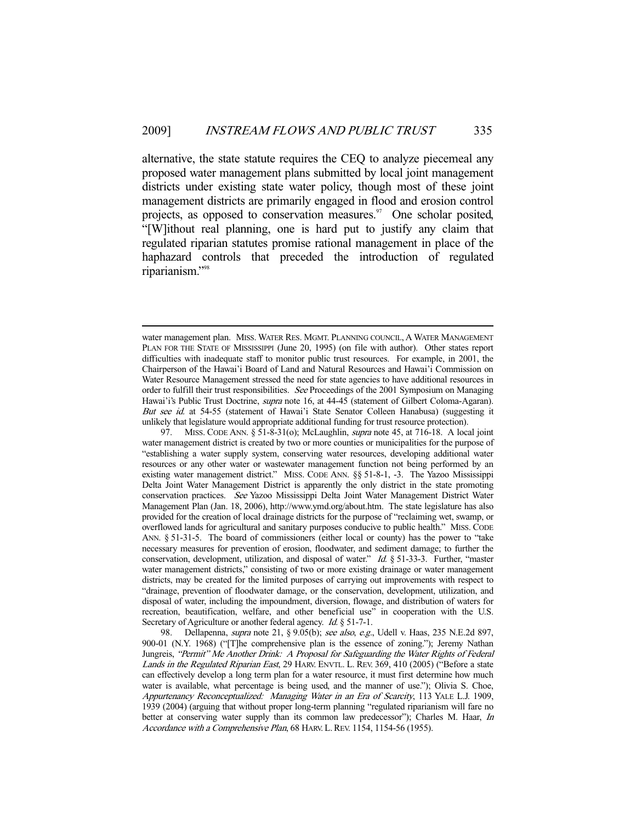alternative, the state statute requires the CEQ to analyze piecemeal any proposed water management plans submitted by local joint management districts under existing state water policy, though most of these joint management districts are primarily engaged in flood and erosion control projects, as opposed to conservation measures. $\frac{97}{2}$  One scholar posited, "[W]ithout real planning, one is hard put to justify any claim that regulated riparian statutes promise rational management in place of the haphazard controls that preceded the introduction of regulated riparianism."98

water management plan. MISS. WATER RES. MGMT. PLANNING COUNCIL, A WATER MANAGEMENT PLAN FOR THE STATE OF MISSISSIPPI (June 20, 1995) (on file with author). Other states report difficulties with inadequate staff to monitor public trust resources. For example, in 2001, the Chairperson of the Hawai'i Board of Land and Natural Resources and Hawai'i Commission on Water Resource Management stressed the need for state agencies to have additional resources in order to fulfill their trust responsibilities. See Proceedings of the 2001 Symposium on Managing Hawai'i's Public Trust Doctrine, *supra* note 16, at 44-45 (statement of Gilbert Coloma-Agaran). But see id. at 54-55 (statement of Hawai'i State Senator Colleen Hanabusa) (suggesting it unlikely that legislature would appropriate additional funding for trust resource protection).

<sup>97.</sup> MISS. CODE ANN. § 51-8-31(0); McLaughlin, *supra* note 45, at 716-18. A local joint water management district is created by two or more counties or municipalities for the purpose of "establishing a water supply system, conserving water resources, developing additional water resources or any other water or wastewater management function not being performed by an existing water management district." MISS. CODE ANN. §§ 51-8-1, -3. The Yazoo Mississippi Delta Joint Water Management District is apparently the only district in the state promoting conservation practices. See Yazoo Mississippi Delta Joint Water Management District Water Management Plan (Jan. 18, 2006), http://www.ymd.org/about.htm. The state legislature has also provided for the creation of local drainage districts for the purpose of "reclaiming wet, swamp, or overflowed lands for agricultural and sanitary purposes conducive to public health." MISS. CODE ANN. § 51-31-5. The board of commissioners (either local or county) has the power to "take necessary measures for prevention of erosion, floodwater, and sediment damage; to further the conservation, development, utilization, and disposal of water." Id. § 51-33-3. Further, "master water management districts," consisting of two or more existing drainage or water management districts, may be created for the limited purposes of carrying out improvements with respect to "drainage, prevention of floodwater damage, or the conservation, development, utilization, and disposal of water, including the impoundment, diversion, flowage, and distribution of waters for recreation, beautification, welfare, and other beneficial use" in cooperation with the U.S. Secretary of Agriculture or another federal agency. *Id.* § 51-7-1.

<sup>98.</sup> Dellapenna, *supra* note 21, § 9.05(b); see also, e.g., Udell v. Haas, 235 N.E.2d 897, 900-01 (N.Y. 1968) ("[T]he comprehensive plan is the essence of zoning."); Jeremy Nathan Jungreis, "Permit" Me Another Drink: A Proposal for Safeguarding the Water Rights of Federal Lands in the Regulated Riparian East, 29 HARV. ENVTL. L. REV. 369, 410 (2005) ("Before a state can effectively develop a long term plan for a water resource, it must first determine how much water is available, what percentage is being used, and the manner of use."); Olivia S. Choe, Appurtenancy Reconceptualized: Managing Water in an Era of Scarcity, 113 YALE L.J. 1909, 1939 (2004) (arguing that without proper long-term planning "regulated riparianism will fare no better at conserving water supply than its common law predecessor"); Charles M. Haar, In Accordance with a Comprehensive Plan, 68 HARV. L. REV. 1154, 1154-56 (1955).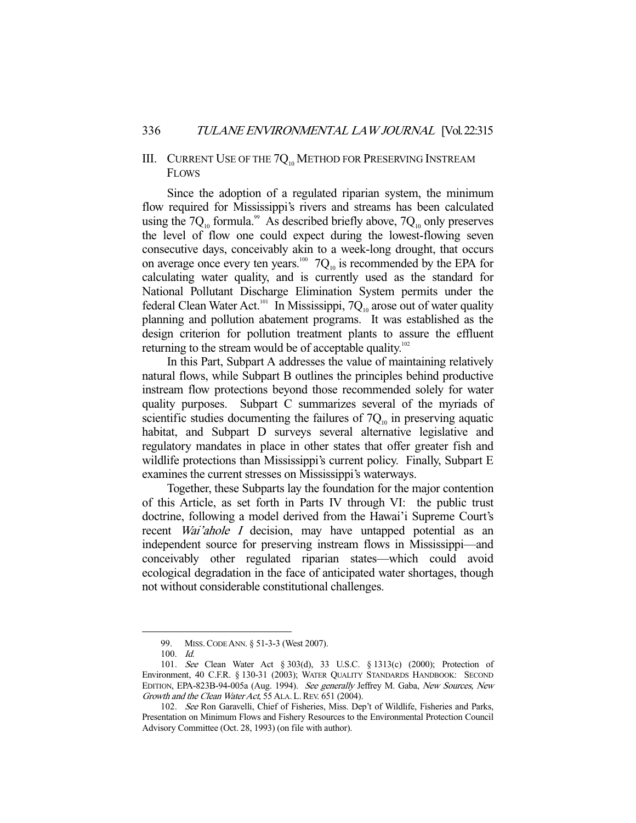# III. CURRENT USE OF THE  $7Q_{10}$  Method for Preserving Instream FLOWS

 Since the adoption of a regulated riparian system, the minimum flow required for Mississippi's rivers and streams has been calculated using the  $7Q_{10}$  formula.<sup>99</sup> As described briefly above,  $7Q_{10}$  only preserves the level of flow one could expect during the lowest-flowing seven consecutive days, conceivably akin to a week-long drought, that occurs on average once every ten years.<sup>100</sup>  $7Q_{10}$  is recommended by the EPA for calculating water quality, and is currently used as the standard for National Pollutant Discharge Elimination System permits under the federal Clean Water Act.<sup>101</sup> In Mississippi,  $7Q_{10}$  arose out of water quality planning and pollution abatement programs. It was established as the design criterion for pollution treatment plants to assure the effluent returning to the stream would be of acceptable quality.<sup>102</sup>

 In this Part, Subpart A addresses the value of maintaining relatively natural flows, while Subpart B outlines the principles behind productive instream flow protections beyond those recommended solely for water quality purposes. Subpart C summarizes several of the myriads of scientific studies documenting the failures of  $7Q<sub>10</sub>$  in preserving aquatic habitat, and Subpart D surveys several alternative legislative and regulatory mandates in place in other states that offer greater fish and wildlife protections than Mississippi's current policy. Finally, Subpart E examines the current stresses on Mississippi's waterways.

 Together, these Subparts lay the foundation for the major contention of this Article, as set forth in Parts IV through VI: the public trust doctrine, following a model derived from the Hawai'i Supreme Court's recent *Wai'ahole I* decision, may have untapped potential as an independent source for preserving instream flows in Mississippi—and conceivably other regulated riparian states—which could avoid ecological degradation in the face of anticipated water shortages, though not without considerable constitutional challenges.

 <sup>99.</sup> MISS.CODE ANN. § 51-3-3 (West 2007).

 <sup>100.</sup> Id.

 <sup>101.</sup> See Clean Water Act § 303(d), 33 U.S.C. § 1313(c) (2000); Protection of Environment, 40 C.F.R. § 130-31 (2003); WATER QUALITY STANDARDS HANDBOOK: SECOND EDITION, EPA-823B-94-005a (Aug. 1994). See generally Jeffrey M. Gaba, New Sources, New Growth and the Clean Water Act, 55 ALA. L. REV. 651 (2004).

 <sup>102.</sup> See Ron Garavelli, Chief of Fisheries, Miss. Dep't of Wildlife, Fisheries and Parks, Presentation on Minimum Flows and Fishery Resources to the Environmental Protection Council Advisory Committee (Oct. 28, 1993) (on file with author).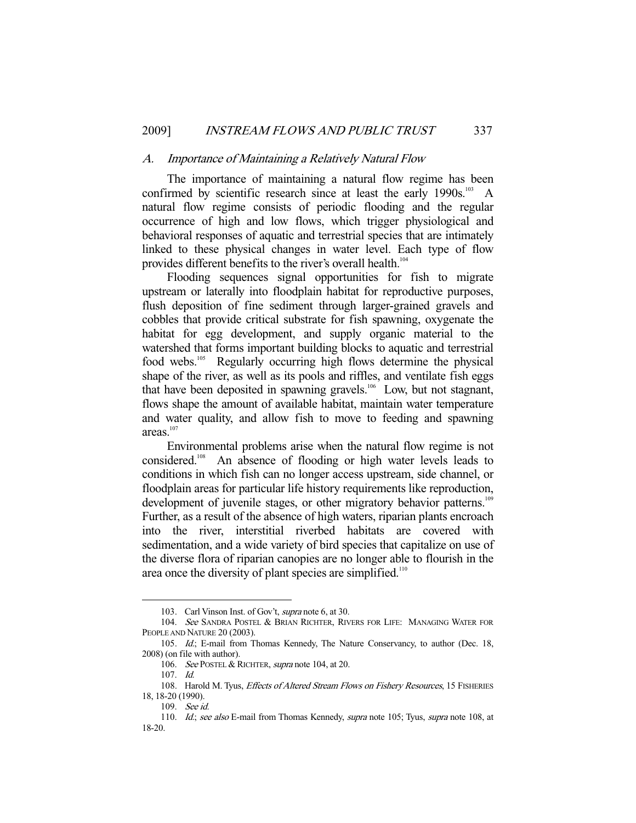#### A. Importance of Maintaining a Relatively Natural Flow

 The importance of maintaining a natural flow regime has been confirmed by scientific research since at least the early  $1990s$ .<sup>103</sup> A natural flow regime consists of periodic flooding and the regular occurrence of high and low flows, which trigger physiological and behavioral responses of aquatic and terrestrial species that are intimately linked to these physical changes in water level. Each type of flow provides different benefits to the river's overall health.<sup>104</sup>

 Flooding sequences signal opportunities for fish to migrate upstream or laterally into floodplain habitat for reproductive purposes, flush deposition of fine sediment through larger-grained gravels and cobbles that provide critical substrate for fish spawning, oxygenate the habitat for egg development, and supply organic material to the watershed that forms important building blocks to aquatic and terrestrial food webs.<sup>105</sup> Regularly occurring high flows determine the physical shape of the river, as well as its pools and riffles, and ventilate fish eggs that have been deposited in spawning gravels.<sup>106</sup> Low, but not stagnant, flows shape the amount of available habitat, maintain water temperature and water quality, and allow fish to move to feeding and spawning areas.<sup>107</sup>

 Environmental problems arise when the natural flow regime is not considered.108 An absence of flooding or high water levels leads to conditions in which fish can no longer access upstream, side channel, or floodplain areas for particular life history requirements like reproduction, development of juvenile stages, or other migratory behavior patterns.<sup>109</sup> Further, as a result of the absence of high waters, riparian plants encroach into the river, interstitial riverbed habitats are covered with sedimentation, and a wide variety of bird species that capitalize on use of the diverse flora of riparian canopies are no longer able to flourish in the area once the diversity of plant species are simplified.<sup>110</sup>

 <sup>103.</sup> Carl Vinson Inst. of Gov't, supra note 6, at 30.

<sup>104.</sup> See SANDRA POSTEL & BRIAN RICHTER, RIVERS FOR LIFE: MANAGING WATER FOR PEOPLE AND NATURE 20 (2003).

 <sup>105.</sup> Id.; E-mail from Thomas Kennedy, The Nature Conservancy, to author (Dec. 18, 2008) (on file with author).

<sup>106.</sup> See POSTEL & RICHTER, supra note 104, at 20.

 <sup>107.</sup> Id.

<sup>108.</sup> Harold M. Tyus, Effects of Altered Stream Flows on Fishery Resources, 15 FISHERIES 18, 18-20 (1990).

 <sup>109.</sup> See id.

<sup>110.</sup> Id.; see also E-mail from Thomas Kennedy, supra note 105; Tyus, supra note 108, at 18-20.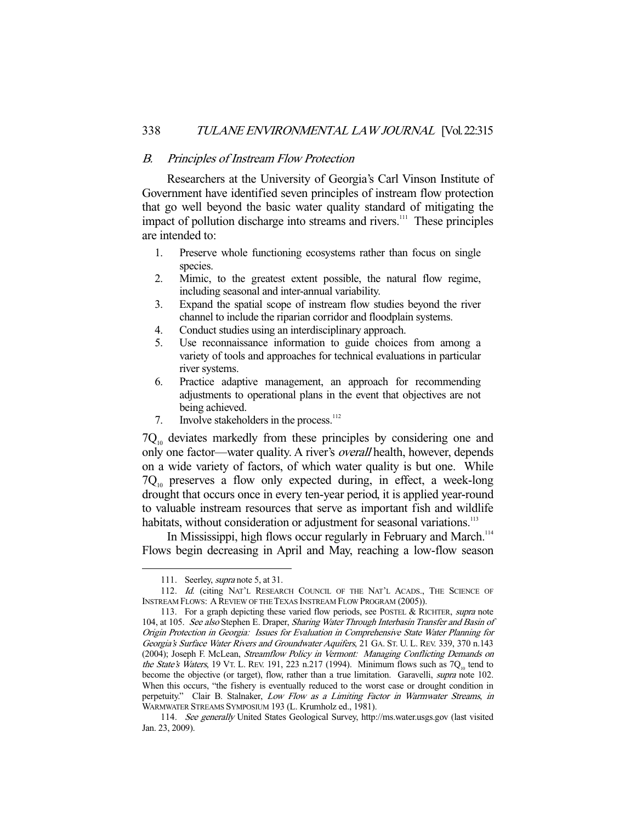## B. Principles of Instream Flow Protection

 Researchers at the University of Georgia's Carl Vinson Institute of Government have identified seven principles of instream flow protection that go well beyond the basic water quality standard of mitigating the impact of pollution discharge into streams and rivers.<sup>111</sup> These principles are intended to:

- 1. Preserve whole functioning ecosystems rather than focus on single species.
- 2. Mimic, to the greatest extent possible, the natural flow regime, including seasonal and inter-annual variability.
- 3. Expand the spatial scope of instream flow studies beyond the river channel to include the riparian corridor and floodplain systems.
- 4. Conduct studies using an interdisciplinary approach.
- 5. Use reconnaissance information to guide choices from among a variety of tools and approaches for technical evaluations in particular river systems.
- 6. Practice adaptive management, an approach for recommending adjustments to operational plans in the event that objectives are not being achieved.
- 7. Involve stakeholders in the process. $112$

 $7Q_{10}$  deviates markedly from these principles by considering one and only one factor—water quality. A river's overall health, however, depends on a wide variety of factors, of which water quality is but one. While  $7Q<sub>10</sub>$  preserves a flow only expected during, in effect, a week-long drought that occurs once in every ten-year period, it is applied year-round to valuable instream resources that serve as important fish and wildlife habitats, without consideration or adjustment for seasonal variations.<sup>113</sup>

In Mississippi, high flows occur regularly in February and March.<sup>114</sup> Flows begin decreasing in April and May, reaching a low-flow season

<sup>111.</sup> Seerley, *supra* note 5, at 31.

<sup>112.</sup> Id. (citing NAT'L RESEARCH COUNCIL OF THE NAT'L ACADS., THE SCIENCE OF INSTREAM FLOWS: A REVIEW OF THE TEXAS INSTREAM FLOW PROGRAM (2005)).

<sup>113.</sup> For a graph depicting these varied flow periods, see POSTEL & RICHTER, supra note 104, at 105. See also Stephen E. Draper, Sharing Water Through Interbasin Transfer and Basin of Origin Protection in Georgia: Issues for Evaluation in Comprehensive State Water Planning for Georgia's Surface Water Rivers and Groundwater Aquifers, 21 GA. ST. U. L. REV. 339, 370 n.143 (2004); Joseph F. McLean, Streamflow Policy in Vermont: Managing Conflicting Demands on the State's Waters, 19 VT. L. REV. 191, 223 n.217 (1994). Minimum flows such as  $7Q<sub>10</sub>$  tend to become the objective (or target), flow, rather than a true limitation. Garavelli, supra note 102. When this occurs, "the fishery is eventually reduced to the worst case or drought condition in perpetuity." Clair B. Stalnaker, Low Flow as a Limiting Factor in Warmwater Streams, in WARMWATER STREAMS SYMPOSIUM 193 (L. Krumholz ed., 1981).

 <sup>114.</sup> See generally United States Geological Survey, http://ms.water.usgs.gov (last visited Jan. 23, 2009).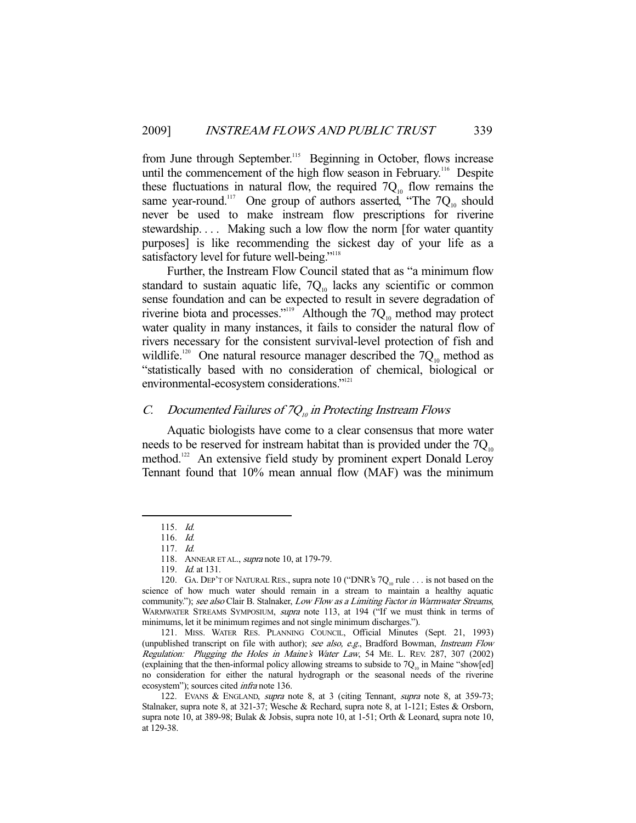from June through September.<sup>115</sup> Beginning in October, flows increase until the commencement of the high flow season in February.<sup>116</sup> Despite these fluctuations in natural flow, the required  $7Q_{10}$  flow remains the same year-round.<sup>117</sup> One group of authors asserted, "The  $7Q_{10}$  should never be used to make instream flow prescriptions for riverine stewardship. . . . Making such a low flow the norm [for water quantity purposes] is like recommending the sickest day of your life as a satisfactory level for future well-being."<sup>118</sup>

 Further, the Instream Flow Council stated that as "a minimum flow standard to sustain aquatic life,  $7Q_{10}$  lacks any scientific or common sense foundation and can be expected to result in severe degradation of riverine biota and processes."<sup>119</sup> Although the  $7Q_{10}$  method may protect water quality in many instances, it fails to consider the natural flow of rivers necessary for the consistent survival-level protection of fish and wildlife.<sup>120</sup> One natural resource manager described the  $7Q<sub>10</sub>$  method as "statistically based with no consideration of chemical, biological or environmental-ecosystem considerations."<sup>121</sup>

# C. Documented Failures of  $7Q_{10}$  in Protecting Instream Flows

 Aquatic biologists have come to a clear consensus that more water needs to be reserved for instream habitat than is provided under the  $7Q_{10}$ method.<sup>122</sup> An extensive field study by prominent expert Donald Leroy Tennant found that 10% mean annual flow (MAF) was the minimum

 <sup>115.</sup> Id.

 <sup>116.</sup> Id.

 <sup>117.</sup> Id.

<sup>118.</sup> ANNEAR ET AL., *supra* note 10, at 179-79.

<sup>119.</sup> *Id.* at 131.

<sup>120.</sup> GA. DEP'T OF NATURAL RES., supra note 10 ("DNR's  $7Q_{10}$  rule . . . is not based on the science of how much water should remain in a stream to maintain a healthy aquatic community."); see also Clair B. Stalnaker, Low Flow as a Limiting Factor in Warmwater Streams, WARMWATER STREAMS SYMPOSIUM, *supra* note 113, at 194 ("If we must think in terms of minimums, let it be minimum regimes and not single minimum discharges.").

 <sup>121.</sup> MISS. WATER RES. PLANNING COUNCIL, Official Minutes (Sept. 21, 1993) (unpublished transcript on file with author); see also, e.g., Bradford Bowman, Instream Flow Regulation: Plugging the Holes in Maine's Water Law, 54 ME. L. REV. 287, 307 (2002) (explaining that the then-informal policy allowing streams to subside to  $7Q_{10}$  in Maine "show[ed] no consideration for either the natural hydrograph or the seasonal needs of the riverine ecosystem"); sources cited infra note 136.

<sup>122.</sup> EVANS & ENGLAND, *supra* note 8, at 3 (citing Tennant, *supra* note 8, at 359-73; Stalnaker, supra note 8, at 321-37; Wesche & Rechard, supra note 8, at 1-121; Estes & Orsborn, supra note 10, at 389-98; Bulak & Jobsis, supra note 10, at 1-51; Orth & Leonard, supra note 10, at 129-38.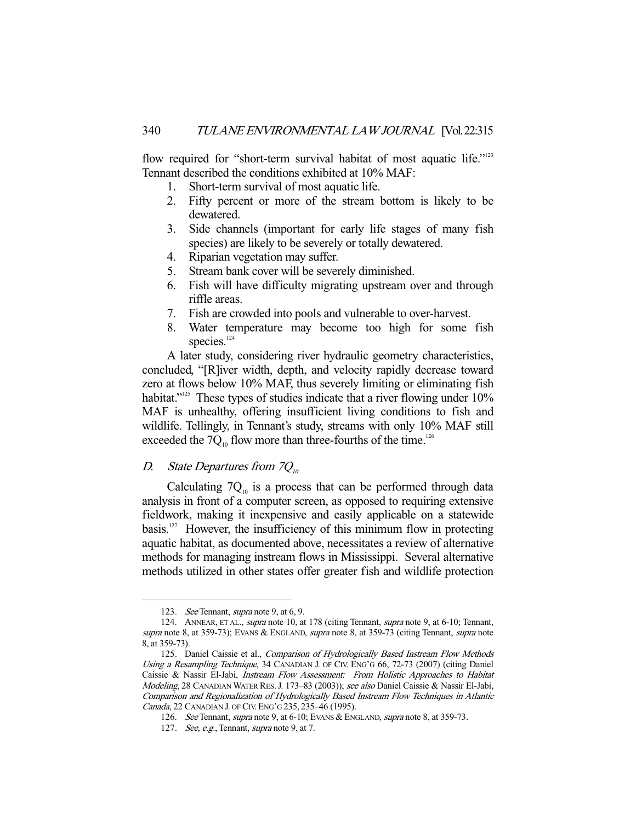flow required for "short-term survival habitat of most aquatic life."<sup>123</sup> Tennant described the conditions exhibited at 10% MAF:

- 1. Short-term survival of most aquatic life.
- 2. Fifty percent or more of the stream bottom is likely to be dewatered.
- 3. Side channels (important for early life stages of many fish species) are likely to be severely or totally dewatered.
- 4. Riparian vegetation may suffer.
- 5. Stream bank cover will be severely diminished.
- 6. Fish will have difficulty migrating upstream over and through riffle areas.
- 7. Fish are crowded into pools and vulnerable to over-harvest.
- 8. Water temperature may become too high for some fish species. $124$

 A later study, considering river hydraulic geometry characteristics, concluded, "[R]iver width, depth, and velocity rapidly decrease toward zero at flows below 10% MAF, thus severely limiting or eliminating fish habitat."<sup>125</sup> These types of studies indicate that a river flowing under 10% MAF is unhealthy, offering insufficient living conditions to fish and wildlife. Tellingly, in Tennant's study, streams with only 10% MAF still exceeded the 7 $Q_{10}$  flow more than three-fourths of the time.<sup>126</sup>

# D. State Departures from  $7Q_{10}$

Calculating  $7Q_{10}$  is a process that can be performed through data analysis in front of a computer screen, as opposed to requiring extensive fieldwork, making it inexpensive and easily applicable on a statewide basis.<sup>127</sup> However, the insufficiency of this minimum flow in protecting aquatic habitat, as documented above, necessitates a review of alternative methods for managing instream flows in Mississippi. Several alternative methods utilized in other states offer greater fish and wildlife protection

<sup>123.</sup> See Tennant, supra note 9, at 6, 9.

<sup>124.</sup> ANNEAR, ET AL., *supra* note 10, at 178 (citing Tennant, *supra* note 9, at 6-10; Tennant, supra note 8, at 359-73); EVANS & ENGLAND, supra note 8, at 359-73 (citing Tennant, supra note 8, at 359-73).

<sup>125.</sup> Daniel Caissie et al., Comparison of Hydrologically Based Instream Flow Methods Using a Resampling Technique, 34 CANADIAN J. OF CIV. ENG'G 66, 72-73 (2007) (citing Daniel Caissie & Nassir El-Jabi, Instream Flow Assessment: From Holistic Approaches to Habitat Modeling, 28 CANADIAN WATER RES. J. 173–83 (2003)); see also Daniel Caissie & Nassir El-Jabi, Comparison and Regionalization of Hydrologically Based Instream Flow Techniques in Atlantic Canada, 22 CANADIAN J. OF CIV. ENG'G 235, 235–46 (1995).

<sup>126.</sup> See Tennant, supra note 9, at 6-10; EVANS & ENGLAND, supra note 8, at 359-73.

<sup>127.</sup> See, e.g., Tennant, supra note 9, at 7.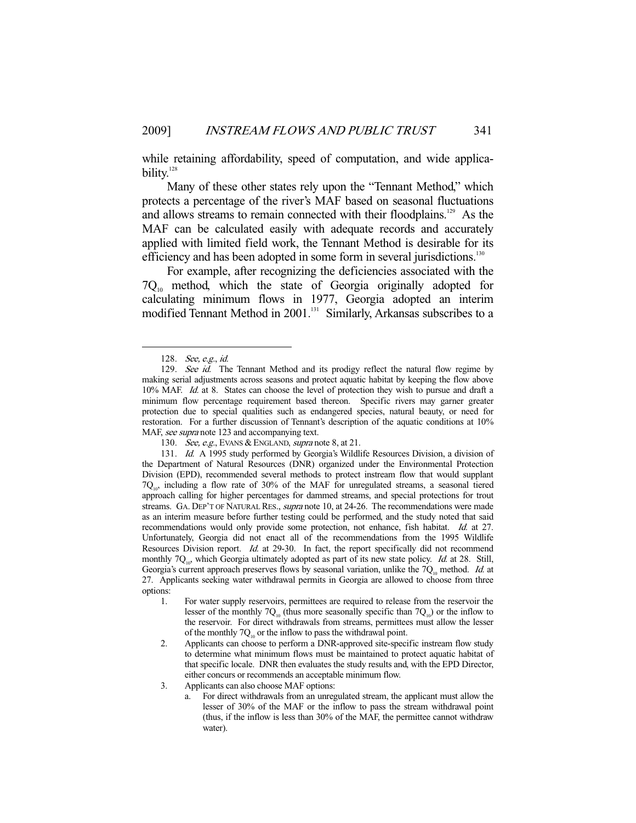while retaining affordability, speed of computation, and wide applicability.<sup>128</sup>

 Many of these other states rely upon the "Tennant Method," which protects a percentage of the river's MAF based on seasonal fluctuations and allows streams to remain connected with their floodplains.<sup>129</sup> As the MAF can be calculated easily with adequate records and accurately applied with limited field work, the Tennant Method is desirable for its efficiency and has been adopted in some form in several jurisdictions.<sup>130</sup>

 For example, after recognizing the deficiencies associated with the  $7Q_{10}$  method, which the state of Georgia originally adopted for calculating minimum flows in 1977, Georgia adopted an interim modified Tennant Method in 2001.<sup>131</sup> Similarly, Arkansas subscribes to a

 <sup>128.</sup> See, e.g., id.

<sup>129.</sup> See id. The Tennant Method and its prodigy reflect the natural flow regime by making serial adjustments across seasons and protect aquatic habitat by keeping the flow above 10% MAF. Id. at 8. States can choose the level of protection they wish to pursue and draft a minimum flow percentage requirement based thereon. Specific rivers may garner greater protection due to special qualities such as endangered species, natural beauty, or need for restoration. For a further discussion of Tennant's description of the aquatic conditions at 10% MAF, see supra note 123 and accompanying text.

<sup>130.</sup> See, e.g., EVANS & ENGLAND, supra note 8, at 21.

<sup>131.</sup> *Id.* A 1995 study performed by Georgia's Wildlife Resources Division, a division of the Department of Natural Resources (DNR) organized under the Environmental Protection Division (EPD), recommended several methods to protect instream flow that would supplant  $7Q_{10}$ , including a flow rate of 30% of the MAF for unregulated streams, a seasonal tiered approach calling for higher percentages for dammed streams, and special protections for trout streams. GA. DEP'T OF NATURAL RES., *supra* note 10, at 24-26. The recommendations were made as an interim measure before further testing could be performed, and the study noted that said recommendations would only provide some protection, not enhance, fish habitat. Id. at 27. Unfortunately, Georgia did not enact all of the recommendations from the 1995 Wildlife Resources Division report. Id. at 29-30. In fact, the report specifically did not recommend monthly  $7Q_{10}$ , which Georgia ultimately adopted as part of its new state policy. Id. at 28. Still, Georgia's current approach preserves flows by seasonal variation, unlike the  $7Q_{10}$  method. *Id.* at 27. Applicants seeking water withdrawal permits in Georgia are allowed to choose from three options:

<sup>1.</sup> For water supply reservoirs, permittees are required to release from the reservoir the lesser of the monthly  $7Q_{10}$  (thus more seasonally specific than  $7Q_{10}$ ) or the inflow to the reservoir. For direct withdrawals from streams, permittees must allow the lesser of the monthly  $7Q_{10}$  or the inflow to pass the withdrawal point.

<sup>2.</sup> Applicants can choose to perform a DNR-approved site-specific instream flow study to determine what minimum flows must be maintained to protect aquatic habitat of that specific locale. DNR then evaluates the study results and, with the EPD Director, either concurs or recommends an acceptable minimum flow.

<sup>3.</sup> Applicants can also choose MAF options:

a. For direct withdrawals from an unregulated stream, the applicant must allow the lesser of 30% of the MAF or the inflow to pass the stream withdrawal point (thus, if the inflow is less than 30% of the MAF, the permittee cannot withdraw water).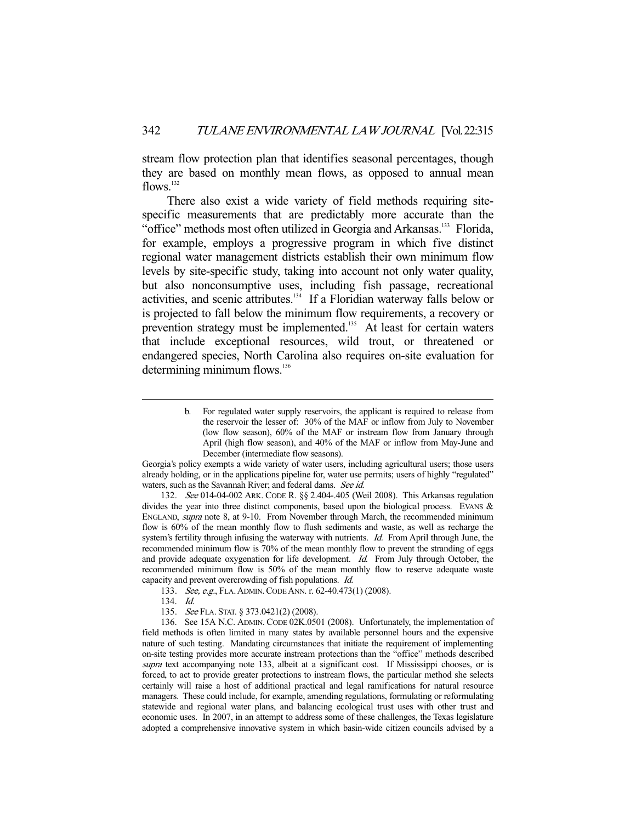stream flow protection plan that identifies seasonal percentages, though they are based on monthly mean flows, as opposed to annual mean flows. $132$ 

 There also exist a wide variety of field methods requiring sitespecific measurements that are predictably more accurate than the "office" methods most often utilized in Georgia and Arkansas.<sup>133</sup> Florida, for example, employs a progressive program in which five distinct regional water management districts establish their own minimum flow levels by site-specific study, taking into account not only water quality, but also nonconsumptive uses, including fish passage, recreational activities, and scenic attributes.134 If a Floridian waterway falls below or is projected to fall below the minimum flow requirements, a recovery or prevention strategy must be implemented.<sup>135</sup> At least for certain waters that include exceptional resources, wild trout, or threatened or endangered species, North Carolina also requires on-site evaluation for determining minimum flows.<sup>136</sup>

Georgia's policy exempts a wide variety of water users, including agricultural users; those users already holding, or in the applications pipeline for, water use permits; users of highly "regulated" waters, such as the Savannah River; and federal dams. See id.

 132. See 014-04-002 ARK. CODE R. §§ 2.404-.405 (Weil 2008). This Arkansas regulation divides the year into three distinct components, based upon the biological process. EVANS & ENGLAND, supra note 8, at 9-10. From November through March, the recommended minimum flow is 60% of the mean monthly flow to flush sediments and waste, as well as recharge the system's fertility through infusing the waterway with nutrients. *Id.* From April through June, the recommended minimum flow is 70% of the mean monthly flow to prevent the stranding of eggs and provide adequate oxygenation for life development. Id. From July through October, the recommended minimum flow is 50% of the mean monthly flow to reserve adequate waste capacity and prevent overcrowding of fish populations. Id.

For regulated water supply reservoirs, the applicant is required to release from the reservoir the lesser of: 30% of the MAF or inflow from July to November (low flow season), 60% of the MAF or instream flow from January through April (high flow season), and 40% of the MAF or inflow from May-June and December (intermediate flow seasons).

 <sup>133.</sup> See, e.g., FLA.ADMIN.CODE ANN. r. 62-40.473(1) (2008).

 <sup>134.</sup> Id.

<sup>135.</sup> See FLA. STAT. § 373.0421(2) (2008).

 <sup>136.</sup> See 15A N.C. ADMIN. CODE 02K.0501 (2008). Unfortunately, the implementation of field methods is often limited in many states by available personnel hours and the expensive nature of such testing. Mandating circumstances that initiate the requirement of implementing on-site testing provides more accurate instream protections than the "office" methods described supra text accompanying note 133, albeit at a significant cost. If Mississippi chooses, or is forced, to act to provide greater protections to instream flows, the particular method she selects certainly will raise a host of additional practical and legal ramifications for natural resource managers. These could include, for example, amending regulations, formulating or reformulating statewide and regional water plans, and balancing ecological trust uses with other trust and economic uses. In 2007, in an attempt to address some of these challenges, the Texas legislature adopted a comprehensive innovative system in which basin-wide citizen councils advised by a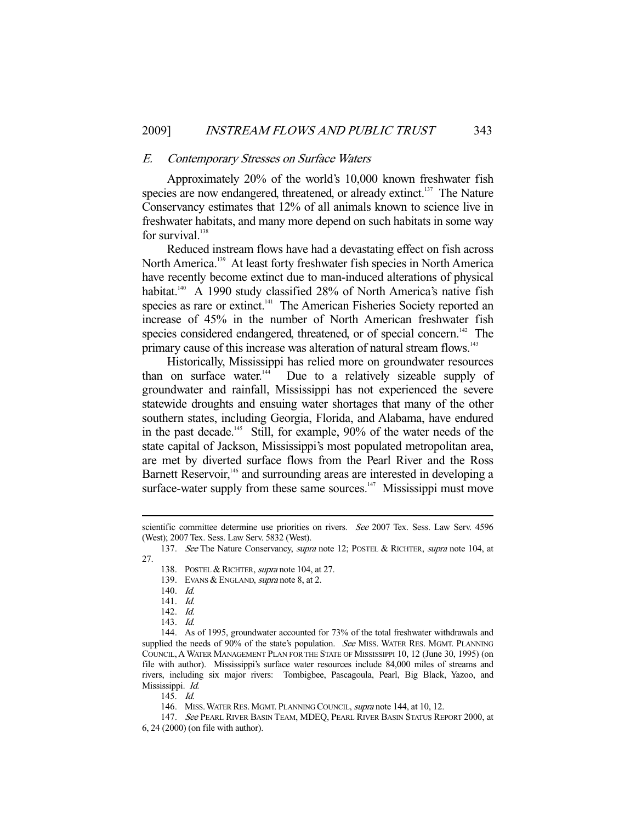## E. Contemporary Stresses on Surface Waters

 Approximately 20% of the world's 10,000 known freshwater fish species are now endangered, threatened, or already extinct.<sup>137</sup> The Nature Conservancy estimates that 12% of all animals known to science live in freshwater habitats, and many more depend on such habitats in some way for survival.<sup>138</sup>

 Reduced instream flows have had a devastating effect on fish across North America.<sup>139</sup> At least forty freshwater fish species in North America have recently become extinct due to man-induced alterations of physical habitat.<sup>140</sup> A 1990 study classified 28% of North America's native fish species as rare or extinct.<sup>141</sup> The American Fisheries Society reported an increase of 45% in the number of North American freshwater fish species considered endangered, threatened, or of special concern.<sup>142</sup> The primary cause of this increase was alteration of natural stream flows.<sup>143</sup>

 Historically, Mississippi has relied more on groundwater resources than on surface water.<sup>144</sup> Due to a relatively sizeable supply of groundwater and rainfall, Mississippi has not experienced the severe statewide droughts and ensuing water shortages that many of the other southern states, including Georgia, Florida, and Alabama, have endured in the past decade.<sup>145</sup> Still, for example, 90% of the water needs of the state capital of Jackson, Mississippi's most populated metropolitan area, are met by diverted surface flows from the Pearl River and the Ross Barnett Reservoir,<sup>146</sup> and surrounding areas are interested in developing a surface-water supply from these same sources. $147$  Mississippi must move

139. EVANS & ENGLAND, *supra* note 8, at 2.

-

145. Id.

scientific committee determine use priorities on rivers. See 2007 Tex. Sess. Law Serv. 4596 (West); 2007 Tex. Sess. Law Serv. 5832 (West).

<sup>137.</sup> See The Nature Conservancy, supra note 12; POSTEL & RICHTER, supra note 104, at 27.

<sup>138.</sup> POSTEL & RICHTER, *supra* note 104, at 27.

 <sup>140.</sup> Id.

 <sup>141.</sup> Id.

 <sup>142.</sup> Id.

 <sup>143.</sup> Id.

 <sup>144.</sup> As of 1995, groundwater accounted for 73% of the total freshwater withdrawals and supplied the needs of 90% of the state's population. See MISS. WATER RES. MGMT. PLANNING COUNCIL,A WATER MANAGEMENT PLAN FOR THE STATE OF MISSISSIPPI 10, 12 (June 30, 1995) (on file with author). Mississippi's surface water resources include 84,000 miles of streams and rivers, including six major rivers: Tombigbee, Pascagoula, Pearl, Big Black, Yazoo, and Mississippi. Id.

<sup>146.</sup> MISS. WATER RES. MGMT. PLANNING COUNCIL, *supra* note 144, at 10, 12.

 <sup>147.</sup> See PEARL RIVER BASIN TEAM, MDEQ, PEARL RIVER BASIN STATUS REPORT 2000, at 6, 24 (2000) (on file with author).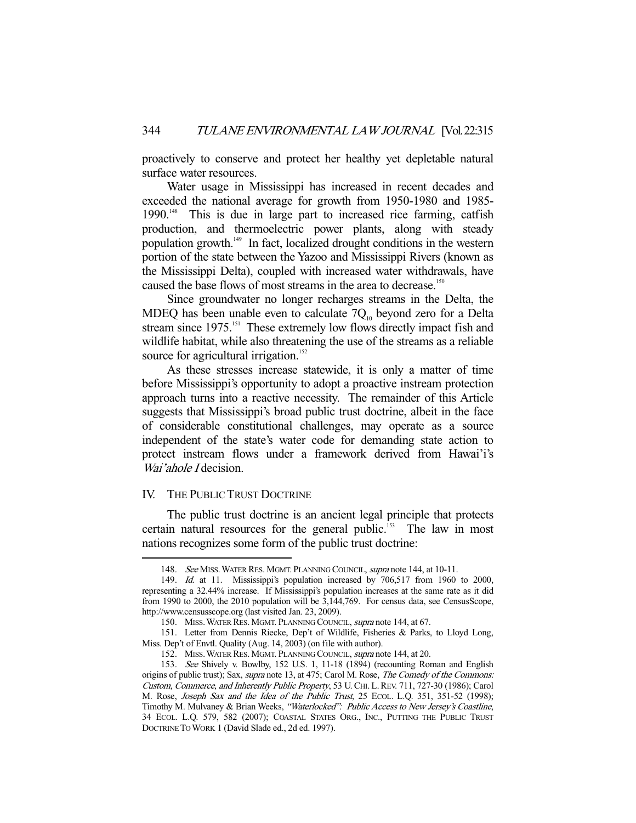proactively to conserve and protect her healthy yet depletable natural surface water resources.

 Water usage in Mississippi has increased in recent decades and exceeded the national average for growth from 1950-1980 and 1985- 1990.<sup>148</sup> This is due in large part to increased rice farming, catfish production, and thermoelectric power plants, along with steady population growth.149 In fact, localized drought conditions in the western portion of the state between the Yazoo and Mississippi Rivers (known as the Mississippi Delta), coupled with increased water withdrawals, have caused the base flows of most streams in the area to decrease.<sup>150</sup>

 Since groundwater no longer recharges streams in the Delta, the MDEQ has been unable even to calculate  $7Q_{10}$  beyond zero for a Delta stream since 1975.<sup>151</sup> These extremely low flows directly impact fish and wildlife habitat, while also threatening the use of the streams as a reliable source for agricultural irrigation.<sup>152</sup>

 As these stresses increase statewide, it is only a matter of time before Mississippi's opportunity to adopt a proactive instream protection approach turns into a reactive necessity. The remainder of this Article suggests that Mississippi's broad public trust doctrine, albeit in the face of considerable constitutional challenges, may operate as a source independent of the state's water code for demanding state action to protect instream flows under a framework derived from Hawai'i's Wai'ahole *I* decision.

# IV. THE PUBLIC TRUST DOCTRINE

-

 The public trust doctrine is an ancient legal principle that protects certain natural resources for the general public.<sup>153</sup> The law in most nations recognizes some form of the public trust doctrine:

<sup>148.</sup> See MISS. WATER RES. MGMT. PLANNING COUNCIL, supra note 144, at 10-11.

<sup>149.</sup> Id. at 11. Mississippi's population increased by 706,517 from 1960 to 2000, representing a 32.44% increase. If Mississippi's population increases at the same rate as it did from 1990 to 2000, the 2010 population will be 3,144,769. For census data, see CensusScope, http://www.censusscope.org (last visited Jan. 23, 2009).

<sup>150.</sup> MISS. WATER RES. MGMT. PLANNING COUNCIL, supra note 144, at 67.

 <sup>151.</sup> Letter from Dennis Riecke, Dep't of Wildlife, Fisheries & Parks, to Lloyd Long, Miss. Dep't of Envtl. Quality (Aug. 14, 2003) (on file with author).

<sup>152.</sup> MISS. WATER RES. MGMT. PLANNING COUNCIL, *supra* note 144, at 20.

 <sup>153.</sup> See Shively v. Bowlby, 152 U.S. 1, 11-18 (1894) (recounting Roman and English origins of public trust); Sax, supra note 13, at 475; Carol M. Rose, The Comedy of the Commons: Custom, Commerce, and Inherently Public Property, 53 U.CHI. L.REV. 711, 727-30 (1986); Carol M. Rose, Joseph Sax and the Idea of the Public Trust, 25 ECOL. L.Q. 351, 351-52 (1998); Timothy M. Mulvaney & Brian Weeks, "Waterlocked": Public Access to New Jersey's Coastline, 34 ECOL. L.Q. 579, 582 (2007); COASTAL STATES ORG., INC., PUTTING THE PUBLIC TRUST DOCTRINE TO WORK 1 (David Slade ed., 2d ed. 1997).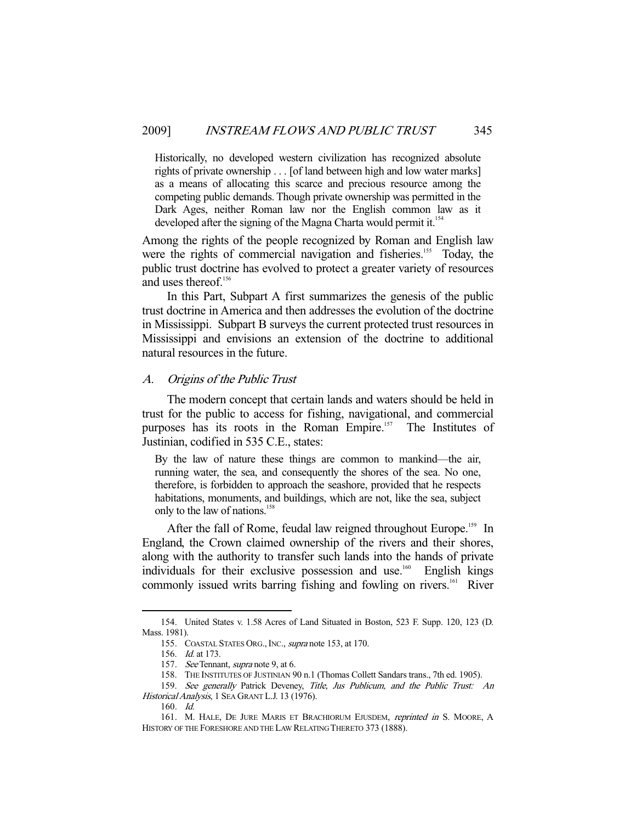Historically, no developed western civilization has recognized absolute rights of private ownership . . . [of land between high and low water marks] as a means of allocating this scarce and precious resource among the competing public demands. Though private ownership was permitted in the Dark Ages, neither Roman law nor the English common law as it developed after the signing of the Magna Charta would permit it.<sup>154</sup>

Among the rights of the people recognized by Roman and English law were the rights of commercial navigation and fisheries.<sup>155</sup> Today, the public trust doctrine has evolved to protect a greater variety of resources and uses thereof.<sup>156</sup>

 In this Part, Subpart A first summarizes the genesis of the public trust doctrine in America and then addresses the evolution of the doctrine in Mississippi. Subpart B surveys the current protected trust resources in Mississippi and envisions an extension of the doctrine to additional natural resources in the future.

## A. Origins of the Public Trust

 The modern concept that certain lands and waters should be held in trust for the public to access for fishing, navigational, and commercial purposes has its roots in the Roman Empire.<sup>157</sup> The Institutes of Justinian, codified in 535 C.E., states:

By the law of nature these things are common to mankind—the air, running water, the sea, and consequently the shores of the sea. No one, therefore, is forbidden to approach the seashore, provided that he respects habitations, monuments, and buildings, which are not, like the sea, subject only to the law of nations.<sup>158</sup>

After the fall of Rome, feudal law reigned throughout Europe.<sup>159</sup> In England, the Crown claimed ownership of the rivers and their shores, along with the authority to transfer such lands into the hands of private individuals for their exclusive possession and use.<sup>160</sup> English kings commonly issued writs barring fishing and fowling on rivers.<sup>161</sup> River

 <sup>154.</sup> United States v. 1.58 Acres of Land Situated in Boston, 523 F. Supp. 120, 123 (D. Mass. 1981).

 <sup>155.</sup> COASTAL STATES ORG.,INC., supra note 153, at 170.

 <sup>156.</sup> Id. at 173.

 <sup>157.</sup> See Tennant, supra note 9, at 6.

 <sup>158.</sup> THE INSTITUTES OF JUSTINIAN 90 n.1 (Thomas Collett Sandars trans., 7th ed. 1905).

 <sup>159.</sup> See generally Patrick Deveney, Title, Jus Publicum, and the Public Trust: An Historical Analysis, 1 SEA GRANT L.J. 13 (1976).

 <sup>160.</sup> Id.

<sup>161.</sup> M. HALE, DE JURE MARIS ET BRACHIORUM EJUSDEM, reprinted in S. MOORE, A HISTORY OF THE FORESHORE AND THE LAW RELATING THERETO 373 (1888).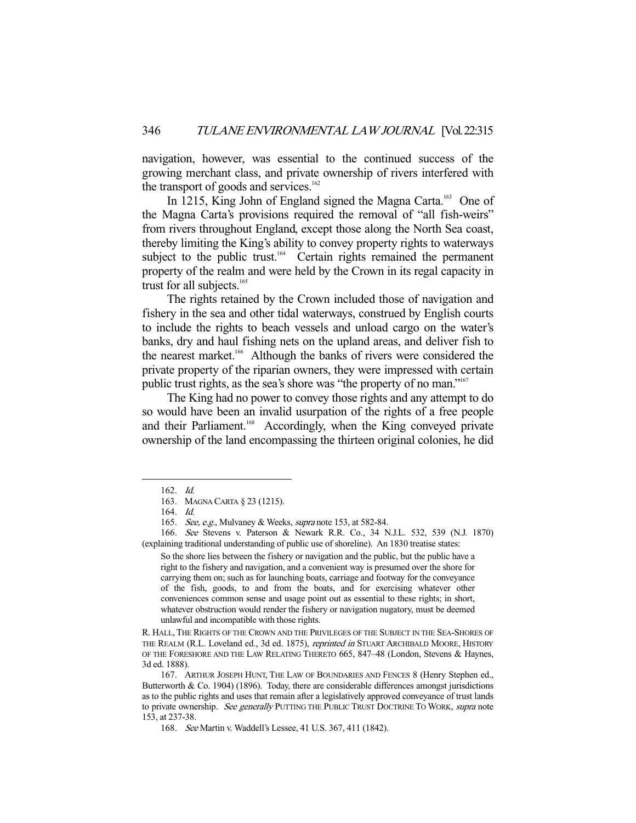navigation, however, was essential to the continued success of the growing merchant class, and private ownership of rivers interfered with the transport of goods and services. $162$ 

In 1215, King John of England signed the Magna Carta.<sup>163</sup> One of the Magna Carta's provisions required the removal of "all fish-weirs" from rivers throughout England, except those along the North Sea coast, thereby limiting the King's ability to convey property rights to waterways subject to the public trust.<sup>164</sup> Certain rights remained the permanent property of the realm and were held by the Crown in its regal capacity in trust for all subjects.<sup>165</sup>

 The rights retained by the Crown included those of navigation and fishery in the sea and other tidal waterways, construed by English courts to include the rights to beach vessels and unload cargo on the water's banks, dry and haul fishing nets on the upland areas, and deliver fish to the nearest market.<sup>166</sup> Although the banks of rivers were considered the private property of the riparian owners, they were impressed with certain public trust rights, as the sea's shore was "the property of no man."167

 The King had no power to convey those rights and any attempt to do so would have been an invalid usurpation of the rights of a free people and their Parliament.<sup>168</sup> Accordingly, when the King conveyed private ownership of the land encompassing the thirteen original colonies, he did

-

 166. See Stevens v. Paterson & Newark R.R. Co., 34 N.J.L. 532, 539 (N.J. 1870) (explaining traditional understanding of public use of shoreline). An 1830 treatise states:

So the shore lies between the fishery or navigation and the public, but the public have a right to the fishery and navigation, and a convenient way is presumed over the shore for carrying them on; such as for launching boats, carriage and footway for the conveyance of the fish, goods, to and from the boats, and for exercising whatever other conveniences common sense and usage point out as essential to these rights; in short, whatever obstruction would render the fishery or navigation nugatory, must be deemed unlawful and incompatible with those rights.

R. HALL, THE RIGHTS OF THE CROWN AND THE PRIVILEGES OF THE SUBJECT IN THE SEA-SHORES OF THE REALM (R.L. Loveland ed., 3d ed. 1875), *reprinted in* STUART ARCHIBALD MOORE, HISTORY OF THE FORESHORE AND THE LAW RELATING THERETO 665, 847–48 (London, Stevens & Haynes, 3d ed. 1888).

 167. ARTHUR JOSEPH HUNT, THE LAW OF BOUNDARIES AND FENCES 8 (Henry Stephen ed., Butterworth & Co. 1904) (1896). Today, there are considerable differences amongst jurisdictions as to the public rights and uses that remain after a legislatively approved conveyance of trust lands to private ownership. See generally PUTTING THE PUBLIC TRUST DOCTRINE TO WORK, supra note 153, at 237-38.

168. See Martin v. Waddell's Lessee, 41 U.S. 367, 411 (1842).

 <sup>162.</sup> Id.

 <sup>163.</sup> MAGNA CARTA § 23 (1215).

 <sup>164.</sup> Id.

<sup>165.</sup> See, e.g., Mulvaney & Weeks, supra note 153, at 582-84.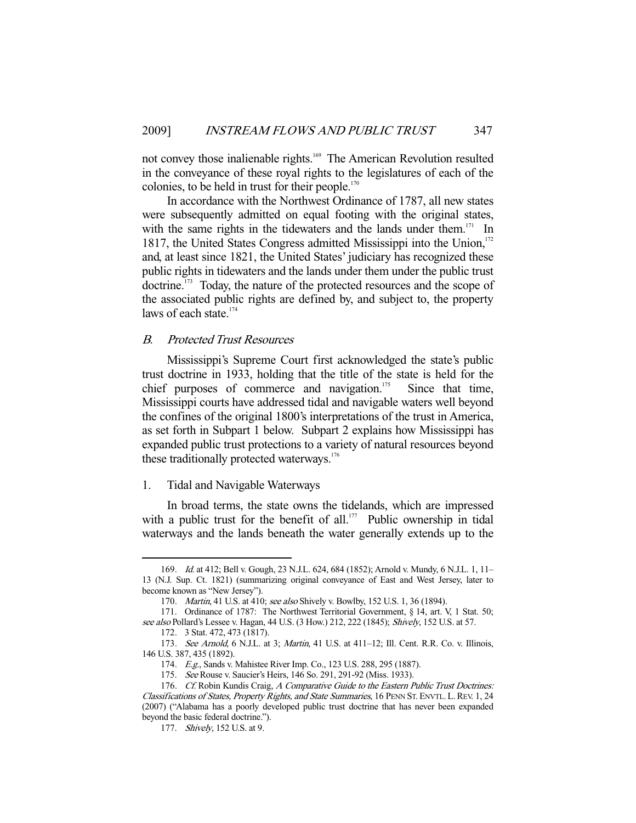not convey those inalienable rights.<sup>169</sup> The American Revolution resulted in the conveyance of these royal rights to the legislatures of each of the colonies, to be held in trust for their people. $170$ 

 In accordance with the Northwest Ordinance of 1787, all new states were subsequently admitted on equal footing with the original states, with the same rights in the tidewaters and the lands under them. $171$  In 1817, the United States Congress admitted Mississippi into the Union,<sup>172</sup> and, at least since 1821, the United States' judiciary has recognized these public rights in tidewaters and the lands under them under the public trust doctrine.<sup>173</sup> Today, the nature of the protected resources and the scope of the associated public rights are defined by, and subject to, the property laws of each state.<sup>174</sup>

# B. Protected Trust Resources

 Mississippi's Supreme Court first acknowledged the state's public trust doctrine in 1933, holding that the title of the state is held for the chief purposes of commerce and navigation.<sup>175</sup> Since that time, Mississippi courts have addressed tidal and navigable waters well beyond the confines of the original 1800's interpretations of the trust in America, as set forth in Subpart 1 below. Subpart 2 explains how Mississippi has expanded public trust protections to a variety of natural resources beyond these traditionally protected waterways.<sup>176</sup>

# 1. Tidal and Navigable Waterways

 In broad terms, the state owns the tidelands, which are impressed with a public trust for the benefit of all.<sup>177</sup> Public ownership in tidal waterways and the lands beneath the water generally extends up to the

 <sup>169.</sup> Id. at 412; Bell v. Gough, 23 N.J.L. 624, 684 (1852); Arnold v. Mundy, 6 N.J.L. 1, 11– 13 (N.J. Sup. Ct. 1821) (summarizing original conveyance of East and West Jersey, later to become known as "New Jersey").

<sup>170.</sup> Martin, 41 U.S. at 410; see also Shively v. Bowlby, 152 U.S. 1, 36 (1894).

 <sup>171.</sup> Ordinance of 1787: The Northwest Territorial Government, § 14, art. V, 1 Stat. 50; see also Pollard's Lessee v. Hagan, 44 U.S. (3 How.) 212, 222 (1845); Shively, 152 U.S. at 57.

 <sup>172. 3</sup> Stat. 472, 473 (1817).

<sup>173.</sup> See Arnold, 6 N.J.L. at 3; Martin, 41 U.S. at 411-12; Ill. Cent. R.R. Co. v. Illinois, 146 U.S. 387, 435 (1892).

 <sup>174.</sup> E.g., Sands v. Mahistee River Imp. Co., 123 U.S. 288, 295 (1887).

<sup>175.</sup> See Rouse v. Saucier's Heirs, 146 So. 291, 291-92 (Miss. 1933).

<sup>176.</sup> Cf. Robin Kundis Craig, A Comparative Guide to the Eastern Public Trust Doctrines: Classifications of States, Property Rights, and State Summaries, 16 PENN ST. ENVTL. L.REV. 1, 24 (2007) ("Alabama has a poorly developed public trust doctrine that has never been expanded beyond the basic federal doctrine.").

<sup>177.</sup> Shively, 152 U.S. at 9.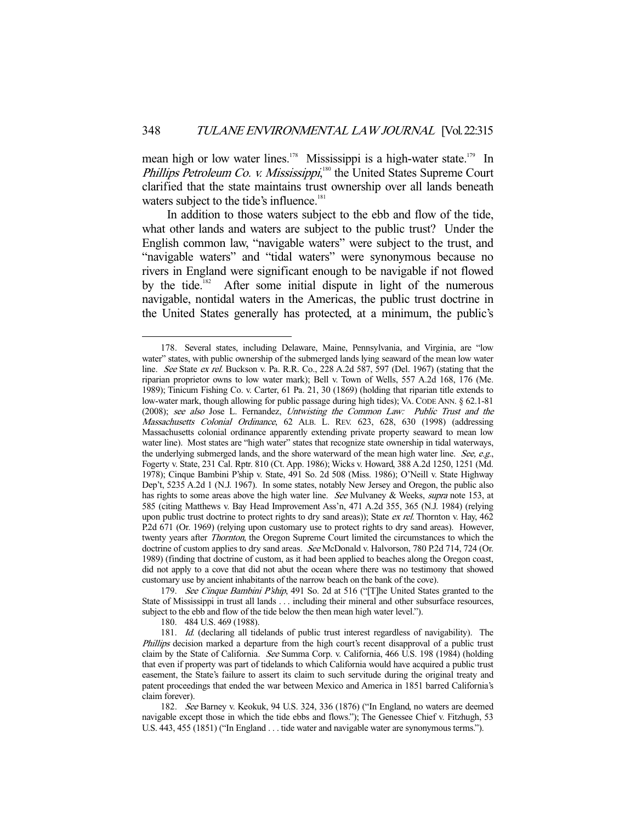mean high or low water lines.<sup>178</sup> Mississippi is a high-water state.<sup>179</sup> In Phillips Petroleum Co. v. Mississippi,<sup>180</sup> the United States Supreme Court clarified that the state maintains trust ownership over all lands beneath waters subject to the tide's influence.<sup>181</sup>

 In addition to those waters subject to the ebb and flow of the tide, what other lands and waters are subject to the public trust? Under the English common law, "navigable waters" were subject to the trust, and "navigable waters" and "tidal waters" were synonymous because no rivers in England were significant enough to be navigable if not flowed by the tide.<sup>182</sup> After some initial dispute in light of the numerous navigable, nontidal waters in the Americas, the public trust doctrine in the United States generally has protected, at a minimum, the public's

180. 484 U.S. 469 (1988).

 <sup>178.</sup> Several states, including Delaware, Maine, Pennsylvania, and Virginia, are "low water" states, with public ownership of the submerged lands lying seaward of the mean low water line. See State ex rel. Buckson v. Pa. R.R. Co., 228 A.2d 587, 597 (Del. 1967) (stating that the riparian proprietor owns to low water mark); Bell v. Town of Wells, 557 A.2d 168, 176 (Me. 1989); Tinicum Fishing Co. v. Carter, 61 Pa. 21, 30 (1869) (holding that riparian title extends to low-water mark, though allowing for public passage during high tides); VA. CODE ANN. § 62.1-81 (2008); see also Jose L. Fernandez, Untwisting the Common Law: Public Trust and the Massachusetts Colonial Ordinance, 62 ALB. L. REV. 623, 628, 630 (1998) (addressing Massachusetts colonial ordinance apparently extending private property seaward to mean low water line). Most states are "high water" states that recognize state ownership in tidal waterways, the underlying submerged lands, and the shore waterward of the mean high water line. See, e.g., Fogerty v. State, 231 Cal. Rptr. 810 (Ct. App. 1986); Wicks v. Howard, 388 A.2d 1250, 1251 (Md. 1978); Cinque Bambini P'ship v. State, 491 So. 2d 508 (Miss. 1986); O'Neill v. State Highway Dep't, 5235 A.2d 1 (N.J. 1967). In some states, notably New Jersey and Oregon, the public also has rights to some areas above the high water line. See Mulvaney & Weeks, supra note 153, at 585 (citing Matthews v. Bay Head Improvement Ass'n, 471 A.2d 355, 365 (N.J. 1984) (relying upon public trust doctrine to protect rights to dry sand areas)); State ex rel. Thornton v. Hay, 462 P.2d 671 (Or. 1969) (relying upon customary use to protect rights to dry sand areas). However, twenty years after Thornton, the Oregon Supreme Court limited the circumstances to which the doctrine of custom applies to dry sand areas. See McDonald v. Halvorson, 780 P.2d 714, 724 (Or. 1989) (finding that doctrine of custom, as it had been applied to beaches along the Oregon coast, did not apply to a cove that did not abut the ocean where there was no testimony that showed customary use by ancient inhabitants of the narrow beach on the bank of the cove).

<sup>179.</sup> See Cinque Bambini P'ship, 491 So. 2d at 516 ("The United States granted to the State of Mississippi in trust all lands . . . including their mineral and other subsurface resources, subject to the ebb and flow of the tide below the then mean high water level.").

 <sup>181.</sup> Id. (declaring all tidelands of public trust interest regardless of navigability). The *Phillips* decision marked a departure from the high court's recent disapproval of a public trust claim by the State of California. See Summa Corp. v. California, 466 U.S. 198 (1984) (holding that even if property was part of tidelands to which California would have acquired a public trust easement, the State's failure to assert its claim to such servitude during the original treaty and patent proceedings that ended the war between Mexico and America in 1851 barred California's claim forever).

 <sup>182.</sup> See Barney v. Keokuk, 94 U.S. 324, 336 (1876) ("In England, no waters are deemed navigable except those in which the tide ebbs and flows."); The Genessee Chief v. Fitzhugh, 53 U.S. 443, 455 (1851) ("In England . . . tide water and navigable water are synonymous terms.").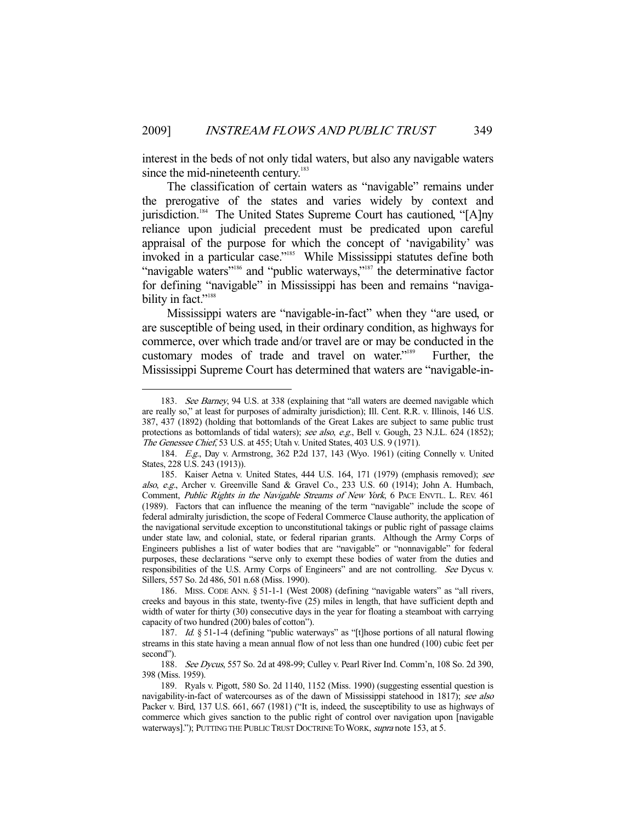interest in the beds of not only tidal waters, but also any navigable waters since the mid-nineteenth century.<sup>183</sup>

 The classification of certain waters as "navigable" remains under the prerogative of the states and varies widely by context and jurisdiction.<sup>184</sup> The United States Supreme Court has cautioned, "[A]ny reliance upon judicial precedent must be predicated upon careful appraisal of the purpose for which the concept of 'navigability' was invoked in a particular case."<sup>185</sup> While Mississippi statutes define both "navigable waters"<sup>186</sup> and "public waterways,"<sup>187</sup> the determinative factor for defining "navigable" in Mississippi has been and remains "navigability in fact."<sup>188</sup>

 Mississippi waters are "navigable-in-fact" when they "are used, or are susceptible of being used, in their ordinary condition, as highways for commerce, over which trade and/or travel are or may be conducted in the customary modes of trade and travel on water."189 Further, the Mississippi Supreme Court has determined that waters are "navigable-in-

<sup>183.</sup> See Barney, 94 U.S. at 338 (explaining that "all waters are deemed navigable which are really so," at least for purposes of admiralty jurisdiction); Ill. Cent. R.R. v. Illinois, 146 U.S. 387, 437 (1892) (holding that bottomlands of the Great Lakes are subject to same public trust protections as bottomlands of tidal waters); see also, e.g., Bell v. Gough, 23 N.J.L. 624 (1852); The Genessee Chief, 53 U.S. at 455; Utah v. United States, 403 U.S. 9 (1971).

 <sup>184.</sup> E.g., Day v. Armstrong, 362 P.2d 137, 143 (Wyo. 1961) (citing Connelly v. United States, 228 U.S. 243 (1913)).

 <sup>185.</sup> Kaiser Aetna v. United States, 444 U.S. 164, 171 (1979) (emphasis removed); see also, e.g., Archer v. Greenville Sand & Gravel Co., 233 U.S. 60 (1914); John A. Humbach, Comment, Public Rights in the Navigable Streams of New York, 6 PACE ENVTL. L. REV. 461 (1989). Factors that can influence the meaning of the term "navigable" include the scope of federal admiralty jurisdiction, the scope of Federal Commerce Clause authority, the application of the navigational servitude exception to unconstitutional takings or public right of passage claims under state law, and colonial, state, or federal riparian grants. Although the Army Corps of Engineers publishes a list of water bodies that are "navigable" or "nonnavigable" for federal purposes, these declarations "serve only to exempt these bodies of water from the duties and responsibilities of the U.S. Army Corps of Engineers" and are not controlling. See Dycus v. Sillers, 557 So. 2d 486, 501 n.68 (Miss. 1990).

 <sup>186.</sup> MISS. CODE ANN. § 51-1-1 (West 2008) (defining "navigable waters" as "all rivers, creeks and bayous in this state, twenty-five (25) miles in length, that have sufficient depth and width of water for thirty (30) consecutive days in the year for floating a steamboat with carrying capacity of two hundred (200) bales of cotton").

<sup>187.</sup> Id. § 51-1-4 (defining "public waterways" as "[t]hose portions of all natural flowing streams in this state having a mean annual flow of not less than one hundred (100) cubic feet per second").

<sup>188.</sup> See Dycus, 557 So. 2d at 498-99; Culley v. Pearl River Ind. Comm'n, 108 So. 2d 390, 398 (Miss. 1959).

 <sup>189.</sup> Ryals v. Pigott, 580 So. 2d 1140, 1152 (Miss. 1990) (suggesting essential question is navigability-in-fact of watercourses as of the dawn of Mississippi statehood in 1817); see also Packer v. Bird, 137 U.S. 661, 667 (1981) ("It is, indeed, the susceptibility to use as highways of commerce which gives sanction to the public right of control over navigation upon [navigable waterways]."); PUTTING THE PUBLIC TRUST DOCTRINE TO WORK, supra note 153, at 5.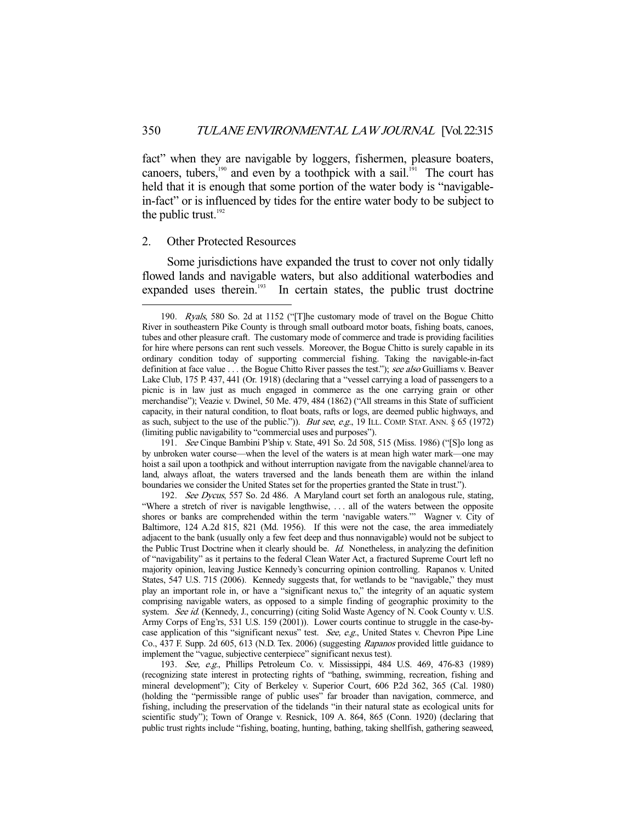fact" when they are navigable by loggers, fishermen, pleasure boaters, canoers, tubers,<sup>190</sup> and even by a toothpick with a sail.<sup>191</sup> The court has held that it is enough that some portion of the water body is "navigablein-fact" or is influenced by tides for the entire water body to be subject to the public trust. $192$ 

## 2. Other Protected Resources

-

 Some jurisdictions have expanded the trust to cover not only tidally flowed lands and navigable waters, but also additional waterbodies and expanded uses therein.<sup>193</sup> In certain states, the public trust doctrine

 191. See Cinque Bambini P'ship v. State, 491 So. 2d 508, 515 (Miss. 1986) ("[S]o long as by unbroken water course—when the level of the waters is at mean high water mark—one may hoist a sail upon a toothpick and without interruption navigate from the navigable channel/area to land, always afloat, the waters traversed and the lands beneath them are within the inland boundaries we consider the United States set for the properties granted the State in trust.").

192. See Dycus, 557 So. 2d 486. A Maryland court set forth an analogous rule, stating, "Where a stretch of river is navigable lengthwise, . . . all of the waters between the opposite shores or banks are comprehended within the term 'navigable waters.'" Wagner v. City of Baltimore, 124 A.2d 815, 821 (Md. 1956). If this were not the case, the area immediately adjacent to the bank (usually only a few feet deep and thus nonnavigable) would not be subject to the Public Trust Doctrine when it clearly should be. Id. Nonetheless, in analyzing the definition of "navigability" as it pertains to the federal Clean Water Act, a fractured Supreme Court left no majority opinion, leaving Justice Kennedy's concurring opinion controlling. Rapanos v. United States, 547 U.S. 715 (2006). Kennedy suggests that, for wetlands to be "navigable," they must play an important role in, or have a "significant nexus to," the integrity of an aquatic system comprising navigable waters, as opposed to a simple finding of geographic proximity to the system. See id. (Kennedy, J., concurring) (citing Solid Waste Agency of N. Cook County v. U.S. Army Corps of Eng'rs, 531 U.S. 159 (2001)). Lower courts continue to struggle in the case-bycase application of this "significant nexus" test. See, e.g., United States v. Chevron Pipe Line Co., 437 F. Supp. 2d 605, 613 (N.D. Tex. 2006) (suggesting Rapanos provided little guidance to implement the "vague, subjective centerpiece" significant nexus test).

 193. See, e.g., Phillips Petroleum Co. v. Mississippi, 484 U.S. 469, 476-83 (1989) (recognizing state interest in protecting rights of "bathing, swimming, recreation, fishing and mineral development"); City of Berkeley v. Superior Court, 606 P.2d 362, 365 (Cal. 1980) (holding the "permissible range of public uses" far broader than navigation, commerce, and fishing, including the preservation of the tidelands "in their natural state as ecological units for scientific study"); Town of Orange v. Resnick, 109 A. 864, 865 (Conn. 1920) (declaring that public trust rights include "fishing, boating, hunting, bathing, taking shellfish, gathering seaweed,

 <sup>190.</sup> Ryals, 580 So. 2d at 1152 ("[T]he customary mode of travel on the Bogue Chitto River in southeastern Pike County is through small outboard motor boats, fishing boats, canoes, tubes and other pleasure craft. The customary mode of commerce and trade is providing facilities for hire where persons can rent such vessels. Moreover, the Bogue Chitto is surely capable in its ordinary condition today of supporting commercial fishing. Taking the navigable-in-fact definition at face value . . . the Bogue Chitto River passes the test."); see also Guilliams v. Beaver Lake Club, 175 P. 437, 441 (Or. 1918) (declaring that a "vessel carrying a load of passengers to a picnic is in law just as much engaged in commerce as the one carrying grain or other merchandise"); Veazie v. Dwinel, 50 Me. 479, 484 (1862) ("All streams in this State of sufficient capacity, in their natural condition, to float boats, rafts or logs, are deemed public highways, and as such, subject to the use of the public.")). *But see, e.g.*, 19 ILL. COMP. STAT. ANN. § 65 (1972) (limiting public navigability to "commercial uses and purposes").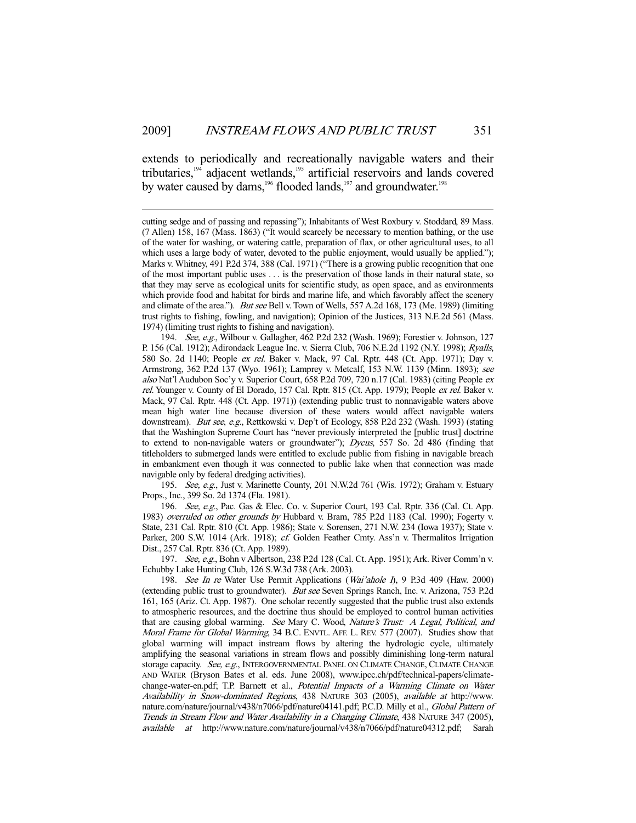extends to periodically and recreationally navigable waters and their tributaries,<sup>194</sup> adjacent wetlands,<sup>195</sup> artificial reservoirs and lands covered by water caused by dams,<sup>196</sup> flooded lands,<sup>197</sup> and groundwater.<sup>198</sup>

-

 194. See, e.g., Wilbour v. Gallagher, 462 P.2d 232 (Wash. 1969); Forestier v. Johnson, 127 P. 156 (Cal. 1912); Adirondack League Inc. v. Sierra Club, 706 N.E.2d 1192 (N.Y. 1998); Ryalls, 580 So. 2d 1140; People ex rel. Baker v. Mack, 97 Cal. Rptr. 448 (Ct. App. 1971); Day v. Armstrong, 362 P.2d 137 (Wyo. 1961); Lamprey v. Metcalf, 153 N.W. 1139 (Minn. 1893); see also Nat'l Audubon Soc'y v. Superior Court, 658 P.2d 709, 720 n.17 (Cal. 1983) (citing People ex rel. Younger v. County of El Dorado, 157 Cal. Rptr. 815 (Ct. App. 1979); People ex rel. Baker v. Mack, 97 Cal. Rptr. 448 (Ct. App. 1971)) (extending public trust to nonnavigable waters above mean high water line because diversion of these waters would affect navigable waters downstream). But see, e.g., Rettkowski v. Dep't of Ecology, 858 P.2d 232 (Wash. 1993) (stating that the Washington Supreme Court has "never previously interpreted the [public trust] doctrine to extend to non-navigable waters or groundwater"); Dycus, 557 So. 2d 486 (finding that titleholders to submerged lands were entitled to exclude public from fishing in navigable breach in embankment even though it was connected to public lake when that connection was made navigable only by federal dredging activities).

195. See, e.g., Just v. Marinette County, 201 N.W.2d 761 (Wis. 1972); Graham v. Estuary Props., Inc., 399 So. 2d 1374 (Fla. 1981).

196. See, e.g., Pac. Gas & Elec. Co. v. Superior Court, 193 Cal. Rptr. 336 (Cal. Ct. App. 1983) overruled on other grounds by Hubbard v. Bram, 785 P.2d 1183 (Cal. 1990); Fogerty v. State, 231 Cal. Rptr. 810 (Ct. App. 1986); State v. Sorensen, 271 N.W. 234 (Iowa 1937); State v. Parker, 200 S.W. 1014 (Ark. 1918); cf. Golden Feather Cmty. Ass'n v. Thermalitos Irrigation Dist., 257 Cal. Rptr. 836 (Ct. App. 1989).

 197. See, e.g., Bohn v Albertson, 238 P.2d 128 (Cal. Ct. App. 1951); Ark. River Comm'n v. Echubby Lake Hunting Club, 126 S.W.3d 738 (Ark. 2003).

198. See In re Water Use Permit Applications (Wai'ahole I), 9 P.3d 409 (Haw. 2000) (extending public trust to groundwater). But see Seven Springs Ranch, Inc. v. Arizona, 753 P.2d 161, 165 (Ariz. Ct. App. 1987). One scholar recently suggested that the public trust also extends to atmospheric resources, and the doctrine thus should be employed to control human activities that are causing global warming. See Mary C. Wood, Nature's Trust: A Legal, Political, and Moral Frame for Global Warming, 34 B.C. ENVTL. AFF. L. REV. 577 (2007). Studies show that global warming will impact instream flows by altering the hydrologic cycle, ultimately amplifying the seasonal variations in stream flows and possibly diminishing long-term natural storage capacity. See, e.g., INTERGOVERNMENTAL PANEL ON CLIMATE CHANGE, CLIMATE CHANGE AND WATER (Bryson Bates et al. eds. June 2008), www.ipcc.ch/pdf/technical-papers/climatechange-water-en.pdf; T.P. Barnett et al., Potential Impacts of a Warming Climate on Water Availability in Snow-dominated Regions, 438 NATURE 303 (2005), available at http://www. nature.com/nature/journal/v438/n7066/pdf/nature04141.pdf; P.C.D. Milly et al., Global Pattern of Trends in Stream Flow and Water Availability in a Changing Climate, 438 NATURE 347 (2005), available at http://www.nature.com/nature/journal/v438/n7066/pdf/nature04312.pdf; Sarah

cutting sedge and of passing and repassing"); Inhabitants of West Roxbury v. Stoddard, 89 Mass. (7 Allen) 158, 167 (Mass. 1863) ("It would scarcely be necessary to mention bathing, or the use of the water for washing, or watering cattle, preparation of flax, or other agricultural uses, to all which uses a large body of water, devoted to the public enjoyment, would usually be applied."); Marks v. Whitney, 491 P.2d 374, 388 (Cal. 1971) ("There is a growing public recognition that one of the most important public uses . . . is the preservation of those lands in their natural state, so that they may serve as ecological units for scientific study, as open space, and as environments which provide food and habitat for birds and marine life, and which favorably affect the scenery and climate of the area."). *But see* Bell v. Town of Wells, 557 A.2d 168, 173 (Me. 1989) (limiting trust rights to fishing, fowling, and navigation); Opinion of the Justices, 313 N.E.2d 561 (Mass. 1974) (limiting trust rights to fishing and navigation).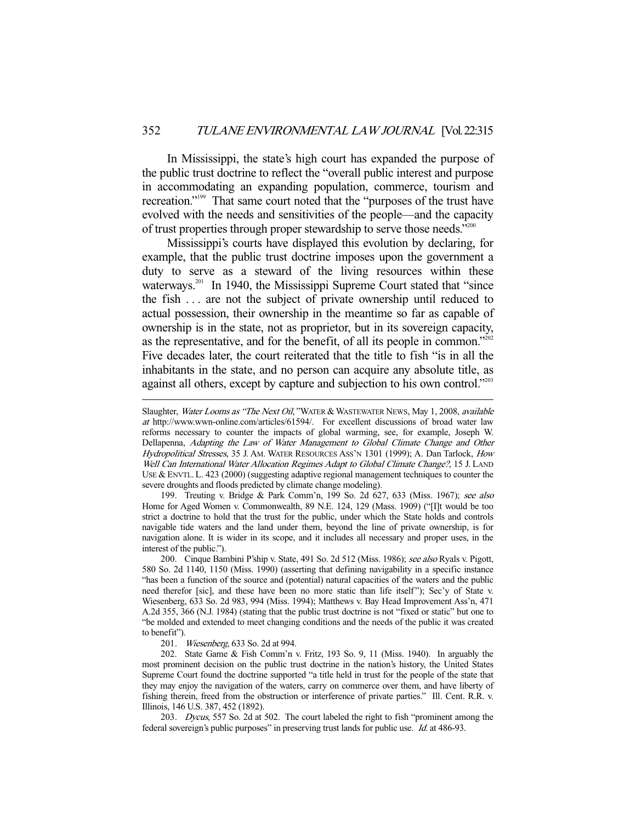In Mississippi, the state's high court has expanded the purpose of the public trust doctrine to reflect the "overall public interest and purpose in accommodating an expanding population, commerce, tourism and recreation."199 That same court noted that the "purposes of the trust have evolved with the needs and sensitivities of the people—and the capacity of trust properties through proper stewardship to serve those needs."<sup>200</sup>

 Mississippi's courts have displayed this evolution by declaring, for example, that the public trust doctrine imposes upon the government a duty to serve as a steward of the living resources within these waterways.<sup>201</sup> In 1940, the Mississippi Supreme Court stated that "since the fish . . . are not the subject of private ownership until reduced to actual possession, their ownership in the meantime so far as capable of ownership is in the state, not as proprietor, but in its sovereign capacity, as the representative, and for the benefit, of all its people in common."<sup>202</sup> Five decades later, the court reiterated that the title to fish "is in all the inhabitants in the state, and no person can acquire any absolute title, as against all others, except by capture and subjection to his own control."<sup>203</sup>

199. Treuting v. Bridge & Park Comm'n, 199 So. 2d 627, 633 (Miss. 1967); see also Home for Aged Women v. Commonwealth, 89 N.E. 124, 129 (Mass. 1909) ("[I]t would be too strict a doctrine to hold that the trust for the public, under which the State holds and controls navigable tide waters and the land under them, beyond the line of private ownership, is for navigation alone. It is wider in its scope, and it includes all necessary and proper uses, in the interest of the public.").

200. Cinque Bambini P'ship v. State, 491 So. 2d 512 (Miss. 1986); see also Ryals v. Pigott, 580 So. 2d 1140, 1150 (Miss. 1990) (asserting that defining navigability in a specific instance "has been a function of the source and (potential) natural capacities of the waters and the public need therefor [sic], and these have been no more static than life itself"); Sec'y of State v. Wiesenberg, 633 So. 2d 983, 994 (Miss. 1994); Matthews v. Bay Head Improvement Ass'n, 471 A.2d 355, 366 (N.J. 1984) (stating that the public trust doctrine is not "fixed or static" but one to "be molded and extended to meet changing conditions and the needs of the public it was created to benefit").

201. Wiesenberg, 633 So. 2d at 994.

-

 202. State Game & Fish Comm'n v. Fritz, 193 So. 9, 11 (Miss. 1940). In arguably the most prominent decision on the public trust doctrine in the nation's history, the United States Supreme Court found the doctrine supported "a title held in trust for the people of the state that they may enjoy the navigation of the waters, carry on commerce over them, and have liberty of fishing therein, freed from the obstruction or interference of private parties." Ill. Cent. R.R. v. Illinois, 146 U.S. 387, 452 (1892).

203. Dycus, 557 So. 2d at 502. The court labeled the right to fish "prominent among the federal sovereign's public purposes" in preserving trust lands for public use. Id. at 486-93.

Slaughter, Water Looms as "The Next Oil," WATER & WASTEWATER NEWS, May 1, 2008, available at http://www.wwn-online.com/articles/61594/. For excellent discussions of broad water law reforms necessary to counter the impacts of global warming, see, for example, Joseph W. Dellapenna, Adapting the Law of Water Management to Global Climate Change and Other Hydropolitical Stresses, 35 J. AM. WATER RESOURCES ASS'N 1301 (1999); A. Dan Tarlock, How Well Can International Water Allocation Regimes Adapt to Global Climate Change?, 15 J. LAND USE & ENVTL. L. 423 (2000) (suggesting adaptive regional management techniques to counter the severe droughts and floods predicted by climate change modeling).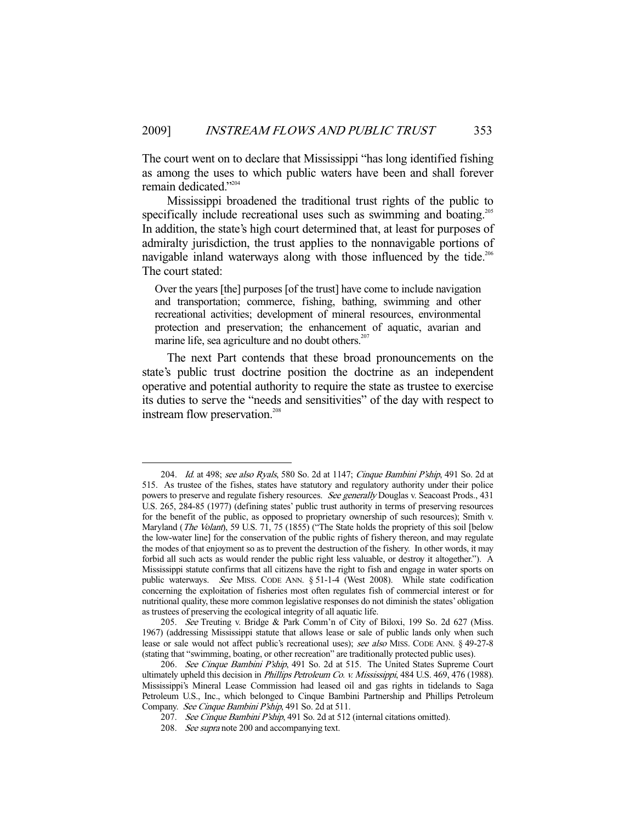The court went on to declare that Mississippi "has long identified fishing as among the uses to which public waters have been and shall forever remain dedicated."<sup>204</sup>

Mississippi broadened the traditional trust rights of the public to specifically include recreational uses such as swimming and boating.<sup>205</sup> In addition, the state's high court determined that, at least for purposes of admiralty jurisdiction, the trust applies to the nonnavigable portions of navigable inland waterways along with those influenced by the tide.<sup>206</sup> The court stated:

Over the years [the] purposes [of the trust] have come to include navigation and transportation; commerce, fishing, bathing, swimming and other recreational activities; development of mineral resources, environmental protection and preservation; the enhancement of aquatic, avarian and marine life, sea agriculture and no doubt others. $207$ 

 The next Part contends that these broad pronouncements on the state's public trust doctrine position the doctrine as an independent operative and potential authority to require the state as trustee to exercise its duties to serve the "needs and sensitivities" of the day with respect to instream flow preservation.<sup>208</sup>

 <sup>204.</sup> Id. at 498; see also Ryals, 580 So. 2d at 1147; Cinque Bambini P'ship, 491 So. 2d at 515. As trustee of the fishes, states have statutory and regulatory authority under their police powers to preserve and regulate fishery resources. See generally Douglas v. Seacoast Prods., 431 U.S. 265, 284-85 (1977) (defining states' public trust authority in terms of preserving resources for the benefit of the public, as opposed to proprietary ownership of such resources); Smith v. Maryland (*The Volant*), 59 U.S. 71, 75 (1855) ("The State holds the propriety of this soil [below the low-water line] for the conservation of the public rights of fishery thereon, and may regulate the modes of that enjoyment so as to prevent the destruction of the fishery. In other words, it may forbid all such acts as would render the public right less valuable, or destroy it altogether."). A Mississippi statute confirms that all citizens have the right to fish and engage in water sports on public waterways. See MISS. CODE ANN. § 51-1-4 (West 2008). While state codification concerning the exploitation of fisheries most often regulates fish of commercial interest or for nutritional quality, these more common legislative responses do not diminish the states' obligation as trustees of preserving the ecological integrity of all aquatic life.

<sup>205.</sup> See Treuting v. Bridge & Park Comm'n of City of Biloxi, 199 So. 2d 627 (Miss. 1967) (addressing Mississippi statute that allows lease or sale of public lands only when such lease or sale would not affect public's recreational uses); see also MISS. CODE ANN. § 49-27-8 (stating that "swimming, boating, or other recreation" are traditionally protected public uses).

<sup>206.</sup> See Cinque Bambini P'ship, 491 So. 2d at 515. The United States Supreme Court ultimately upheld this decision in Phillips Petroleum Co. v. Mississippi, 484 U.S. 469, 476 (1988). Mississippi's Mineral Lease Commission had leased oil and gas rights in tidelands to Saga Petroleum U.S., Inc., which belonged to Cinque Bambini Partnership and Phillips Petroleum Company. See Cinque Bambini P'ship, 491 So. 2d at 511.

<sup>207.</sup> See Cinque Bambini P'ship, 491 So. 2d at 512 (internal citations omitted).

 <sup>208.</sup> See supra note 200 and accompanying text.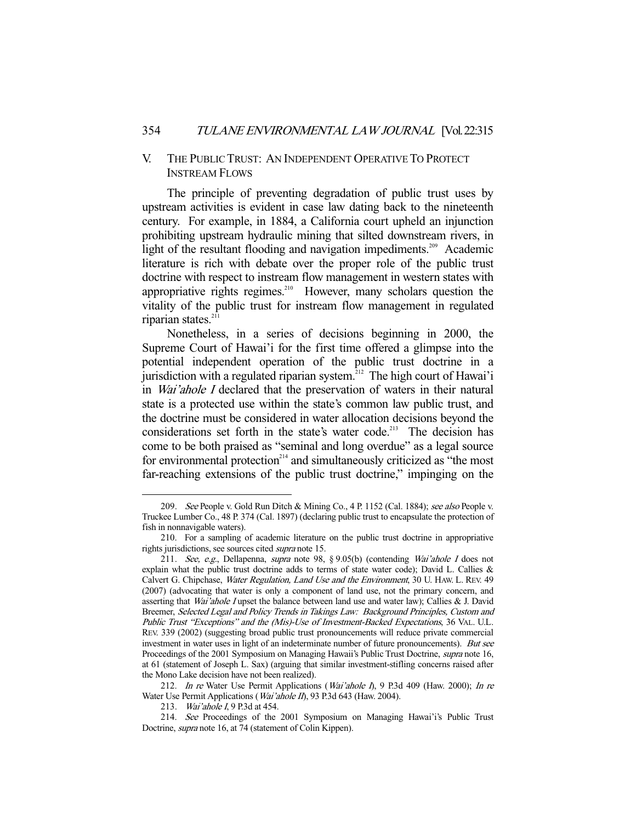# V. THE PUBLIC TRUST: AN INDEPENDENT OPERATIVE TO PROTECT INSTREAM FLOWS

 The principle of preventing degradation of public trust uses by upstream activities is evident in case law dating back to the nineteenth century. For example, in 1884, a California court upheld an injunction prohibiting upstream hydraulic mining that silted downstream rivers, in light of the resultant flooding and navigation impediments.<sup>209</sup> Academic literature is rich with debate over the proper role of the public trust doctrine with respect to instream flow management in western states with appropriative rights regimes.<sup>210</sup> However, many scholars question the vitality of the public trust for instream flow management in regulated riparian states.<sup>211</sup>

 Nonetheless, in a series of decisions beginning in 2000, the Supreme Court of Hawai'i for the first time offered a glimpse into the potential independent operation of the public trust doctrine in a jurisdiction with a regulated riparian system.<sup>212</sup> The high court of Hawai'i in Wai'ahole I declared that the preservation of waters in their natural state is a protected use within the state's common law public trust, and the doctrine must be considered in water allocation decisions beyond the considerations set forth in the state's water code.<sup>213</sup> The decision has come to be both praised as "seminal and long overdue" as a legal source for environmental protection<sup>214</sup> and simultaneously criticized as "the most far-reaching extensions of the public trust doctrine," impinging on the

<sup>209.</sup> See People v. Gold Run Ditch & Mining Co., 4 P. 1152 (Cal. 1884); see also People v. Truckee Lumber Co., 48 P. 374 (Cal. 1897) (declaring public trust to encapsulate the protection of fish in nonnavigable waters).

 <sup>210.</sup> For a sampling of academic literature on the public trust doctrine in appropriative rights jurisdictions, see sources cited supra note 15.

 <sup>211.</sup> See, e.g., Dellapenna, supra note 98, § 9.05(b) (contending Wai'ahole I does not explain what the public trust doctrine adds to terms of state water code); David L. Callies  $\&$ Calvert G. Chipchase, Water Regulation, Land Use and the Environment, 30 U. HAW. L. REV. 49 (2007) (advocating that water is only a component of land use, not the primary concern, and asserting that Wai'ahole I upset the balance between land use and water law); Callies & J. David Breemer, Selected Legal and Policy Trends in Takings Law: Background Principles, Custom and Public Trust "Exceptions" and the (Mis)-Use of Investment-Backed Expectations, 36 VAL. U.L. REV. 339 (2002) (suggesting broad public trust pronouncements will reduce private commercial investment in water uses in light of an indeterminate number of future pronouncements). But see Proceedings of the 2001 Symposium on Managing Hawaii's Public Trust Doctrine, *supra* note 16, at 61 (statement of Joseph L. Sax) (arguing that similar investment-stifling concerns raised after the Mono Lake decision have not been realized).

<sup>212.</sup> In re Water Use Permit Applications (Wai'ahole I), 9 P.3d 409 (Haw. 2000); In re Water Use Permit Applications (*Wai'ahole II*), 93 P.3d 643 (Haw. 2004).

 <sup>213.</sup> Wai'ahole I, 9 P.3d at 454.

 <sup>214.</sup> See Proceedings of the 2001 Symposium on Managing Hawai'i's Public Trust Doctrine, supra note 16, at 74 (statement of Colin Kippen).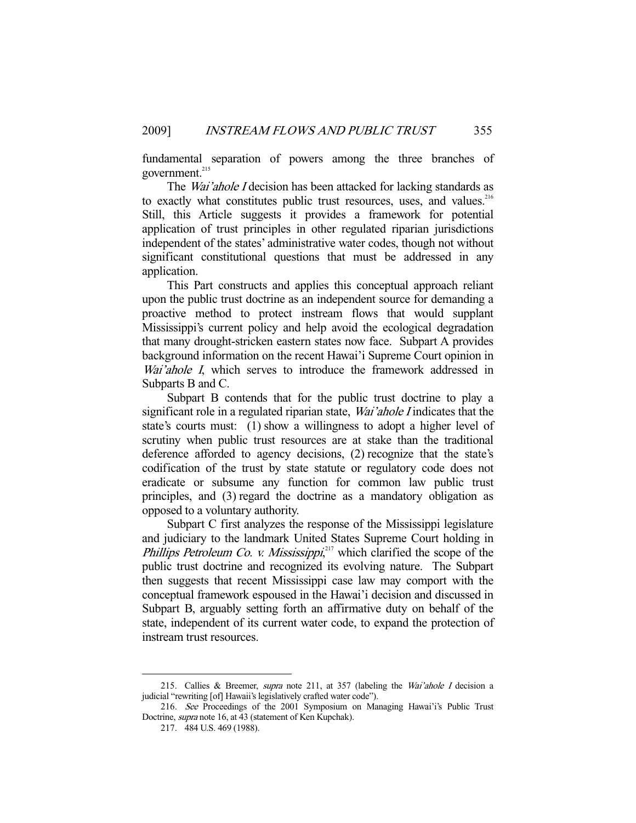fundamental separation of powers among the three branches of government.<sup>215</sup>

The *Wai'ahole I* decision has been attacked for lacking standards as to exactly what constitutes public trust resources, uses, and values.<sup>216</sup> Still, this Article suggests it provides a framework for potential application of trust principles in other regulated riparian jurisdictions independent of the states' administrative water codes, though not without significant constitutional questions that must be addressed in any application.

 This Part constructs and applies this conceptual approach reliant upon the public trust doctrine as an independent source for demanding a proactive method to protect instream flows that would supplant Mississippi's current policy and help avoid the ecological degradation that many drought-stricken eastern states now face. Subpart A provides background information on the recent Hawai'i Supreme Court opinion in Wai'ahole I, which serves to introduce the framework addressed in Subparts B and C.

 Subpart B contends that for the public trust doctrine to play a significant role in a regulated riparian state, *Wai'ahole I* indicates that the state's courts must: (1) show a willingness to adopt a higher level of scrutiny when public trust resources are at stake than the traditional deference afforded to agency decisions, (2) recognize that the state's codification of the trust by state statute or regulatory code does not eradicate or subsume any function for common law public trust principles, and (3) regard the doctrine as a mandatory obligation as opposed to a voluntary authority.

 Subpart C first analyzes the response of the Mississippi legislature and judiciary to the landmark United States Supreme Court holding in *Phillips Petroleum Co. v. Mississippi*,<sup>217</sup> which clarified the scope of the public trust doctrine and recognized its evolving nature. The Subpart then suggests that recent Mississippi case law may comport with the conceptual framework espoused in the Hawai'i decision and discussed in Subpart B, arguably setting forth an affirmative duty on behalf of the state, independent of its current water code, to expand the protection of instream trust resources.

 <sup>215.</sup> Callies & Breemer, supra note 211, at 357 (labeling the Wai'ahole I decision a judicial "rewriting [of] Hawaii's legislatively crafted water code").

 <sup>216.</sup> See Proceedings of the 2001 Symposium on Managing Hawai'i's Public Trust Doctrine, supra note 16, at 43 (statement of Ken Kupchak).

 <sup>217. 484</sup> U.S. 469 (1988).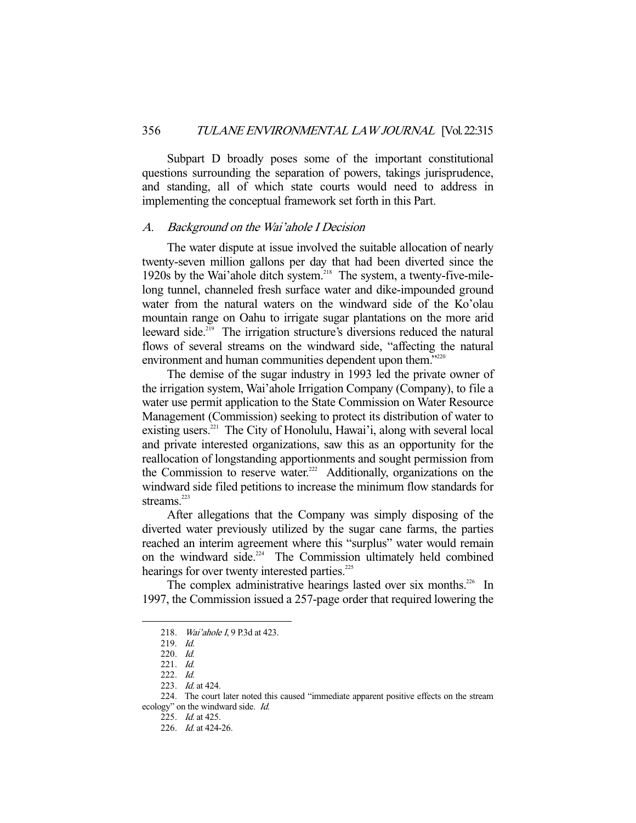Subpart D broadly poses some of the important constitutional questions surrounding the separation of powers, takings jurisprudence, and standing, all of which state courts would need to address in implementing the conceptual framework set forth in this Part.

### A. Background on the Wai'ahole I Decision

 The water dispute at issue involved the suitable allocation of nearly twenty-seven million gallons per day that had been diverted since the 1920s by the Wai'ahole ditch system.218 The system, a twenty-five-milelong tunnel, channeled fresh surface water and dike-impounded ground water from the natural waters on the windward side of the Ko'olau mountain range on Oahu to irrigate sugar plantations on the more arid leeward side.<sup>219</sup> The irrigation structure's diversions reduced the natural flows of several streams on the windward side, "affecting the natural environment and human communities dependent upon them."<sup>220</sup>

 The demise of the sugar industry in 1993 led the private owner of the irrigation system, Wai'ahole Irrigation Company (Company), to file a water use permit application to the State Commission on Water Resource Management (Commission) seeking to protect its distribution of water to existing users.<sup>221</sup> The City of Honolulu, Hawai'i, along with several local and private interested organizations, saw this as an opportunity for the reallocation of longstanding apportionments and sought permission from the Commission to reserve water.<sup>222</sup> Additionally, organizations on the windward side filed petitions to increase the minimum flow standards for streams. $223$ 

 After allegations that the Company was simply disposing of the diverted water previously utilized by the sugar cane farms, the parties reached an interim agreement where this "surplus" water would remain on the windward side.<sup> $224$ </sup> The Commission ultimately held combined hearings for over twenty interested parties.<sup>225</sup>

The complex administrative hearings lasted over six months.<sup>226</sup> In 1997, the Commission issued a 257-page order that required lowering the

 <sup>218.</sup> Wai'ahole I, 9 P.3d at 423.

 <sup>219.</sup> Id.

 <sup>220.</sup> Id.

 <sup>221.</sup> Id.

 <sup>222.</sup> Id.

<sup>223.</sup> *Id.* at 424.

 <sup>224.</sup> The court later noted this caused "immediate apparent positive effects on the stream ecology" on the windward side. Id.

 <sup>225.</sup> Id. at 425.

 <sup>226.</sup> Id. at 424-26.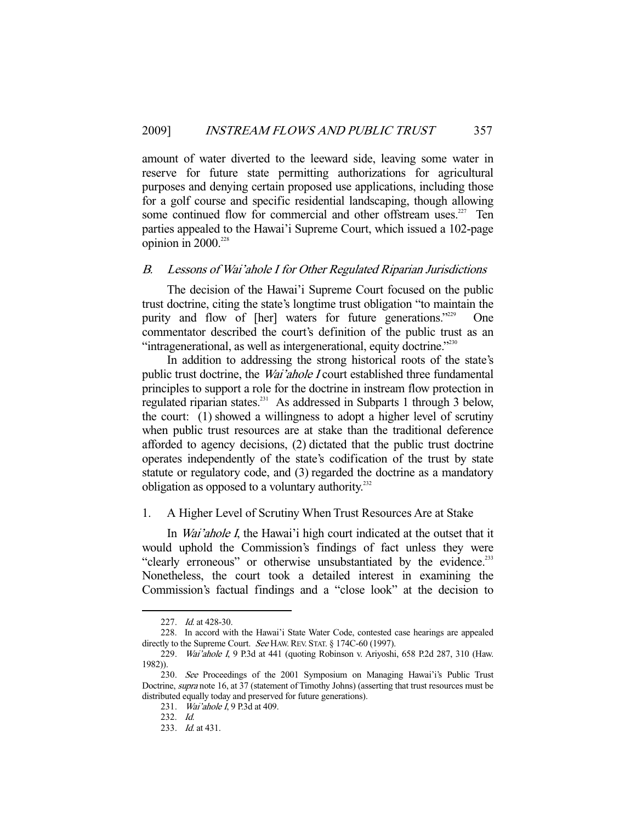amount of water diverted to the leeward side, leaving some water in reserve for future state permitting authorizations for agricultural purposes and denying certain proposed use applications, including those for a golf course and specific residential landscaping, though allowing some continued flow for commercial and other offstream uses.<sup>227</sup> Ten parties appealed to the Hawai'i Supreme Court, which issued a 102-page opinion in  $2000$ <sup>228</sup>

## B. Lessons of Wai'ahole I for Other Regulated Riparian Jurisdictions

 The decision of the Hawai'i Supreme Court focused on the public trust doctrine, citing the state's longtime trust obligation "to maintain the purity and flow of [her] waters for future generations."<sup>229</sup> One commentator described the court's definition of the public trust as an "intragenerational, as well as intergenerational, equity doctrine."230

 In addition to addressing the strong historical roots of the state's public trust doctrine, the Wai'ahole I court established three fundamental principles to support a role for the doctrine in instream flow protection in regulated riparian states.231 As addressed in Subparts 1 through 3 below, the court: (1) showed a willingness to adopt a higher level of scrutiny when public trust resources are at stake than the traditional deference afforded to agency decisions, (2) dictated that the public trust doctrine operates independently of the state's codification of the trust by state statute or regulatory code, and (3) regarded the doctrine as a mandatory obligation as opposed to a voluntary authority. $^{232}$ 

# 1. A Higher Level of Scrutiny When Trust Resources Are at Stake

In *Wai'ahole I*, the Hawai'i high court indicated at the outset that it would uphold the Commission's findings of fact unless they were "clearly erroneous" or otherwise unsubstantiated by the evidence.<sup>233</sup> Nonetheless, the court took a detailed interest in examining the Commission's factual findings and a "close look" at the decision to

<sup>227.</sup> *Id.* at 428-30.

 <sup>228.</sup> In accord with the Hawai'i State Water Code, contested case hearings are appealed directly to the Supreme Court. See HAW. REV. STAT. § 174C-60 (1997).

 <sup>229.</sup> Wai'ahole I, 9 P.3d at 441 (quoting Robinson v. Ariyoshi, 658 P.2d 287, 310 (Haw. 1982)).

<sup>230.</sup> See Proceedings of the 2001 Symposium on Managing Hawai'i's Public Trust Doctrine, *supra* note 16, at 37 (statement of Timothy Johns) (asserting that trust resources must be distributed equally today and preserved for future generations).

 <sup>231.</sup> Wai'ahole I, 9 P.3d at 409.

 <sup>232.</sup> Id.

 <sup>233.</sup> Id. at 431.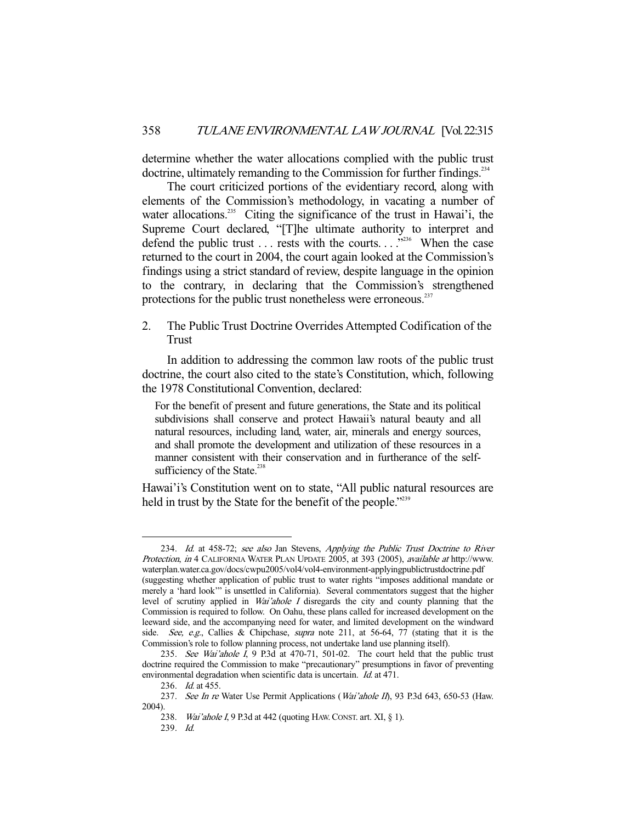determine whether the water allocations complied with the public trust doctrine, ultimately remanding to the Commission for further findings.<sup>234</sup>

 The court criticized portions of the evidentiary record, along with elements of the Commission's methodology, in vacating a number of water allocations.<sup>235</sup> Citing the significance of the trust in Hawai'i, the Supreme Court declared, "[T]he ultimate authority to interpret and defend the public trust  $\dots$  rests with the courts.  $\dots$   $\frac{1}{2}$ <sup>236</sup>. When the case returned to the court in 2004, the court again looked at the Commission's findings using a strict standard of review, despite language in the opinion to the contrary, in declaring that the Commission's strengthened protections for the public trust nonetheless were erroneous. $^{237}$ 

2. The Public Trust Doctrine Overrides Attempted Codification of the Trust

 In addition to addressing the common law roots of the public trust doctrine, the court also cited to the state's Constitution, which, following the 1978 Constitutional Convention, declared:

For the benefit of present and future generations, the State and its political subdivisions shall conserve and protect Hawaii's natural beauty and all natural resources, including land, water, air, minerals and energy sources, and shall promote the development and utilization of these resources in a manner consistent with their conservation and in furtherance of the selfsufficiency of the State. $238$ 

Hawai'i's Constitution went on to state, "All public natural resources are held in trust by the State for the benefit of the people.<sup>"239</sup>

 <sup>234.</sup> Id. at 458-72; see also Jan Stevens, Applying the Public Trust Doctrine to River Protection, in 4 CALIFORNIA WATER PLAN UPDATE 2005, at 393 (2005), available at http://www. waterplan.water.ca.gov/docs/cwpu2005/vol4/vol4-environment-applyingpublictrustdoctrine.pdf (suggesting whether application of public trust to water rights "imposes additional mandate or merely a 'hard look'" is unsettled in California). Several commentators suggest that the higher level of scrutiny applied in Wai'ahole I disregards the city and county planning that the Commission is required to follow. On Oahu, these plans called for increased development on the leeward side, and the accompanying need for water, and limited development on the windward side. See, e.g., Callies & Chipchase, supra note 211, at 56-64, 77 (stating that it is the Commission's role to follow planning process, not undertake land use planning itself).

<sup>235.</sup> See Wai'ahole  $\overline{I}$ , 9 P.3d at 470-71, 501-02. The court held that the public trust doctrine required the Commission to make "precautionary" presumptions in favor of preventing environmental degradation when scientific data is uncertain. Id. at 471.

<sup>236.</sup> *Id.* at 455.

<sup>237.</sup> See In re Water Use Permit Applications (Wai'ahole II), 93 P.3d 643, 650-53 (Haw. 2004).

<sup>238.</sup> Wai'ahole I, 9 P.3d at 442 (quoting HAW. CONST. art. XI, § 1).

 <sup>239.</sup> Id.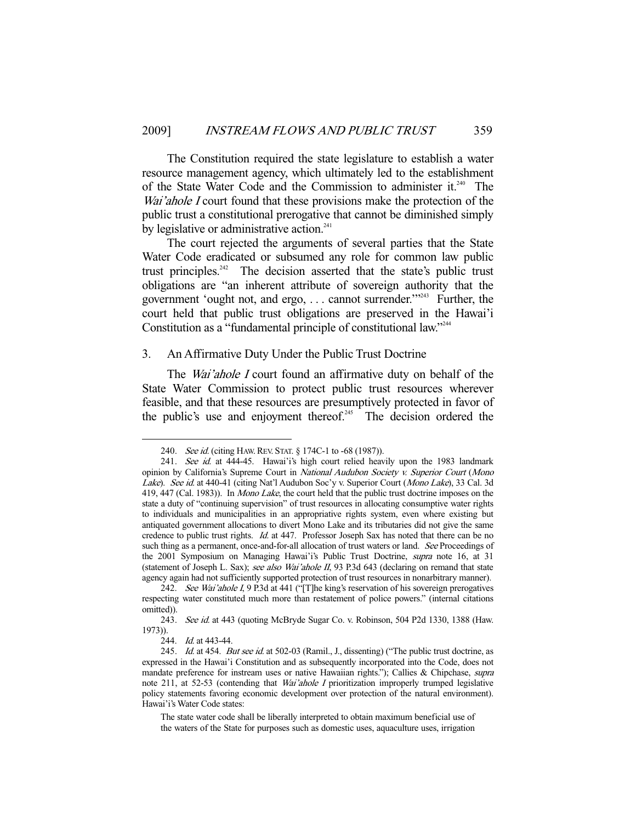The Constitution required the state legislature to establish a water resource management agency, which ultimately led to the establishment of the State Water Code and the Commission to administer it.<sup>240</sup> The Wai'ahole I court found that these provisions make the protection of the public trust a constitutional prerogative that cannot be diminished simply by legislative or administrative action. $241$ 

 The court rejected the arguments of several parties that the State Water Code eradicated or subsumed any role for common law public trust principles.<sup>242</sup> The decision asserted that the state's public trust obligations are "an inherent attribute of sovereign authority that the government 'ought not, and ergo, ... cannot surrender.'"<sup>243</sup> Further, the court held that public trust obligations are preserved in the Hawai'i Constitution as a "fundamental principle of constitutional law."<sup>244</sup>

# 3. An Affirmative Duty Under the Public Trust Doctrine

The *Wai'ahole I* court found an affirmative duty on behalf of the State Water Commission to protect public trust resources wherever feasible, and that these resources are presumptively protected in favor of the public's use and enjoyment thereof.<sup>245</sup> The decision ordered the

<sup>240.</sup> See id. (citing HAW. REV. STAT. § 174C-1 to -68 (1987)).

<sup>241.</sup> See id. at 444-45. Hawai'i's high court relied heavily upon the 1983 landmark opinion by California's Supreme Court in National Audubon Society v. Superior Court (Mono Lake). See id. at 440-41 (citing Nat'l Audubon Soc'y v. Superior Court (Mono Lake), 33 Cal. 3d 419, 447 (Cal. 1983)). In Mono Lake, the court held that the public trust doctrine imposes on the state a duty of "continuing supervision" of trust resources in allocating consumptive water rights to individuals and municipalities in an appropriative rights system, even where existing but antiquated government allocations to divert Mono Lake and its tributaries did not give the same credence to public trust rights. Id. at 447. Professor Joseph Sax has noted that there can be no such thing as a permanent, once-and-for-all allocation of trust waters or land. See Proceedings of the 2001 Symposium on Managing Hawai'i's Public Trust Doctrine, supra note 16, at 31 (statement of Joseph L. Sax); see also Wai'ahole II, 93 P.3d 643 (declaring on remand that state agency again had not sufficiently supported protection of trust resources in nonarbitrary manner).

<sup>242.</sup> See Wai'ahole I, 9 P.3d at 441 ("[T]he king's reservation of his sovereign prerogatives respecting water constituted much more than restatement of police powers." (internal citations omitted)).

<sup>243.</sup> See id. at 443 (quoting McBryde Sugar Co. v. Robinson, 504 P2d 1330, 1388 (Haw. 1973)).

<sup>244.</sup> *Id.* at 443-44.

<sup>245.</sup> Id. at 454. But see id. at 502-03 (Ramil., J., dissenting) ("The public trust doctrine, as expressed in the Hawai'i Constitution and as subsequently incorporated into the Code, does not mandate preference for instream uses or native Hawaiian rights."); Callies & Chipchase, *supra* note 211, at 52-53 (contending that *Wai'ahole I* prioritization improperly trumped legislative policy statements favoring economic development over protection of the natural environment). Hawai'i's Water Code states:

The state water code shall be liberally interpreted to obtain maximum beneficial use of the waters of the State for purposes such as domestic uses, aquaculture uses, irrigation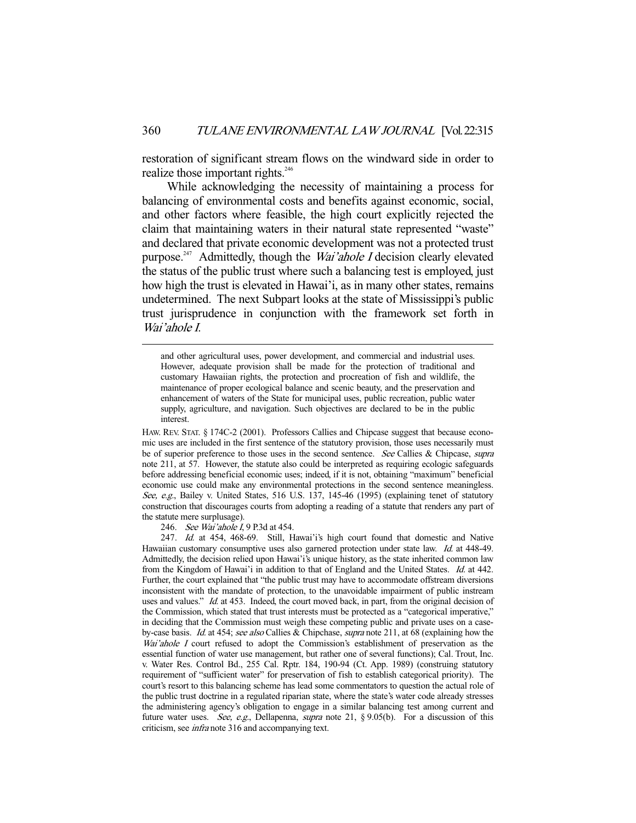restoration of significant stream flows on the windward side in order to realize those important rights.<sup>246</sup>

 While acknowledging the necessity of maintaining a process for balancing of environmental costs and benefits against economic, social, and other factors where feasible, the high court explicitly rejected the claim that maintaining waters in their natural state represented "waste" and declared that private economic development was not a protected trust purpose.<sup>247</sup> Admittedly, though the *Wai'ahole I* decision clearly elevated the status of the public trust where such a balancing test is employed, just how high the trust is elevated in Hawai'i, as in many other states, remains undetermined. The next Subpart looks at the state of Mississippi's public trust jurisprudence in conjunction with the framework set forth in Wai'ahole I.

 and other agricultural uses, power development, and commercial and industrial uses. However, adequate provision shall be made for the protection of traditional and customary Hawaiian rights, the protection and procreation of fish and wildlife, the maintenance of proper ecological balance and scenic beauty, and the preservation and enhancement of waters of the State for municipal uses, public recreation, public water supply, agriculture, and navigation. Such objectives are declared to be in the public interest.

HAW. REV. STAT. § 174C-2 (2001). Professors Callies and Chipcase suggest that because economic uses are included in the first sentence of the statutory provision, those uses necessarily must be of superior preference to those uses in the second sentence. See Callies & Chipcase, supra note 211, at 57. However, the statute also could be interpreted as requiring ecologic safeguards before addressing beneficial economic uses; indeed, if it is not, obtaining "maximum" beneficial economic use could make any environmental protections in the second sentence meaningless. See, e.g., Bailey v. United States, 516 U.S. 137, 145-46 (1995) (explaining tenet of statutory construction that discourages courts from adopting a reading of a statute that renders any part of the statute mere surplusage).

246. See Wai'ahole I, 9 P.3d at 454.

247. Id. at 454, 468-69. Still, Hawai'i's high court found that domestic and Native Hawaiian customary consumptive uses also garnered protection under state law. *Id.* at 448-49. Admittedly, the decision relied upon Hawai'i's unique history, as the state inherited common law from the Kingdom of Hawai'i in addition to that of England and the United States. Id. at 442. Further, the court explained that "the public trust may have to accommodate offstream diversions inconsistent with the mandate of protection, to the unavoidable impairment of public instream uses and values." Id. at 453. Indeed, the court moved back, in part, from the original decision of the Commission, which stated that trust interests must be protected as a "categorical imperative," in deciding that the Commission must weigh these competing public and private uses on a caseby-case basis. Id. at 454; see also Callies & Chipchase, supra note 211, at 68 (explaining how the Wai'ahole I court refused to adopt the Commission's establishment of preservation as the essential function of water use management, but rather one of several functions); Cal. Trout, Inc. v. Water Res. Control Bd., 255 Cal. Rptr. 184, 190-94 (Ct. App. 1989) (construing statutory requirement of "sufficient water" for preservation of fish to establish categorical priority). The court's resort to this balancing scheme has lead some commentators to question the actual role of the public trust doctrine in a regulated riparian state, where the state's water code already stresses the administering agency's obligation to engage in a similar balancing test among current and future water uses. See, e.g., Dellapenna, supra note 21,  $\S 9.05(b)$ . For a discussion of this criticism, see infra note 316 and accompanying text.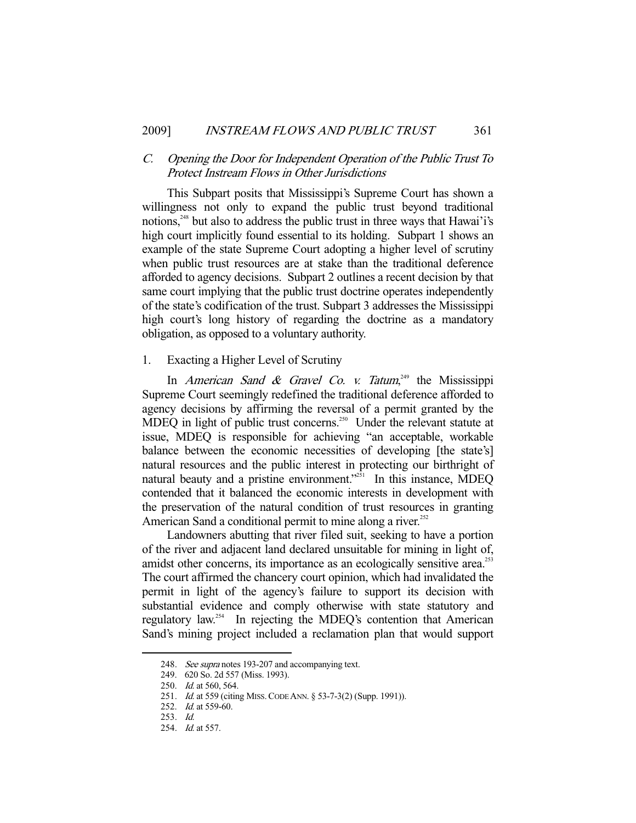# C. Opening the Door for Independent Operation of the Public Trust To Protect Instream Flows in Other Jurisdictions

 This Subpart posits that Mississippi's Supreme Court has shown a willingness not only to expand the public trust beyond traditional notions,<sup> $248$ </sup> but also to address the public trust in three ways that Hawai'i's high court implicitly found essential to its holding. Subpart 1 shows an example of the state Supreme Court adopting a higher level of scrutiny when public trust resources are at stake than the traditional deference afforded to agency decisions. Subpart 2 outlines a recent decision by that same court implying that the public trust doctrine operates independently of the state's codification of the trust. Subpart 3 addresses the Mississippi high court's long history of regarding the doctrine as a mandatory obligation, as opposed to a voluntary authority.

1. Exacting a Higher Level of Scrutiny

In American Sand & Gravel Co. v. Tatum,<sup>249</sup> the Mississippi Supreme Court seemingly redefined the traditional deference afforded to agency decisions by affirming the reversal of a permit granted by the MDEQ in light of public trust concerns.<sup>250</sup> Under the relevant statute at issue, MDEQ is responsible for achieving "an acceptable, workable balance between the economic necessities of developing [the state's] natural resources and the public interest in protecting our birthright of natural beauty and a pristine environment."<sup>251</sup> In this instance, MDEQ contended that it balanced the economic interests in development with the preservation of the natural condition of trust resources in granting American Sand a conditional permit to mine along a river.<sup>252</sup>

 Landowners abutting that river filed suit, seeking to have a portion of the river and adjacent land declared unsuitable for mining in light of, amidst other concerns, its importance as an ecologically sensitive area.<sup>253</sup> The court affirmed the chancery court opinion, which had invalidated the permit in light of the agency's failure to support its decision with substantial evidence and comply otherwise with state statutory and regulatory law.254 In rejecting the MDEQ's contention that American Sand's mining project included a reclamation plan that would support

<sup>248.</sup> See supra notes 193-207 and accompanying text.

 <sup>249. 620</sup> So. 2d 557 (Miss. 1993).

<sup>250.</sup> *Id.* at 560, 564.

<sup>251.</sup> *Id.* at 559 (citing MISS. CODE ANN. § 53-7-3(2) (Supp. 1991)).

<sup>252.</sup> *Id.* at 559-60.

 <sup>253.</sup> Id.

 <sup>254.</sup> Id. at 557.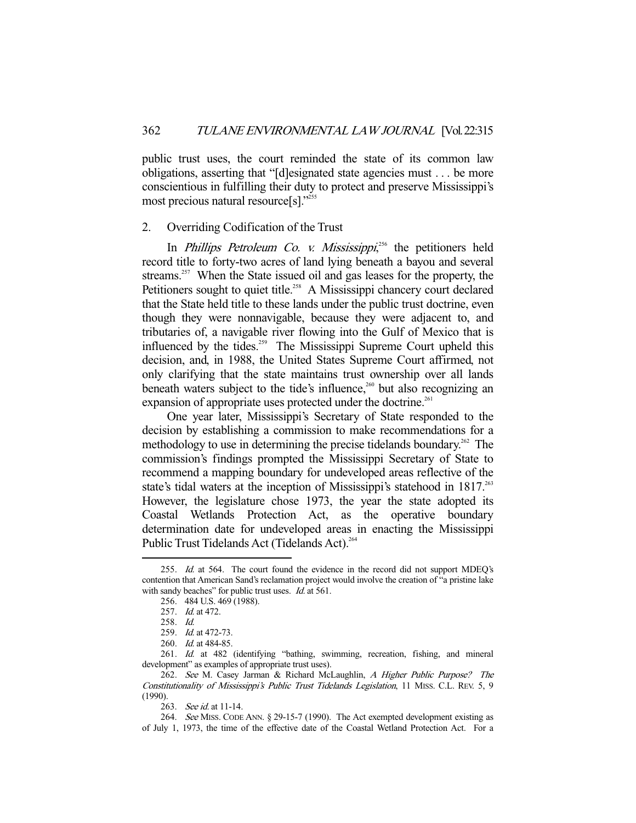public trust uses, the court reminded the state of its common law obligations, asserting that "[d]esignated state agencies must . . . be more conscientious in fulfilling their duty to protect and preserve Mississippi's most precious natural resource[s]."<sup>255</sup>

### 2. Overriding Codification of the Trust

In *Phillips Petroleum Co. v. Mississippi*,<sup>256</sup> the petitioners held record title to forty-two acres of land lying beneath a bayou and several streams.<sup>257</sup> When the State issued oil and gas leases for the property, the Petitioners sought to quiet title.<sup>258</sup> A Mississippi chancery court declared that the State held title to these lands under the public trust doctrine, even though they were nonnavigable, because they were adjacent to, and tributaries of, a navigable river flowing into the Gulf of Mexico that is influenced by the tides.<sup>259</sup> The Mississippi Supreme Court upheld this decision, and, in 1988, the United States Supreme Court affirmed, not only clarifying that the state maintains trust ownership over all lands beneath waters subject to the tide's influence, $260$  but also recognizing an expansion of appropriate uses protected under the doctrine.<sup>261</sup>

 One year later, Mississippi's Secretary of State responded to the decision by establishing a commission to make recommendations for a methodology to use in determining the precise tidelands boundary.<sup>262</sup> The commission's findings prompted the Mississippi Secretary of State to recommend a mapping boundary for undeveloped areas reflective of the state's tidal waters at the inception of Mississippi's statehood in 1817.<sup>263</sup> However, the legislature chose 1973, the year the state adopted its Coastal Wetlands Protection Act, as the operative boundary determination date for undeveloped areas in enacting the Mississippi Public Trust Tidelands Act (Tidelands Act).<sup>264</sup>

<sup>255.</sup> Id. at 564. The court found the evidence in the record did not support MDEQ's contention that American Sand's reclamation project would involve the creation of "a pristine lake with sandy beaches" for public trust uses. *Id.* at 561.

 <sup>256. 484</sup> U.S. 469 (1988).

<sup>257.</sup> *Id.* at 472.

 <sup>258.</sup> Id.

 <sup>259.</sup> Id. at 472-73.

<sup>260.</sup> *Id.* at 484-85.

 <sup>261.</sup> Id. at 482 (identifying "bathing, swimming, recreation, fishing, and mineral development" as examples of appropriate trust uses).

<sup>262.</sup> See M. Casey Jarman & Richard McLaughlin, A Higher Public Purpose? The Constitutionality of Mississippi's Public Trust Tidelands Legislation, 11 MISS. C.L. REV. 5, 9 (1990).

<sup>263.</sup> See id. at 11-14.

 <sup>264.</sup> See MISS. CODE ANN. § 29-15-7 (1990). The Act exempted development existing as of July 1, 1973, the time of the effective date of the Coastal Wetland Protection Act. For a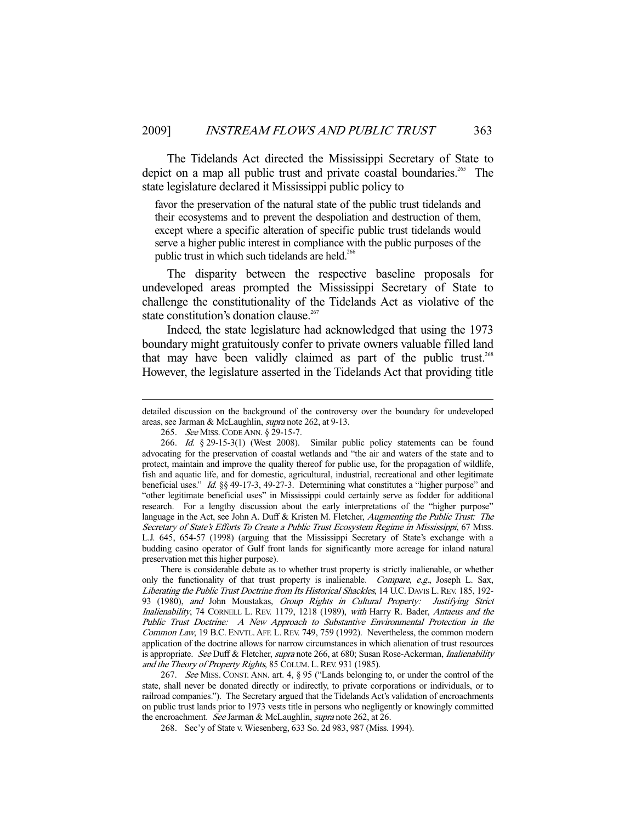The Tidelands Act directed the Mississippi Secretary of State to depict on a map all public trust and private coastal boundaries.<sup>265</sup> The state legislature declared it Mississippi public policy to

favor the preservation of the natural state of the public trust tidelands and their ecosystems and to prevent the despoliation and destruction of them, except where a specific alteration of specific public trust tidelands would serve a higher public interest in compliance with the public purposes of the public trust in which such tidelands are held.<sup>266</sup>

 The disparity between the respective baseline proposals for undeveloped areas prompted the Mississippi Secretary of State to challenge the constitutionality of the Tidelands Act as violative of the state constitution's donation clause.<sup>267</sup>

 Indeed, the state legislature had acknowledged that using the 1973 boundary might gratuitously confer to private owners valuable filled land that may have been validly claimed as part of the public trust.<sup>268</sup> However, the legislature asserted in the Tidelands Act that providing title

-

 There is considerable debate as to whether trust property is strictly inalienable, or whether only the functionality of that trust property is inalienable. Compare, e.g., Joseph L. Sax, Liberating the Public Trust Doctrine from Its Historical Shackles, 14 U.C. DAVIS L.REV. 185, 192- 93 (1980), and John Moustakas, Group Rights in Cultural Property: Justifying Strict Inalienability, 74 CORNELL L. REV. 1179, 1218 (1989), with Harry R. Bader, Antaeus and the Public Trust Doctrine: A New Approach to Substantive Environmental Protection in the Common Law, 19 B.C. ENVTL. AFF. L. REV. 749, 759 (1992). Nevertheless, the common modern application of the doctrine allows for narrow circumstances in which alienation of trust resources is appropriate. See Duff & Fletcher, supra note 266, at 680; Susan Rose-Ackerman, *Inalienability* and the Theory of Property Rights, 85 COLUM. L. REV. 931 (1985).

 267. See MISS. CONST. ANN. art. 4, § 95 ("Lands belonging to, or under the control of the state, shall never be donated directly or indirectly, to private corporations or individuals, or to railroad companies."). The Secretary argued that the Tidelands Act's validation of encroachments on public trust lands prior to 1973 vests title in persons who negligently or knowingly committed the encroachment. See Jarman & McLaughlin, supra note 262, at 26.

detailed discussion on the background of the controversy over the boundary for undeveloped areas, see Jarman & McLaughlin, supra note 262, at 9-13.

 <sup>265.</sup> See MISS.CODE ANN. § 29-15-7.

 <sup>266.</sup> Id. § 29-15-3(1) (West 2008). Similar public policy statements can be found advocating for the preservation of coastal wetlands and "the air and waters of the state and to protect, maintain and improve the quality thereof for public use, for the propagation of wildlife, fish and aquatic life, and for domestic, agricultural, industrial, recreational and other legitimate beneficial uses." Id. §§ 49-17-3, 49-27-3. Determining what constitutes a "higher purpose" and "other legitimate beneficial uses" in Mississippi could certainly serve as fodder for additional research. For a lengthy discussion about the early interpretations of the "higher purpose" language in the Act, see John A. Duff & Kristen M. Fletcher, Augmenting the Public Trust: The Secretary of State's Efforts To Create a Public Trust Ecosystem Regime in Mississippi, 67 MISS. L.J. 645, 654-57 (1998) (arguing that the Mississippi Secretary of State's exchange with a budding casino operator of Gulf front lands for significantly more acreage for inland natural preservation met this higher purpose).

 <sup>268.</sup> Sec'y of State v. Wiesenberg, 633 So. 2d 983, 987 (Miss. 1994).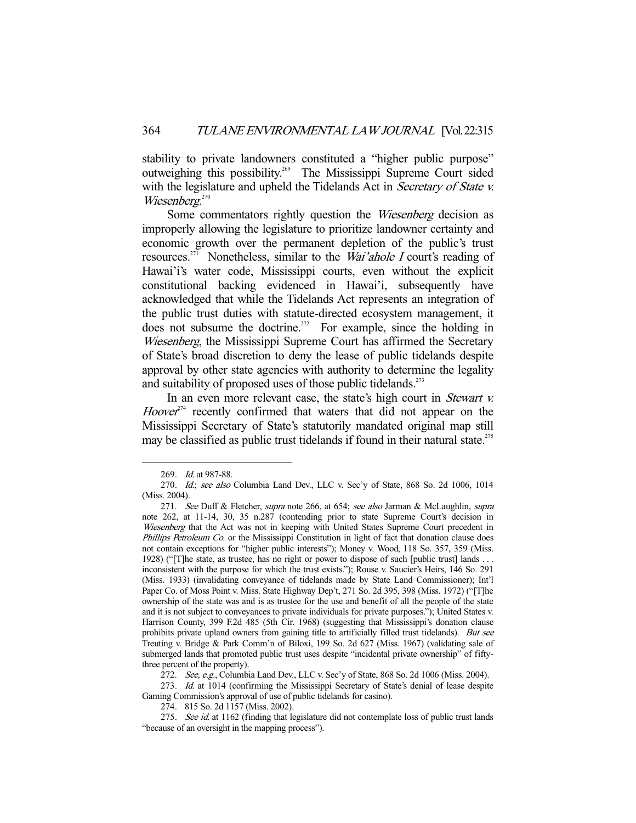stability to private landowners constituted a "higher public purpose" outweighing this possibility.269 The Mississippi Supreme Court sided with the legislature and upheld the Tidelands Act in *Secretary of State v.* Wiesenberg.<sup>270</sup>

Some commentators rightly question the *Wiesenberg* decision as improperly allowing the legislature to prioritize landowner certainty and economic growth over the permanent depletion of the public's trust resources.<sup>271</sup> Nonetheless, similar to the *Wai'ahole I* court's reading of Hawai'i's water code, Mississippi courts, even without the explicit constitutional backing evidenced in Hawai'i, subsequently have acknowledged that while the Tidelands Act represents an integration of the public trust duties with statute-directed ecosystem management, it does not subsume the doctrine.<sup>272</sup> For example, since the holding in Wiesenberg, the Mississippi Supreme Court has affirmed the Secretary of State's broad discretion to deny the lease of public tidelands despite approval by other state agencies with authority to determine the legality and suitability of proposed uses of those public tidelands. $273$ 

In an even more relevant case, the state's high court in *Stewart v.*  $Hoover^{274}$  recently confirmed that waters that did not appear on the Mississippi Secretary of State's statutorily mandated original map still may be classified as public trust tidelands if found in their natural state.<sup>275</sup>

 <sup>269.</sup> Id. at 987-88.

<sup>270.</sup> Id.; see also Columbia Land Dev., LLC v. Sec'y of State, 868 So. 2d 1006, 1014 (Miss. 2004).

<sup>271.</sup> See Duff & Fletcher, supra note 266, at 654; see also Jarman & McLaughlin, supra note 262, at 11-14, 30, 35 n.287 (contending prior to state Supreme Court's decision in Wiesenberg that the Act was not in keeping with United States Supreme Court precedent in Phillips Petroleum Co. or the Mississippi Constitution in light of fact that donation clause does not contain exceptions for "higher public interests"); Money v. Wood, 118 So. 357, 359 (Miss. 1928) ("[T]he state, as trustee, has no right or power to dispose of such [public trust] lands . . . inconsistent with the purpose for which the trust exists."); Rouse v. Saucier's Heirs, 146 So. 291 (Miss. 1933) (invalidating conveyance of tidelands made by State Land Commissioner); Int'l Paper Co. of Moss Point v. Miss. State Highway Dep't, 271 So. 2d 395, 398 (Miss. 1972) ("[T]he ownership of the state was and is as trustee for the use and benefit of all the people of the state and it is not subject to conveyances to private individuals for private purposes."); United States v. Harrison County, 399 F.2d 485 (5th Cir. 1968) (suggesting that Mississippi's donation clause prohibits private upland owners from gaining title to artificially filled trust tidelands). But see Treuting v. Bridge & Park Comm'n of Biloxi, 199 So. 2d 627 (Miss. 1967) (validating sale of submerged lands that promoted public trust uses despite "incidental private ownership" of fiftythree percent of the property).

<sup>272.</sup> See, e.g., Columbia Land Dev., LLC v. Sec'y of State, 868 So. 2d 1006 (Miss. 2004).

<sup>273.</sup> Id. at 1014 (confirming the Mississippi Secretary of State's denial of lease despite Gaming Commission's approval of use of public tidelands for casino).

 <sup>274. 815</sup> So. 2d 1157 (Miss. 2002).

<sup>275.</sup> See id. at 1162 (finding that legislature did not contemplate loss of public trust lands "because of an oversight in the mapping process").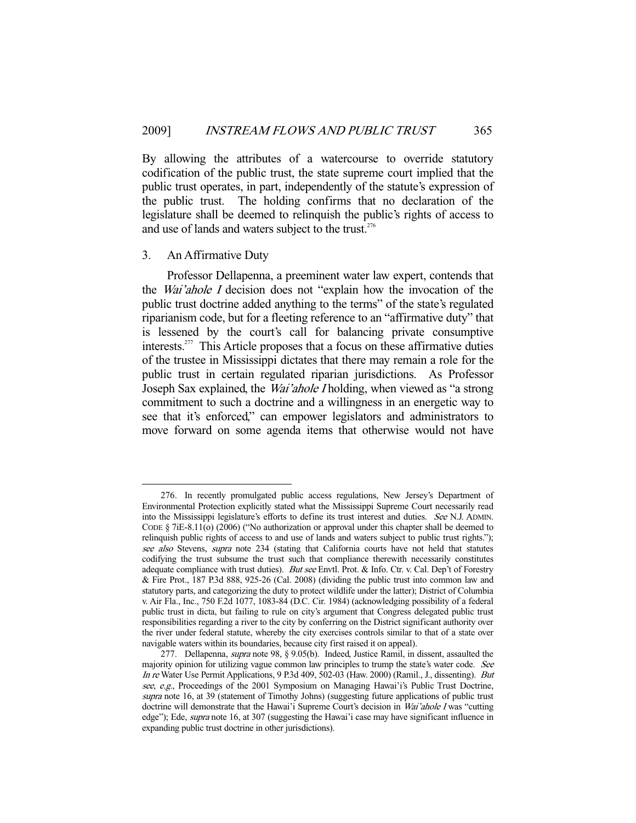By allowing the attributes of a watercourse to override statutory codification of the public trust, the state supreme court implied that the public trust operates, in part, independently of the statute's expression of the public trust. The holding confirms that no declaration of the legislature shall be deemed to relinquish the public's rights of access to and use of lands and waters subject to the trust.<sup>276</sup>

## 3. An Affirmative Duty

-

 Professor Dellapenna, a preeminent water law expert, contends that the Wai'ahole I decision does not "explain how the invocation of the public trust doctrine added anything to the terms" of the state's regulated riparianism code, but for a fleeting reference to an "affirmative duty" that is lessened by the court's call for balancing private consumptive interests.<sup>277</sup> This Article proposes that a focus on these affirmative duties of the trustee in Mississippi dictates that there may remain a role for the public trust in certain regulated riparian jurisdictions. As Professor Joseph Sax explained, the Wai'ahole I holding, when viewed as "a strong commitment to such a doctrine and a willingness in an energetic way to see that it's enforced," can empower legislators and administrators to move forward on some agenda items that otherwise would not have

 <sup>276.</sup> In recently promulgated public access regulations, New Jersey's Department of Environmental Protection explicitly stated what the Mississippi Supreme Court necessarily read into the Mississippi legislature's efforts to define its trust interest and duties. See N.J. ADMIN. CODE  $\S$  7iE-8.11(o) (2006) ("No authorization or approval under this chapter shall be deemed to relinquish public rights of access to and use of lands and waters subject to public trust rights."); see also Stevens, supra note 234 (stating that California courts have not held that statutes codifying the trust subsume the trust such that compliance therewith necessarily constitutes adequate compliance with trust duties). But see Envtl. Prot. & Info. Ctr. v. Cal. Dep't of Forestry & Fire Prot., 187 P.3d 888, 925-26 (Cal. 2008) (dividing the public trust into common law and statutory parts, and categorizing the duty to protect wildlife under the latter); District of Columbia v. Air Fla., Inc., 750 F.2d 1077, 1083-84 (D.C. Cir. 1984) (acknowledging possibility of a federal public trust in dicta, but failing to rule on city's argument that Congress delegated public trust responsibilities regarding a river to the city by conferring on the District significant authority over the river under federal statute, whereby the city exercises controls similar to that of a state over navigable waters within its boundaries, because city first raised it on appeal).

<sup>277.</sup> Dellapenna, *supra* note 98, § 9.05(b). Indeed, Justice Ramil, in dissent, assaulted the majority opinion for utilizing vague common law principles to trump the state's water code. See In re Water Use Permit Applications, 9 P.3d 409, 502-03 (Haw. 2000) (Ramil., J., dissenting). But see, e.g., Proceedings of the 2001 Symposium on Managing Hawai'i's Public Trust Doctrine, supra note 16, at 39 (statement of Timothy Johns) (suggesting future applications of public trust doctrine will demonstrate that the Hawai'i Supreme Court's decision in Wai'ahole I was "cutting edge"); Ede, *supra* note 16, at 307 (suggesting the Hawai'i case may have significant influence in expanding public trust doctrine in other jurisdictions).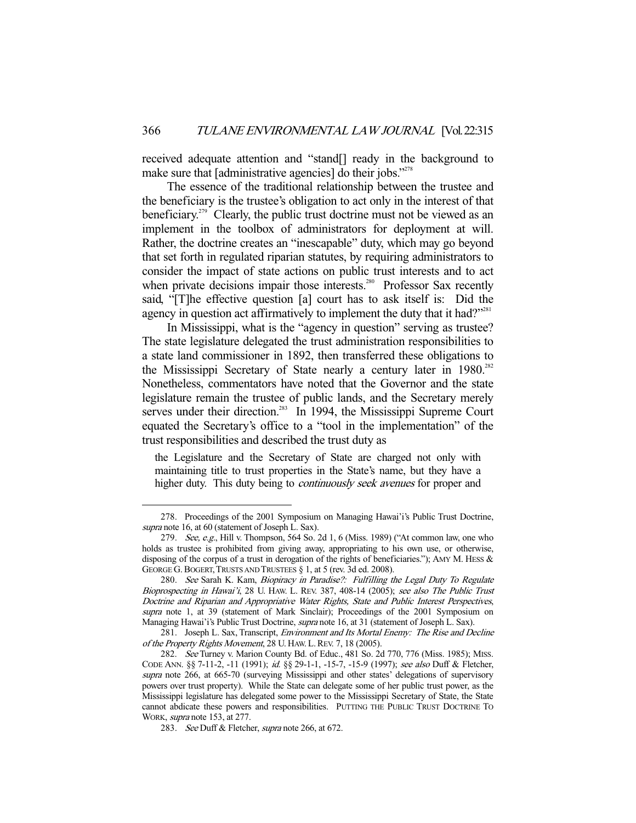received adequate attention and "stand[] ready in the background to make sure that [administrative agencies] do their jobs."<sup>278</sup>

 The essence of the traditional relationship between the trustee and the beneficiary is the trustee's obligation to act only in the interest of that beneficiary.<sup>279</sup> Clearly, the public trust doctrine must not be viewed as an implement in the toolbox of administrators for deployment at will. Rather, the doctrine creates an "inescapable" duty, which may go beyond that set forth in regulated riparian statutes, by requiring administrators to consider the impact of state actions on public trust interests and to act when private decisions impair those interests.<sup>280</sup> Professor Sax recently said, "[T]he effective question [a] court has to ask itself is: Did the agency in question act affirmatively to implement the duty that it had?"<sup>281</sup>

 In Mississippi, what is the "agency in question" serving as trustee? The state legislature delegated the trust administration responsibilities to a state land commissioner in 1892, then transferred these obligations to the Mississippi Secretary of State nearly a century later in 1980.<sup>282</sup> Nonetheless, commentators have noted that the Governor and the state legislature remain the trustee of public lands, and the Secretary merely serves under their direction.<sup>283</sup> In 1994, the Mississippi Supreme Court equated the Secretary's office to a "tool in the implementation" of the trust responsibilities and described the trust duty as

the Legislature and the Secretary of State are charged not only with maintaining title to trust properties in the State's name, but they have a higher duty. This duty being to *continuously seek avenues* for proper and

 <sup>278.</sup> Proceedings of the 2001 Symposium on Managing Hawai'i's Public Trust Doctrine, supra note 16, at 60 (statement of Joseph L. Sax).

<sup>279.</sup> See, e.g., Hill v. Thompson, 564 So. 2d 1, 6 (Miss. 1989) ("At common law, one who holds as trustee is prohibited from giving away, appropriating to his own use, or otherwise, disposing of the corpus of a trust in derogation of the rights of beneficiaries."); AMY M. HESS & GEORGE G. BOGERT, TRUSTS AND TRUSTEES § 1, at 5 (rev. 3d ed. 2008).

 <sup>280.</sup> See Sarah K. Kam, Biopiracy in Paradise?: Fulfilling the Legal Duty To Regulate Bioprospecting in Hawai'i, 28 U. HAW. L. REV. 387, 408-14 (2005); see also The Public Trust Doctrine and Riparian and Appropriative Water Rights, State and Public Interest Perspectives, supra note 1, at 39 (statement of Mark Sinclair); Proceedings of the 2001 Symposium on Managing Hawai'i's Public Trust Doctrine, *supra* note 16, at 31 (statement of Joseph L. Sax).

<sup>281.</sup> Joseph L. Sax, Transcript, Environment and Its Mortal Enemy: The Rise and Decline of the Property Rights Movement, 28 U. HAW. L. REV. 7, 18 (2005).

 <sup>282.</sup> See Turney v. Marion County Bd. of Educ., 481 So. 2d 770, 776 (Miss. 1985); MISS. CODE ANN. §§ 7-11-2, -11 (1991); id. §§ 29-1-1, -15-7, -15-9 (1997); see also Duff & Fletcher, supra note 266, at 665-70 (surveying Mississippi and other states' delegations of supervisory powers over trust property). While the State can delegate some of her public trust power, as the Mississippi legislature has delegated some power to the Mississippi Secretary of State, the State cannot abdicate these powers and responsibilities. PUTTING THE PUBLIC TRUST DOCTRINE TO WORK, supra note 153, at 277.

<sup>283.</sup> See Duff & Fletcher, supra note 266, at 672.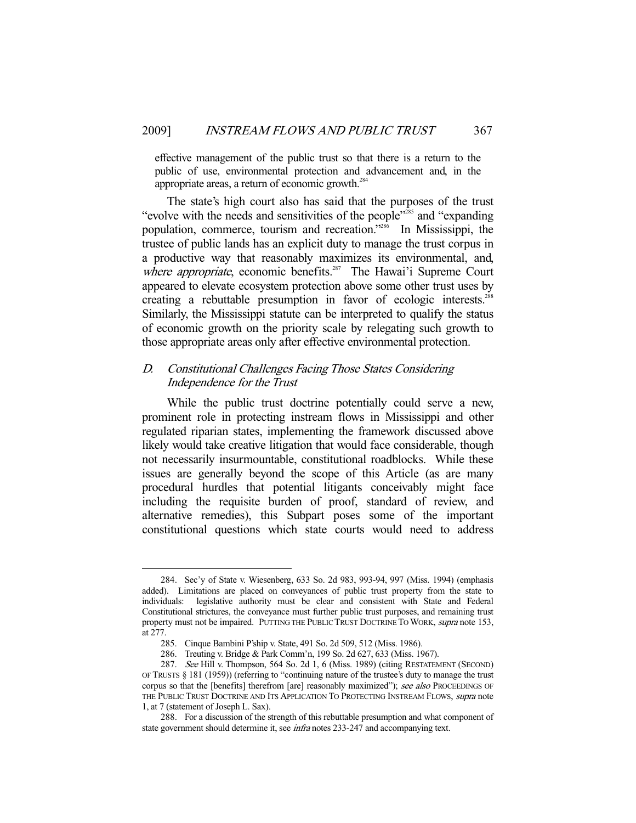effective management of the public trust so that there is a return to the public of use, environmental protection and advancement and, in the appropriate areas, a return of economic growth. $^{284}$ 

 The state's high court also has said that the purposes of the trust " evolve with the needs and sensitivities of the people"<sup>285</sup> and "expanding" population, commerce, tourism and recreation."286 In Mississippi, the trustee of public lands has an explicit duty to manage the trust corpus in a productive way that reasonably maximizes its environmental, and, where appropriate, economic benefits.<sup>287</sup> The Hawai'i Supreme Court appeared to elevate ecosystem protection above some other trust uses by creating a rebuttable presumption in favor of ecologic interests.<sup>288</sup> Similarly, the Mississippi statute can be interpreted to qualify the status of economic growth on the priority scale by relegating such growth to those appropriate areas only after effective environmental protection.

# D. Constitutional Challenges Facing Those States Considering Independence for the Trust

 While the public trust doctrine potentially could serve a new, prominent role in protecting instream flows in Mississippi and other regulated riparian states, implementing the framework discussed above likely would take creative litigation that would face considerable, though not necessarily insurmountable, constitutional roadblocks. While these issues are generally beyond the scope of this Article (as are many procedural hurdles that potential litigants conceivably might face including the requisite burden of proof, standard of review, and alternative remedies), this Subpart poses some of the important constitutional questions which state courts would need to address

 <sup>284.</sup> Sec'y of State v. Wiesenberg, 633 So. 2d 983, 993-94, 997 (Miss. 1994) (emphasis added). Limitations are placed on conveyances of public trust property from the state to individuals: legislative authority must be clear and consistent with State and Federal Constitutional strictures, the conveyance must further public trust purposes, and remaining trust property must not be impaired. PUTTING THE PUBLIC TRUST DOCTRINE TO WORK, *supra* note 153, at 277.

 <sup>285.</sup> Cinque Bambini P'ship v. State, 491 So. 2d 509, 512 (Miss. 1986).

 <sup>286.</sup> Treuting v. Bridge & Park Comm'n, 199 So. 2d 627, 633 (Miss. 1967).

 <sup>287.</sup> See Hill v. Thompson, 564 So. 2d 1, 6 (Miss. 1989) (citing RESTATEMENT (SECOND) OF TRUSTS § 181 (1959)) (referring to "continuing nature of the trustee's duty to manage the trust corpus so that the [benefits] therefrom [are] reasonably maximized"); see also PROCEEDINGS OF THE PUBLIC TRUST DOCTRINE AND ITS APPLICATION TO PROTECTING INSTREAM FLOWS, *supra* note 1, at 7 (statement of Joseph L. Sax).

 <sup>288.</sup> For a discussion of the strength of this rebuttable presumption and what component of state government should determine it, see *infra* notes 233-247 and accompanying text.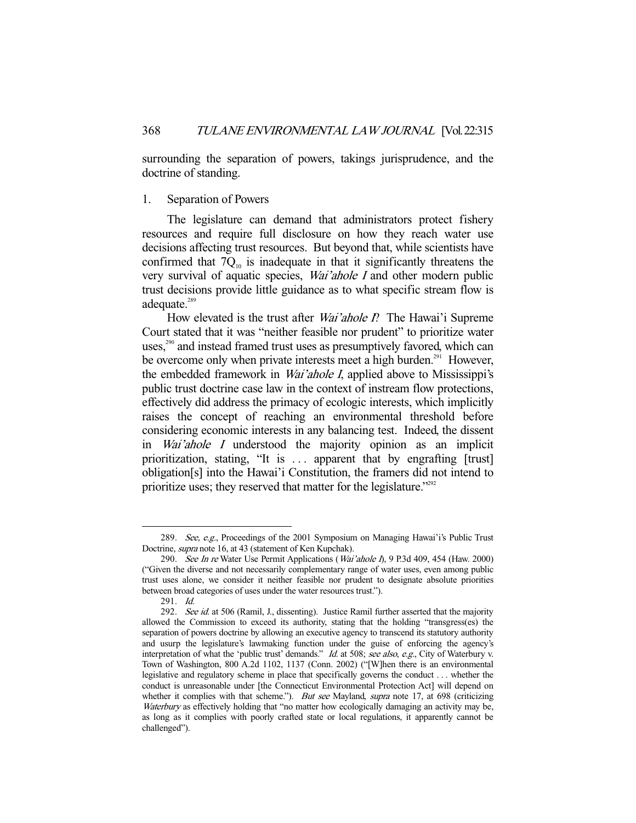surrounding the separation of powers, takings jurisprudence, and the doctrine of standing.

## 1. Separation of Powers

 The legislature can demand that administrators protect fishery resources and require full disclosure on how they reach water use decisions affecting trust resources. But beyond that, while scientists have confirmed that  $7Q_{10}$  is inadequate in that it significantly threatens the very survival of aquatic species, Wai'ahole I and other modern public trust decisions provide little guidance as to what specific stream flow is adequate.<sup>289</sup>

How elevated is the trust after *Wai'ahole P*. The Hawai'i Supreme Court stated that it was "neither feasible nor prudent" to prioritize water uses,<sup>290</sup> and instead framed trust uses as presumptively favored, which can be overcome only when private interests meet a high burden.<sup>291</sup> However, the embedded framework in *Wai'ahole I*, applied above to Mississippi's public trust doctrine case law in the context of instream flow protections, effectively did address the primacy of ecologic interests, which implicitly raises the concept of reaching an environmental threshold before considering economic interests in any balancing test. Indeed, the dissent in Wai'ahole I understood the majority opinion as an implicit prioritization, stating, "It is ... apparent that by engrafting [trust] obligation[s] into the Hawai'i Constitution, the framers did not intend to prioritize uses; they reserved that matter for the legislature."<sup>292</sup>

 <sup>289.</sup> See, e.g., Proceedings of the 2001 Symposium on Managing Hawai'i's Public Trust Doctrine, supra note 16, at 43 (statement of Ken Kupchak).

<sup>290.</sup> See In re Water Use Permit Applications (Wai'ahole I), 9 P.3d 409, 454 (Haw. 2000) ("Given the diverse and not necessarily complementary range of water uses, even among public trust uses alone, we consider it neither feasible nor prudent to designate absolute priorities between broad categories of uses under the water resources trust.").

 <sup>291.</sup> Id.

<sup>292.</sup> See id. at 506 (Ramil, J., dissenting). Justice Ramil further asserted that the majority allowed the Commission to exceed its authority, stating that the holding "transgress(es) the separation of powers doctrine by allowing an executive agency to transcend its statutory authority and usurp the legislature's lawmaking function under the guise of enforcing the agency's interpretation of what the 'public trust' demands." Id. at 508; see also, e.g., City of Waterbury v. Town of Washington, 800 A.2d 1102, 1137 (Conn. 2002) ("[W]hen there is an environmental legislative and regulatory scheme in place that specifically governs the conduct . . . whether the conduct is unreasonable under [the Connecticut Environmental Protection Act] will depend on whether it complies with that scheme."). But see Mayland, supra note 17, at 698 (criticizing Waterbury as effectively holding that "no matter how ecologically damaging an activity may be, as long as it complies with poorly crafted state or local regulations, it apparently cannot be challenged").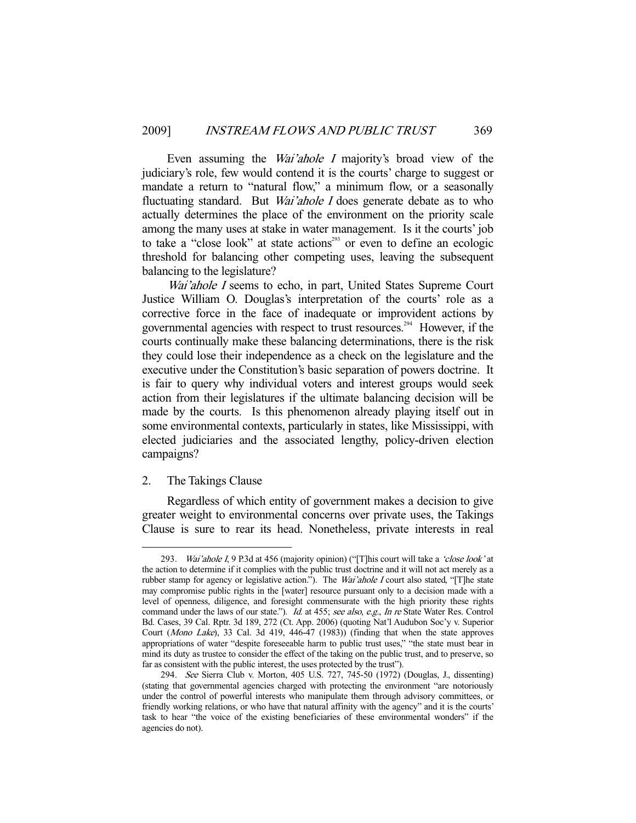Even assuming the *Wai'ahole I* majority's broad view of the judiciary's role, few would contend it is the courts' charge to suggest or mandate a return to "natural flow," a minimum flow, or a seasonally fluctuating standard. But *Wai'ahole I* does generate debate as to who actually determines the place of the environment on the priority scale among the many uses at stake in water management. Is it the courts' job to take a "close look" at state actions<sup>293</sup> or even to define an ecologic threshold for balancing other competing uses, leaving the subsequent balancing to the legislature?

Wai'ahole I seems to echo, in part, United States Supreme Court Justice William O. Douglas's interpretation of the courts' role as a corrective force in the face of inadequate or improvident actions by governmental agencies with respect to trust resources.<sup>294</sup> However, if the courts continually make these balancing determinations, there is the risk they could lose their independence as a check on the legislature and the executive under the Constitution's basic separation of powers doctrine. It is fair to query why individual voters and interest groups would seek action from their legislatures if the ultimate balancing decision will be made by the courts. Is this phenomenon already playing itself out in some environmental contexts, particularly in states, like Mississippi, with elected judiciaries and the associated lengthy, policy-driven election campaigns?

## 2. The Takings Clause

-

 Regardless of which entity of government makes a decision to give greater weight to environmental concerns over private uses, the Takings Clause is sure to rear its head. Nonetheless, private interests in real

<sup>293.</sup> Wai'ahole I, 9 P.3d at 456 (majority opinion) ("[T]his court will take a 'close look' at the action to determine if it complies with the public trust doctrine and it will not act merely as a rubber stamp for agency or legislative action."). The Wai'ahole I court also stated, "[T]he state may compromise public rights in the [water] resource pursuant only to a decision made with a level of openness, diligence, and foresight commensurate with the high priority these rights command under the laws of our state."). Id. at 455; see also, e.g., In re State Water Res. Control Bd. Cases, 39 Cal. Rptr. 3d 189, 272 (Ct. App. 2006) (quoting Nat'l Audubon Soc'y v. Superior Court (Mono Lake), 33 Cal. 3d 419, 446-47 (1983)) (finding that when the state approves appropriations of water "despite foreseeable harm to public trust uses," "the state must bear in mind its duty as trustee to consider the effect of the taking on the public trust, and to preserve, so far as consistent with the public interest, the uses protected by the trust").

<sup>294.</sup> See Sierra Club v. Morton, 405 U.S. 727, 745-50 (1972) (Douglas, J., dissenting) (stating that governmental agencies charged with protecting the environment "are notoriously under the control of powerful interests who manipulate them through advisory committees, or friendly working relations, or who have that natural affinity with the agency" and it is the courts' task to hear "the voice of the existing beneficiaries of these environmental wonders" if the agencies do not).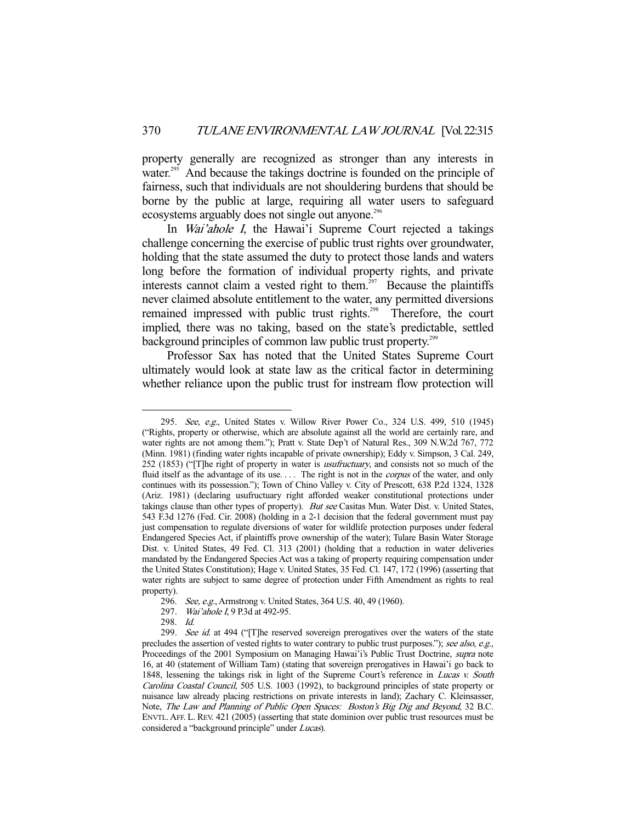property generally are recognized as stronger than any interests in water.<sup>295</sup> And because the takings doctrine is founded on the principle of fairness, such that individuals are not shouldering burdens that should be borne by the public at large, requiring all water users to safeguard ecosystems arguably does not single out anyone.<sup>296</sup>

 In Wai'ahole I, the Hawai'i Supreme Court rejected a takings challenge concerning the exercise of public trust rights over groundwater, holding that the state assumed the duty to protect those lands and waters long before the formation of individual property rights, and private interests cannot claim a vested right to them.<sup>297</sup> Because the plaintiffs never claimed absolute entitlement to the water, any permitted diversions remained impressed with public trust rights.<sup>298</sup> Therefore, the court implied, there was no taking, based on the state's predictable, settled background principles of common law public trust property.<sup>299</sup>

 Professor Sax has noted that the United States Supreme Court ultimately would look at state law as the critical factor in determining whether reliance upon the public trust for instream flow protection will

<sup>295.</sup> See, e.g., United States v. Willow River Power Co., 324 U.S. 499, 510 (1945) ("Rights, property or otherwise, which are absolute against all the world are certainly rare, and water rights are not among them."); Pratt v. State Dep't of Natural Res., 309 N.W.2d 767, 772 (Minn. 1981) (finding water rights incapable of private ownership); Eddy v. Simpson, 3 Cal. 249, 252 (1853) ("[T]he right of property in water is usufructuary, and consists not so much of the fluid itself as the advantage of its use.... The right is not in the *corpus* of the water, and only continues with its possession."); Town of Chino Valley v. City of Prescott, 638 P.2d 1324, 1328 (Ariz. 1981) (declaring usufructuary right afforded weaker constitutional protections under takings clause than other types of property). But see Casitas Mun. Water Dist. v. United States, 543 F.3d 1276 (Fed. Cir. 2008) (holding in a 2-1 decision that the federal government must pay just compensation to regulate diversions of water for wildlife protection purposes under federal Endangered Species Act, if plaintiffs prove ownership of the water); Tulare Basin Water Storage Dist. v. United States, 49 Fed. Cl. 313 (2001) (holding that a reduction in water deliveries mandated by the Endangered Species Act was a taking of property requiring compensation under the United States Constitution); Hage v. United States, 35 Fed. Cl. 147, 172 (1996) (asserting that water rights are subject to same degree of protection under Fifth Amendment as rights to real property).

<sup>296.</sup> See, e.g., Armstrong v. United States, 364 U.S. 40, 49 (1960).

<sup>297.</sup> Wai'ahole I, 9 P.3d at 492-95.

 <sup>298.</sup> Id.

<sup>299.</sup> See id. at 494 ("[T]he reserved sovereign prerogatives over the waters of the state precludes the assertion of vested rights to water contrary to public trust purposes."); see also, e.g., Proceedings of the 2001 Symposium on Managing Hawai'i's Public Trust Doctrine, supra note 16, at 40 (statement of William Tam) (stating that sovereign prerogatives in Hawai'i go back to 1848, lessening the takings risk in light of the Supreme Court's reference in Lucas v. South Carolina Coastal Council, 505 U.S. 1003 (1992), to background principles of state property or nuisance law already placing restrictions on private interests in land); Zachary C. Kleinsasser, Note, The Law and Planning of Public Open Spaces: Boston's Big Dig and Beyond, 32 B.C. ENVTL. AFF. L. REV. 421 (2005) (asserting that state dominion over public trust resources must be considered a "background principle" under Lucas).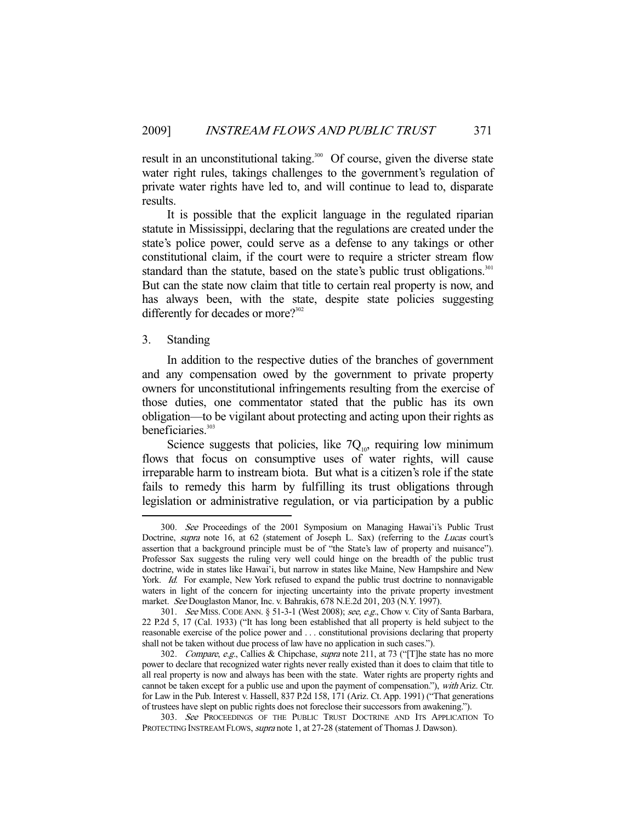result in an unconstitutional taking.<sup>300</sup> Of course, given the diverse state water right rules, takings challenges to the government's regulation of private water rights have led to, and will continue to lead to, disparate results.

 It is possible that the explicit language in the regulated riparian statute in Mississippi, declaring that the regulations are created under the state's police power, could serve as a defense to any takings or other constitutional claim, if the court were to require a stricter stream flow standard than the statute, based on the state's public trust obligations.<sup>301</sup> But can the state now claim that title to certain real property is now, and has always been, with the state, despite state policies suggesting differently for decades or more?<sup>302</sup>

## 3. Standing

-

 In addition to the respective duties of the branches of government and any compensation owed by the government to private property owners for unconstitutional infringements resulting from the exercise of those duties, one commentator stated that the public has its own obligation—to be vigilant about protecting and acting upon their rights as beneficiaries.<sup>303</sup>

Science suggests that policies, like  $7Q_{10}$ , requiring low minimum flows that focus on consumptive uses of water rights, will cause irreparable harm to instream biota. But what is a citizen's role if the state fails to remedy this harm by fulfilling its trust obligations through legislation or administrative regulation, or via participation by a public

 <sup>300.</sup> See Proceedings of the 2001 Symposium on Managing Hawai'i's Public Trust Doctrine, supra note 16, at 62 (statement of Joseph L. Sax) (referring to the Lucas court's assertion that a background principle must be of "the State's law of property and nuisance"). Professor Sax suggests the ruling very well could hinge on the breadth of the public trust doctrine, wide in states like Hawai'i, but narrow in states like Maine, New Hampshire and New York. Id. For example, New York refused to expand the public trust doctrine to nonnavigable waters in light of the concern for injecting uncertainty into the private property investment market. See Douglaston Manor, Inc. v. Bahrakis, 678 N.E.2d 201, 203 (N.Y. 1997).

<sup>301.</sup> See MISS. CODE ANN. § 51-3-1 (West 2008); see, e.g., Chow v. City of Santa Barbara, 22 P.2d 5, 17 (Cal. 1933) ("It has long been established that all property is held subject to the reasonable exercise of the police power and . . . constitutional provisions declaring that property shall not be taken without due process of law have no application in such cases.").

<sup>302.</sup> Compare, e.g., Callies & Chipchase, supra note 211, at 73 ("[T]he state has no more power to declare that recognized water rights never really existed than it does to claim that title to all real property is now and always has been with the state. Water rights are property rights and cannot be taken except for a public use and upon the payment of compensation."), with Ariz. Ctr. for Law in the Pub. Interest v. Hassell, 837 P.2d 158, 171 (Ariz. Ct. App. 1991) ("That generations of trustees have slept on public rights does not foreclose their successors from awakening.").

 <sup>303.</sup> See PROCEEDINGS OF THE PUBLIC TRUST DOCTRINE AND ITS APPLICATION TO PROTECTING INSTREAM FLOWS, *supra* note 1, at 27-28 (statement of Thomas J. Dawson).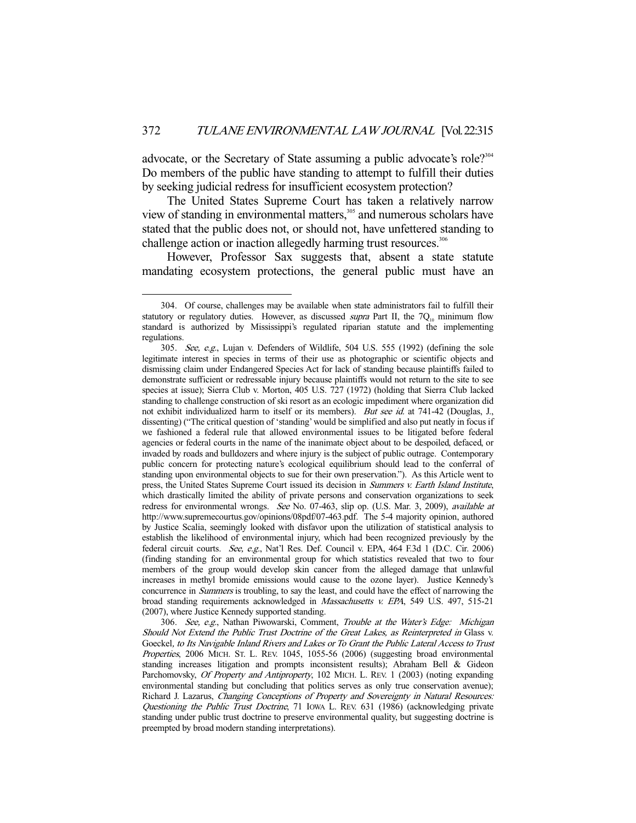advocate, or the Secretary of State assuming a public advocate's role?<sup>304</sup> Do members of the public have standing to attempt to fulfill their duties by seeking judicial redress for insufficient ecosystem protection?

 The United States Supreme Court has taken a relatively narrow view of standing in environmental matters,<sup>305</sup> and numerous scholars have stated that the public does not, or should not, have unfettered standing to challenge action or inaction allegedly harming trust resources.<sup>306</sup>

 However, Professor Sax suggests that, absent a state statute mandating ecosystem protections, the general public must have an

 <sup>304.</sup> Of course, challenges may be available when state administrators fail to fulfill their statutory or regulatory duties. However, as discussed *supra* Part II, the  $7Q<sub>10</sub>$  minimum flow standard is authorized by Mississippi's regulated riparian statute and the implementing regulations.

 <sup>305.</sup> See, e.g., Lujan v. Defenders of Wildlife, 504 U.S. 555 (1992) (defining the sole legitimate interest in species in terms of their use as photographic or scientific objects and dismissing claim under Endangered Species Act for lack of standing because plaintiffs failed to demonstrate sufficient or redressable injury because plaintiffs would not return to the site to see species at issue); Sierra Club v. Morton, 405 U.S. 727 (1972) (holding that Sierra Club lacked standing to challenge construction of ski resort as an ecologic impediment where organization did not exhibit individualized harm to itself or its members). But see id. at 741-42 (Douglas, J., dissenting) ("The critical question of 'standing' would be simplified and also put neatly in focus if we fashioned a federal rule that allowed environmental issues to be litigated before federal agencies or federal courts in the name of the inanimate object about to be despoiled, defaced, or invaded by roads and bulldozers and where injury is the subject of public outrage. Contemporary public concern for protecting nature's ecological equilibrium should lead to the conferral of standing upon environmental objects to sue for their own preservation."). As this Article went to press, the United States Supreme Court issued its decision in Summers v. Earth Island Institute, which drastically limited the ability of private persons and conservation organizations to seek redress for environmental wrongs. See No. 07-463, slip op. (U.S. Mar. 3, 2009), available at http://www.supremecourtus.gov/opinions/08pdf/07-463.pdf. The 5-4 majority opinion, authored by Justice Scalia, seemingly looked with disfavor upon the utilization of statistical analysis to establish the likelihood of environmental injury, which had been recognized previously by the federal circuit courts. See, e.g., Nat'l Res. Def. Council v. EPA, 464 F.3d 1 (D.C. Cir. 2006) (finding standing for an environmental group for which statistics revealed that two to four members of the group would develop skin cancer from the alleged damage that unlawful increases in methyl bromide emissions would cause to the ozone layer). Justice Kennedy's concurrence in *Summers* is troubling, to say the least, and could have the effect of narrowing the broad standing requirements acknowledged in Massachusetts v. EPA, 549 U.S. 497, 515-21 (2007), where Justice Kennedy supported standing.

<sup>306.</sup> See, e.g., Nathan Piwowarski, Comment, Trouble at the Water's Edge: Michigan Should Not Extend the Public Trust Doctrine of the Great Lakes, as Reinterpreted in Glass v. Goeckel, to Its Navigable Inland Rivers and Lakes or To Grant the Public Lateral Access to Trust Properties, 2006 MICH. ST. L. REV. 1045, 1055-56 (2006) (suggesting broad environmental standing increases litigation and prompts inconsistent results); Abraham Bell & Gideon Parchomovsky, Of Property and Antiproperty, 102 MICH. L. REV. 1 (2003) (noting expanding environmental standing but concluding that politics serves as only true conservation avenue); Richard J. Lazarus, Changing Conceptions of Property and Sovereignty in Natural Resources: Questioning the Public Trust Doctrine, 71 IOWA L. REV. 631 (1986) (acknowledging private standing under public trust doctrine to preserve environmental quality, but suggesting doctrine is preempted by broad modern standing interpretations).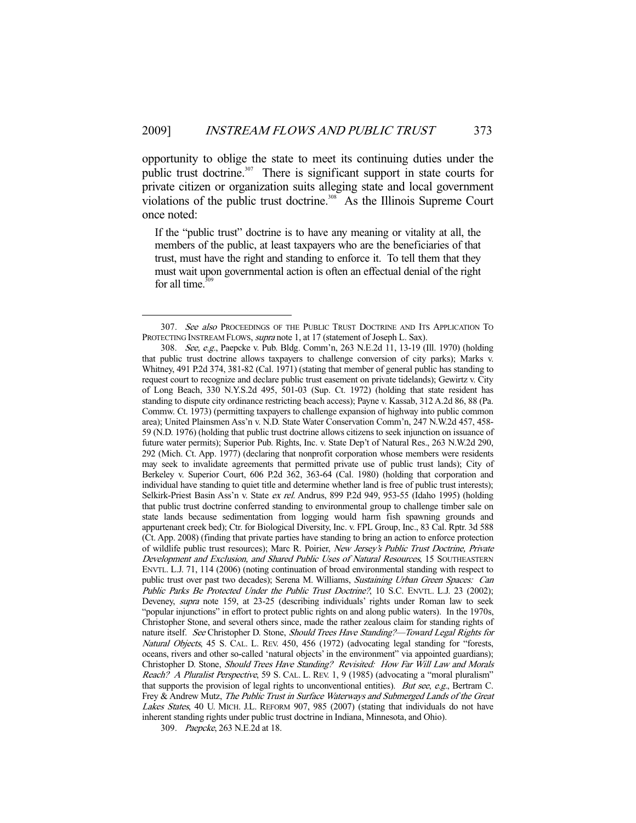opportunity to oblige the state to meet its continuing duties under the public trust doctrine.<sup>307</sup> There is significant support in state courts for private citizen or organization suits alleging state and local government violations of the public trust doctrine.<sup>308</sup> As the Illinois Supreme Court once noted:

If the "public trust" doctrine is to have any meaning or vitality at all, the members of the public, at least taxpayers who are the beneficiaries of that trust, must have the right and standing to enforce it. To tell them that they must wait upon governmental action is often an effectual denial of the right for all time. $30$ 

309. Paepcke, 263 N.E.2d at 18.

<sup>307.</sup> See also PROCEEDINGS OF THE PUBLIC TRUST DOCTRINE AND ITS APPLICATION TO PROTECTING INSTREAM FLOWS, *supra* note 1, at 17 (statement of Joseph L. Sax).

 <sup>308.</sup> See, e.g., Paepcke v. Pub. Bldg. Comm'n, 263 N.E.2d 11, 13-19 (Ill. 1970) (holding that public trust doctrine allows taxpayers to challenge conversion of city parks); Marks v. Whitney, 491 P.2d 374, 381-82 (Cal. 1971) (stating that member of general public has standing to request court to recognize and declare public trust easement on private tidelands); Gewirtz v. City of Long Beach, 330 N.Y.S.2d 495, 501-03 (Sup. Ct. 1972) (holding that state resident has standing to dispute city ordinance restricting beach access); Payne v. Kassab, 312 A.2d 86, 88 (Pa. Commw. Ct. 1973) (permitting taxpayers to challenge expansion of highway into public common area); United Plainsmen Ass'n v. N.D. State Water Conservation Comm'n, 247 N.W.2d 457, 458- 59 (N.D. 1976) (holding that public trust doctrine allows citizens to seek injunction on issuance of future water permits); Superior Pub. Rights, Inc. v. State Dep't of Natural Res., 263 N.W.2d 290, 292 (Mich. Ct. App. 1977) (declaring that nonprofit corporation whose members were residents may seek to invalidate agreements that permitted private use of public trust lands); City of Berkeley v. Superior Court, 606 P.2d 362, 363-64 (Cal. 1980) (holding that corporation and individual have standing to quiet title and determine whether land is free of public trust interests); Selkirk-Priest Basin Ass'n v. State ex rel. Andrus, 899 P.2d 949, 953-55 (Idaho 1995) (holding that public trust doctrine conferred standing to environmental group to challenge timber sale on state lands because sedimentation from logging would harm fish spawning grounds and appurtenant creek bed); Ctr. for Biological Diversity, Inc. v. FPL Group, Inc., 83 Cal. Rptr. 3d 588 (Ct. App. 2008) (finding that private parties have standing to bring an action to enforce protection of wildlife public trust resources); Marc R. Poirier, New Jersey's Public Trust Doctrine, Private Development and Exclusion, and Shared Public Uses of Natural Resources, 15 SOUTHEASTERN ENVTL. L.J. 71, 114 (2006) (noting continuation of broad environmental standing with respect to public trust over past two decades); Serena M. Williams, Sustaining Urban Green Spaces: Can Public Parks Be Protected Under the Public Trust Doctrine?, 10 S.C. ENVTL. L.J. 23 (2002); Deveney, supra note 159, at 23-25 (describing individuals' rights under Roman law to seek "popular injunctions" in effort to protect public rights on and along public waters). In the 1970s, Christopher Stone, and several others since, made the rather zealous claim for standing rights of nature itself. See Christopher D. Stone, Should Trees Have Standing?—Toward Legal Rights for Natural Objects, 45 S. CAL. L. REV. 450, 456 (1972) (advocating legal standing for "forests, oceans, rivers and other so-called 'natural objects' in the environment" via appointed guardians); Christopher D. Stone, Should Trees Have Standing? Revisited: How Far Will Law and Morals Reach? A Pluralist Perspective, 59 S. CAL. L. REV. 1, 9 (1985) (advocating a "moral pluralism" that supports the provision of legal rights to unconventional entities). But see, e.g., Bertram C. Frey & Andrew Mutz, The Public Trust in Surface Waterways and Submerged Lands of the Great Lakes States, 40 U. MICH. J.L. REFORM 907, 985 (2007) (stating that individuals do not have inherent standing rights under public trust doctrine in Indiana, Minnesota, and Ohio).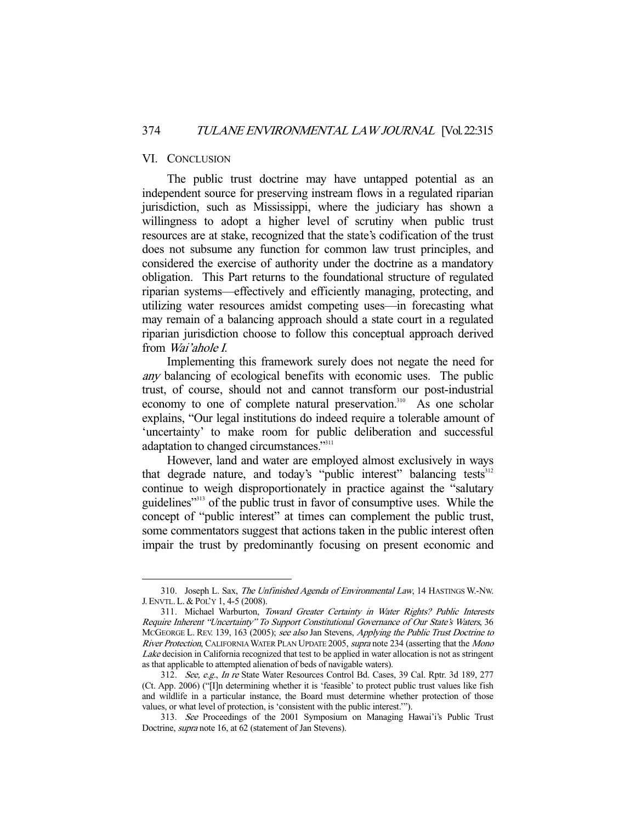## VI. CONCLUSION

-

 The public trust doctrine may have untapped potential as an independent source for preserving instream flows in a regulated riparian jurisdiction, such as Mississippi, where the judiciary has shown a willingness to adopt a higher level of scrutiny when public trust resources are at stake, recognized that the state's codification of the trust does not subsume any function for common law trust principles, and considered the exercise of authority under the doctrine as a mandatory obligation. This Part returns to the foundational structure of regulated riparian systems—effectively and efficiently managing, protecting, and utilizing water resources amidst competing uses—in forecasting what may remain of a balancing approach should a state court in a regulated riparian jurisdiction choose to follow this conceptual approach derived from Wai'ahole I.

 Implementing this framework surely does not negate the need for any balancing of ecological benefits with economic uses. The public trust, of course, should not and cannot transform our post-industrial economy to one of complete natural preservation.<sup>310</sup> As one scholar explains, "Our legal institutions do indeed require a tolerable amount of 'uncertainty' to make room for public deliberation and successful adaptation to changed circumstances."311

 However, land and water are employed almost exclusively in ways that degrade nature, and today's "public interest" balancing tests<sup>312</sup> continue to weigh disproportionately in practice against the "salutary guidelines"<sup>313</sup> of the public trust in favor of consumptive uses. While the concept of "public interest" at times can complement the public trust, some commentators suggest that actions taken in the public interest often impair the trust by predominantly focusing on present economic and

 <sup>310.</sup> Joseph L. Sax, The Unfinished Agenda of Environmental Law, 14 HASTINGS W.-NW. J. ENVTL.L. & POL'Y 1, 4-5 (2008).

 <sup>311.</sup> Michael Warburton, Toward Greater Certainty in Water Rights? Public Interests Require Inherent "Uncertainty" To Support Constitutional Governance of Our State's Waters, 36 MCGEORGE L. REV. 139, 163 (2005); see also Jan Stevens, Applying the Public Trust Doctrine to River Protection, CALIFORNIA WATER PLAN UPDATE 2005, supra note 234 (asserting that the Mono Lake decision in California recognized that test to be applied in water allocation is not as stringent as that applicable to attempted alienation of beds of navigable waters).

 <sup>312.</sup> See, e.g., In re State Water Resources Control Bd. Cases, 39 Cal. Rptr. 3d 189, 277 (Ct. App. 2006) ("[I]n determining whether it is 'feasible' to protect public trust values like fish and wildlife in a particular instance, the Board must determine whether protection of those values, or what level of protection, is 'consistent with the public interest.'").

<sup>313.</sup> See Proceedings of the 2001 Symposium on Managing Hawai'i's Public Trust Doctrine, supra note 16, at 62 (statement of Jan Stevens).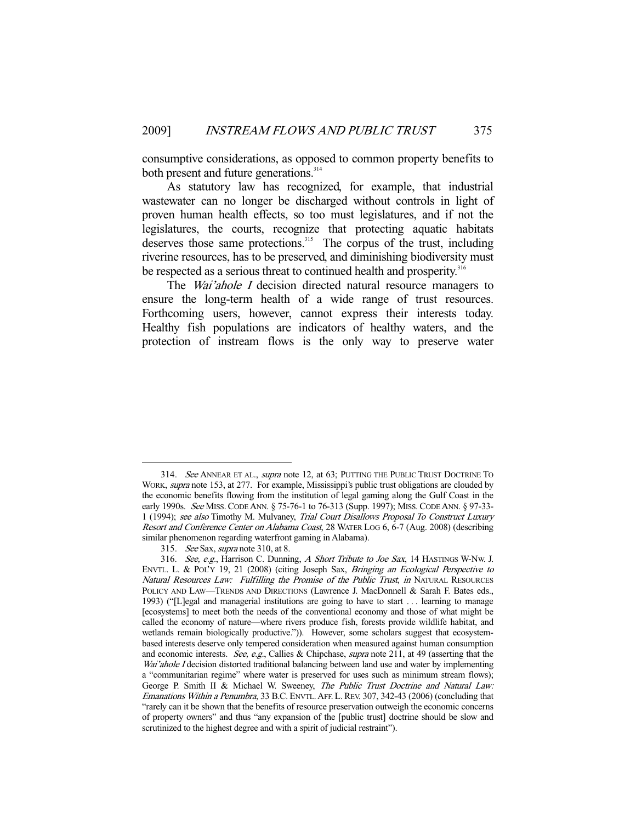consumptive considerations, as opposed to common property benefits to both present and future generations.<sup>314</sup>

 As statutory law has recognized, for example, that industrial wastewater can no longer be discharged without controls in light of proven human health effects, so too must legislatures, and if not the legislatures, the courts, recognize that protecting aquatic habitats deserves those same protections.<sup>315</sup> The corpus of the trust, including riverine resources, has to be preserved, and diminishing biodiversity must be respected as a serious threat to continued health and prosperity.<sup>316</sup>

The *Wai'ahole I* decision directed natural resource managers to ensure the long-term health of a wide range of trust resources. Forthcoming users, however, cannot express their interests today. Healthy fish populations are indicators of healthy waters, and the protection of instream flows is the only way to preserve water

 <sup>314.</sup> See ANNEAR ET AL., supra note 12, at 63; PUTTING THE PUBLIC TRUST DOCTRINE TO WORK, supra note 153, at 277. For example, Mississippi's public trust obligations are clouded by the economic benefits flowing from the institution of legal gaming along the Gulf Coast in the early 1990s. See MISS. CODE ANN. § 75-76-1 to 76-313 (Supp. 1997); MISS. CODE ANN. § 97-33- 1 (1994); see also Timothy M. Mulvaney, Trial Court Disallows Proposal To Construct Luxury Resort and Conference Center on Alabama Coast, 28 WATER LOG 6, 6-7 (Aug. 2008) (describing similar phenomenon regarding waterfront gaming in Alabama).

 <sup>315.</sup> See Sax, supra note 310, at 8.

<sup>316.</sup> See, e.g., Harrison C. Dunning, A Short Tribute to Joe Sax, 14 HASTINGS W-Nw. J. ENVTL. L. & POL'Y 19, 21 (2008) (citing Joseph Sax, Bringing an Ecological Perspective to Natural Resources Law: Fulfilling the Promise of the Public Trust, in NATURAL RESOURCES POLICY AND LAW—TRENDS AND DIRECTIONS (Lawrence J. MacDonnell & Sarah F. Bates eds., 1993) ("[L]egal and managerial institutions are going to have to start . . . learning to manage [ecosystems] to meet both the needs of the conventional economy and those of what might be called the economy of nature—where rivers produce fish, forests provide wildlife habitat, and wetlands remain biologically productive.")). However, some scholars suggest that ecosystembased interests deserve only tempered consideration when measured against human consumption and economic interests. See, e.g., Callies & Chipchase, supra note 211, at 49 (asserting that the Wai'ahole I decision distorted traditional balancing between land use and water by implementing a "communitarian regime" where water is preserved for uses such as minimum stream flows); George P. Smith II & Michael W. Sweeney, The Public Trust Doctrine and Natural Law: Emanations Within a Penumbra, 33 B.C. ENVTL.AFF. L. REV. 307, 342-43 (2006) (concluding that "rarely can it be shown that the benefits of resource preservation outweigh the economic concerns of property owners" and thus "any expansion of the [public trust] doctrine should be slow and scrutinized to the highest degree and with a spirit of judicial restraint").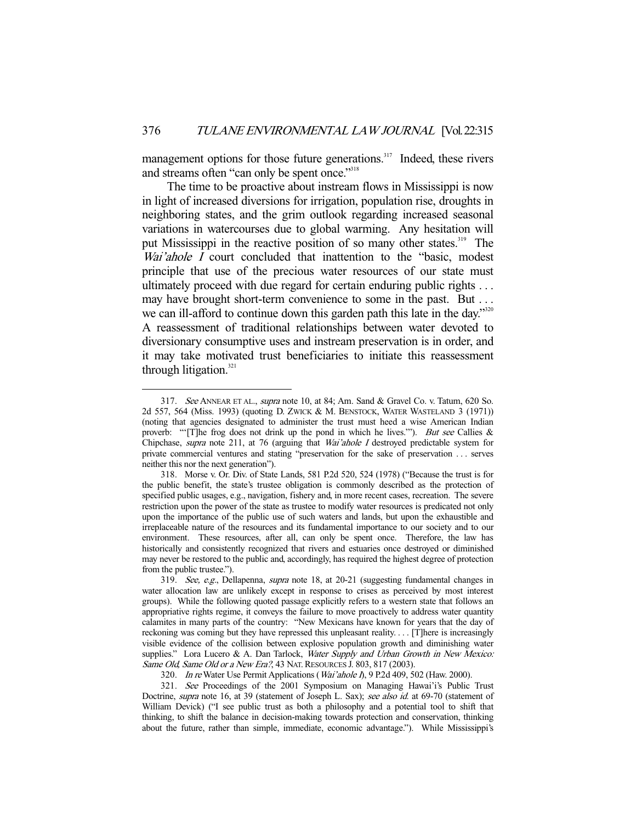management options for those future generations.<sup>317</sup> Indeed, these rivers and streams often "can only be spent once."<sup>318</sup>

 The time to be proactive about instream flows in Mississippi is now in light of increased diversions for irrigation, population rise, droughts in neighboring states, and the grim outlook regarding increased seasonal variations in watercourses due to global warming. Any hesitation will put Mississippi in the reactive position of so many other states.<sup>319</sup> The Wai'ahole I court concluded that inattention to the "basic, modest principle that use of the precious water resources of our state must ultimately proceed with due regard for certain enduring public rights . . . may have brought short-term convenience to some in the past. But ... we can ill-afford to continue down this garden path this late in the day."<sup>320</sup> A reassessment of traditional relationships between water devoted to diversionary consumptive uses and instream preservation is in order, and it may take motivated trust beneficiaries to initiate this reassessment through litigation. $321$ 

<sup>317.</sup> See ANNEAR ET AL., supra note 10, at 84; Am. Sand & Gravel Co. v. Tatum, 620 So. 2d 557, 564 (Miss. 1993) (quoting D. ZWICK & M. BENSTOCK, WATER WASTELAND 3 (1971)) (noting that agencies designated to administer the trust must heed a wise American Indian proverb: "'[T]he frog does not drink up the pond in which he lives."'). But see Callies & Chipchase, supra note 211, at 76 (arguing that Wai'ahole I destroyed predictable system for private commercial ventures and stating "preservation for the sake of preservation . . . serves neither this nor the next generation").

 <sup>318.</sup> Morse v. Or. Div. of State Lands, 581 P.2d 520, 524 (1978) ("Because the trust is for the public benefit, the state's trustee obligation is commonly described as the protection of specified public usages, e.g., navigation, fishery and, in more recent cases, recreation. The severe restriction upon the power of the state as trustee to modify water resources is predicated not only upon the importance of the public use of such waters and lands, but upon the exhaustible and irreplaceable nature of the resources and its fundamental importance to our society and to our environment. These resources, after all, can only be spent once. Therefore, the law has historically and consistently recognized that rivers and estuaries once destroyed or diminished may never be restored to the public and, accordingly, has required the highest degree of protection from the public trustee.").

 <sup>319.</sup> See, e.g., Dellapenna, supra note 18, at 20-21 (suggesting fundamental changes in water allocation law are unlikely except in response to crises as perceived by most interest groups). While the following quoted passage explicitly refers to a western state that follows an appropriative rights regime, it conveys the failure to move proactively to address water quantity calamites in many parts of the country: "New Mexicans have known for years that the day of reckoning was coming but they have repressed this unpleasant reality. . . . [T]here is increasingly visible evidence of the collision between explosive population growth and diminishing water supplies." Lora Lucero & A. Dan Tarlock, Water Supply and Urban Growth in New Mexico: Same Old, Same Old or a New Era?, 43 NAT. RESOURCES J. 803, 817 (2003).

<sup>320.</sup> In re Water Use Permit Applications (Wai'ahole I), 9 P.2d 409, 502 (Haw. 2000).

<sup>321.</sup> See Proceedings of the 2001 Symposium on Managing Hawai'i's Public Trust Doctrine, supra note 16, at 39 (statement of Joseph L. Sax); see also id. at 69-70 (statement of William Devick) ("I see public trust as both a philosophy and a potential tool to shift that thinking, to shift the balance in decision-making towards protection and conservation, thinking about the future, rather than simple, immediate, economic advantage."). While Mississippi's